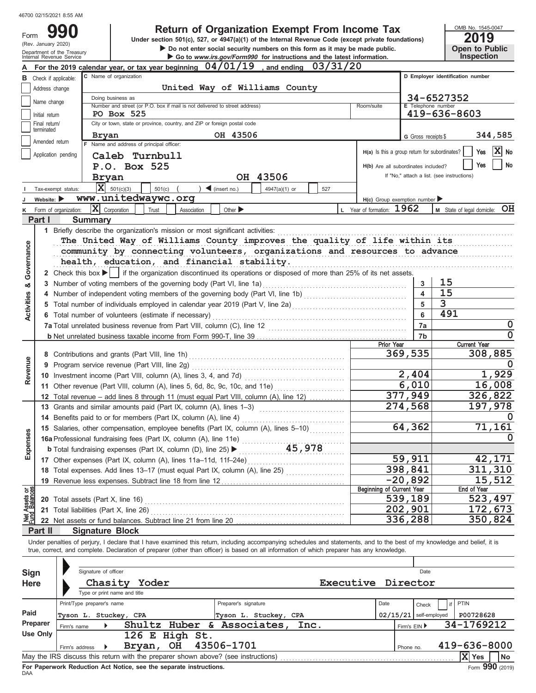(Rev. January 2020)

Form

# **990 2019 Return of Organization Exempt From Income Tax**

Do not enter social security numbers on this form as it may be made public.<br>Department of the Treasury **Container Container Container Security numbers on this form as it may be made public.**<br>Internal Revenue Service **Conta Under section 501(c), 527, or 4947(a)(1) of the Internal Revenue Code (except private foundations)**

OMB No. 1545-0047

| ZU 19 |                       |
|-------|-----------------------|
|       | <b>Open to Public</b> |
|       | <b>Inspection</b>     |

|                                |                                | Internal Revenue Service                                                   |                                                                                                                      |                                                                                                                                                                            |                              | $\blacktriangleright$ Go to www.irs.gov/Form990 for instructions and the latest information. |          |                           |                                                     | <b>INSPECTION</b>                          |                                |  |  |  |  |  |
|--------------------------------|--------------------------------|----------------------------------------------------------------------------|----------------------------------------------------------------------------------------------------------------------|----------------------------------------------------------------------------------------------------------------------------------------------------------------------------|------------------------------|----------------------------------------------------------------------------------------------|----------|---------------------------|-----------------------------------------------------|--------------------------------------------|--------------------------------|--|--|--|--|--|
|                                |                                |                                                                            |                                                                                                                      | For the 2019 calendar year, or tax year beginning $04/01/19$ , and ending                                                                                                  |                              |                                                                                              | 03/31/20 |                           |                                                     |                                            |                                |  |  |  |  |  |
|                                |                                | <b>B</b> Check if applicable:                                              | C Name of organization                                                                                               |                                                                                                                                                                            |                              |                                                                                              |          |                           |                                                     | D Employer identification number           |                                |  |  |  |  |  |
|                                | Address change                 |                                                                            | United Way of Williams County                                                                                        |                                                                                                                                                                            |                              |                                                                                              |          |                           |                                                     |                                            |                                |  |  |  |  |  |
|                                |                                |                                                                            | Doing business as                                                                                                    |                                                                                                                                                                            |                              |                                                                                              |          |                           |                                                     | 34-6527352                                 |                                |  |  |  |  |  |
|                                | Name change                    |                                                                            | Number and street (or P.O. box if mail is not delivered to street address)                                           | <b>E</b> Telephone number                                                                                                                                                  |                              |                                                                                              |          |                           |                                                     |                                            |                                |  |  |  |  |  |
|                                | Initial return                 |                                                                            | PO Box 525                                                                                                           |                                                                                                                                                                            |                              | 419-636-8603                                                                                 |          |                           |                                                     |                                            |                                |  |  |  |  |  |
|                                | Final return/                  |                                                                            | City or town, state or province, country, and ZIP or foreign postal code                                             |                                                                                                                                                                            |                              |                                                                                              |          |                           |                                                     |                                            |                                |  |  |  |  |  |
|                                | terminated                     |                                                                            | OH 43506<br>344,585<br>Bryan<br>G Gross receipts \$                                                                  |                                                                                                                                                                            |                              |                                                                                              |          |                           |                                                     |                                            |                                |  |  |  |  |  |
|                                | Amended return                 |                                                                            | Name and address of principal officer:                                                                               |                                                                                                                                                                            |                              |                                                                                              |          |                           |                                                     |                                            |                                |  |  |  |  |  |
|                                |                                | Application pending                                                        |                                                                                                                      |                                                                                                                                                                            |                              |                                                                                              |          |                           | H(a) Is this a group return for subordinates?       | Yes                                        | $\vert \mathbf{x} \vert$<br>No |  |  |  |  |  |
|                                |                                |                                                                            | Caleb Turnbull                                                                                                       |                                                                                                                                                                            |                              |                                                                                              |          |                           |                                                     |                                            |                                |  |  |  |  |  |
|                                |                                |                                                                            | P.O. Box 525                                                                                                         |                                                                                                                                                                            |                              |                                                                                              |          |                           | H(b) Are all subordinates included?                 | Yes                                        | No                             |  |  |  |  |  |
|                                |                                |                                                                            | Bryan                                                                                                                |                                                                                                                                                                            |                              | OH 43506                                                                                     |          |                           |                                                     | If "No," attach a list. (see instructions) |                                |  |  |  |  |  |
|                                |                                | Tax-exempt status:                                                         | $ \mathbf{X} $ 501(c)(3)                                                                                             | 501(c)                                                                                                                                                                     | $\triangleleft$ (insert no.) | 4947(a)(1) or                                                                                | 527      |                           |                                                     |                                            |                                |  |  |  |  |  |
|                                | Website: $\blacktriangleright$ |                                                                            | www.unitedwaywc.org                                                                                                  |                                                                                                                                                                            |                              |                                                                                              |          |                           | $H(c)$ Group exemption number $\blacktriangleright$ |                                            |                                |  |  |  |  |  |
| ĸ                              |                                | Form of organization:                                                      | X Corporation                                                                                                        | Trust<br>Association                                                                                                                                                       | Other $\blacktriangleright$  |                                                                                              |          | L Year of formation: 1962 |                                                     | M State of legal domicile: OH              |                                |  |  |  |  |  |
|                                |                                |                                                                            |                                                                                                                      |                                                                                                                                                                            |                              |                                                                                              |          |                           |                                                     |                                            |                                |  |  |  |  |  |
|                                | Part I                         |                                                                            | Summary                                                                                                              |                                                                                                                                                                            |                              |                                                                                              |          |                           |                                                     |                                            |                                |  |  |  |  |  |
|                                |                                |                                                                            |                                                                                                                      | 1 Briefly describe the organization's mission or most significant activities:                                                                                              |                              |                                                                                              |          |                           |                                                     |                                            |                                |  |  |  |  |  |
|                                |                                |                                                                            |                                                                                                                      | The United Way of Williams County improves the quality of life within its                                                                                                  |                              |                                                                                              |          |                           |                                                     |                                            |                                |  |  |  |  |  |
|                                |                                | community by connecting volunteers, organizations and resources to advance |                                                                                                                      |                                                                                                                                                                            |                              |                                                                                              |          |                           |                                                     |                                            |                                |  |  |  |  |  |
|                                |                                |                                                                            | health, education, and financial stability.                                                                          |                                                                                                                                                                            |                              |                                                                                              |          |                           |                                                     |                                            |                                |  |  |  |  |  |
| Governance                     |                                |                                                                            | 2 Check this box ▶   if the organization discontinued its operations or disposed of more than 25% of its net assets. |                                                                                                                                                                            |                              |                                                                                              |          |                           |                                                     |                                            |                                |  |  |  |  |  |
|                                | 3                              |                                                                            |                                                                                                                      |                                                                                                                                                                            |                              |                                                                                              |          |                           | 3                                                   | 15                                         |                                |  |  |  |  |  |
| ఱ                              |                                |                                                                            |                                                                                                                      |                                                                                                                                                                            |                              |                                                                                              |          |                           | $\overline{\mathbf{4}}$                             | 15                                         |                                |  |  |  |  |  |
| Activities                     | 4                              |                                                                            |                                                                                                                      |                                                                                                                                                                            |                              |                                                                                              |          |                           |                                                     | 3                                          |                                |  |  |  |  |  |
|                                | 5                              |                                                                            |                                                                                                                      | Total number of individuals employed in calendar year 2019 (Part V, line 2a) [[[[[[[[[[[[[[[[[[[[[[[[[[[[[[[[                                                              |                              |                                                                                              |          |                           | 5                                                   |                                            |                                |  |  |  |  |  |
|                                |                                |                                                                            |                                                                                                                      | 6 Total number of volunteers (estimate if necessary)                                                                                                                       |                              |                                                                                              |          |                           | 6                                                   | 491                                        |                                |  |  |  |  |  |
|                                |                                |                                                                            |                                                                                                                      |                                                                                                                                                                            |                              |                                                                                              |          |                           | 7a                                                  |                                            | 0                              |  |  |  |  |  |
|                                |                                |                                                                            |                                                                                                                      |                                                                                                                                                                            |                              |                                                                                              |          |                           | 7b                                                  |                                            | $\Omega$                       |  |  |  |  |  |
|                                |                                |                                                                            |                                                                                                                      |                                                                                                                                                                            |                              |                                                                                              |          | Prior Year                |                                                     | <b>Current Year</b>                        |                                |  |  |  |  |  |
|                                |                                |                                                                            |                                                                                                                      |                                                                                                                                                                            |                              |                                                                                              |          |                           | 369,535                                             | 308,885                                    |                                |  |  |  |  |  |
|                                | 9                              |                                                                            | Program service revenue (Part VIII, line 2g)                                                                         |                                                                                                                                                                            |                              |                                                                                              |          |                           |                                                     |                                            |                                |  |  |  |  |  |
| Revenue                        | 10                             |                                                                            |                                                                                                                      |                                                                                                                                                                            |                              |                                                                                              |          |                           | 2,404                                               |                                            | 1,929                          |  |  |  |  |  |
|                                |                                |                                                                            |                                                                                                                      | 11 Other revenue (Part VIII, column (A), lines 5, 6d, 8c, 9c, 10c, and 11e)                                                                                                |                              | 6,010                                                                                        | 16,008   |                           |                                                     |                                            |                                |  |  |  |  |  |
|                                | 12.                            |                                                                            |                                                                                                                      | Total revenue - add lines 8 through 11 (must equal Part VIII, column (A), line 12)                                                                                         |                              |                                                                                              |          |                           | 377,949                                             | 326,822                                    |                                |  |  |  |  |  |
|                                |                                |                                                                            |                                                                                                                      |                                                                                                                                                                            |                              |                                                                                              |          |                           | 274,568                                             | 197,978                                    |                                |  |  |  |  |  |
|                                | 13                             |                                                                            |                                                                                                                      | Grants and similar amounts paid (Part IX, column (A), lines 1-3)                                                                                                           |                              |                                                                                              |          |                           |                                                     |                                            |                                |  |  |  |  |  |
|                                |                                |                                                                            |                                                                                                                      | 14 Benefits paid to or for members (Part IX, column (A), line 4)                                                                                                           |                              |                                                                                              |          |                           |                                                     |                                            |                                |  |  |  |  |  |
|                                |                                |                                                                            |                                                                                                                      | 15 Salaries, other compensation, employee benefits (Part IX, column (A), lines 5-10)                                                                                       |                              |                                                                                              |          |                           | 64,362                                              | 71,161                                     |                                |  |  |  |  |  |
| enses                          |                                |                                                                            |                                                                                                                      | 15 Salaries, outer components,<br>16a Professional fundraising fees (Part IX, column (A), line 11e)<br>$(25)$ 45, 978                                                      |                              |                                                                                              |          |                           |                                                     |                                            | O                              |  |  |  |  |  |
|                                |                                |                                                                            |                                                                                                                      |                                                                                                                                                                            |                              |                                                                                              |          |                           |                                                     |                                            |                                |  |  |  |  |  |
| Еxр                            |                                |                                                                            |                                                                                                                      | 17 Other expenses (Part IX, column (A), lines 11a-11d, 11f-24e)                                                                                                            |                              |                                                                                              |          |                           | 59,911                                              | 42,171                                     |                                |  |  |  |  |  |
|                                |                                |                                                                            |                                                                                                                      | 18 Total expenses. Add lines 13-17 (must equal Part IX, column (A), line 25)                                                                                               |                              |                                                                                              |          |                           | 398,841                                             | 311,310                                    |                                |  |  |  |  |  |
|                                |                                |                                                                            |                                                                                                                      | 19 Revenue less expenses. Subtract line 18 from line 12                                                                                                                    |                              |                                                                                              |          |                           | $-20,892$                                           | 15,512                                     |                                |  |  |  |  |  |
|                                |                                |                                                                            |                                                                                                                      |                                                                                                                                                                            |                              |                                                                                              |          | Beginning of Current Year |                                                     | End of Year                                |                                |  |  |  |  |  |
| Net Assets or<br>Fund Balances |                                |                                                                            | 20 Total assets (Part X, line 16)                                                                                    |                                                                                                                                                                            |                              |                                                                                              |          |                           | 539,189                                             | 523,497                                    |                                |  |  |  |  |  |
|                                |                                |                                                                            | 21 Total liabilities (Part X, line 26)                                                                               |                                                                                                                                                                            |                              |                                                                                              |          |                           | 202,901                                             | 172,673                                    |                                |  |  |  |  |  |
|                                |                                |                                                                            |                                                                                                                      |                                                                                                                                                                            |                              |                                                                                              |          |                           | 336,288                                             | 350,824                                    |                                |  |  |  |  |  |
|                                |                                |                                                                            |                                                                                                                      |                                                                                                                                                                            |                              |                                                                                              |          |                           |                                                     |                                            |                                |  |  |  |  |  |
|                                | Part II                        |                                                                            | <b>Signature Block</b>                                                                                               |                                                                                                                                                                            |                              |                                                                                              |          |                           |                                                     |                                            |                                |  |  |  |  |  |
|                                |                                |                                                                            |                                                                                                                      | Under penalties of perjury, I declare that I have examined this return, including accompanying schedules and statements, and to the best of my knowledge and belief, it is |                              |                                                                                              |          |                           |                                                     |                                            |                                |  |  |  |  |  |
|                                |                                |                                                                            |                                                                                                                      | true, correct, and complete. Declaration of preparer (other than officer) is based on all information of which preparer has any knowledge.                                 |                              |                                                                                              |          |                           |                                                     |                                            |                                |  |  |  |  |  |
|                                |                                |                                                                            |                                                                                                                      |                                                                                                                                                                            |                              |                                                                                              |          |                           |                                                     |                                            |                                |  |  |  |  |  |
| Sign                           |                                |                                                                            | Signature of officer                                                                                                 |                                                                                                                                                                            |                              |                                                                                              |          |                           | Date                                                |                                            |                                |  |  |  |  |  |
| <b>Here</b>                    |                                |                                                                            | Chasity                                                                                                              | Yoder                                                                                                                                                                      |                              |                                                                                              |          | Executive Director        |                                                     |                                            |                                |  |  |  |  |  |
|                                |                                |                                                                            | Type or print name and title                                                                                         |                                                                                                                                                                            |                              |                                                                                              |          |                           |                                                     |                                            |                                |  |  |  |  |  |
|                                |                                |                                                                            | Print/Type preparer's name                                                                                           |                                                                                                                                                                            | Preparer's signature         |                                                                                              |          | Date                      |                                                     | PTIN                                       |                                |  |  |  |  |  |
| Paid                           |                                |                                                                            |                                                                                                                      |                                                                                                                                                                            |                              |                                                                                              |          |                           | Check                                               |                                            |                                |  |  |  |  |  |
|                                |                                |                                                                            | Tyson L. Stuckey, CPA                                                                                                |                                                                                                                                                                            |                              | Tyson L. Stuckey, CPA                                                                        |          |                           | 02/15/21                                            | self-employed<br>P00728628                 |                                |  |  |  |  |  |
|                                | Preparer                       | Firm's name                                                                |                                                                                                                      | Shultz Huber<br>୍ଦ                                                                                                                                                         |                              | Associates,                                                                                  | Inc.     |                           | Firm's EIN ▶                                        | 34-1769212                                 |                                |  |  |  |  |  |
|                                | <b>Use Only</b>                |                                                                            |                                                                                                                      | 126 E High St.                                                                                                                                                             |                              |                                                                                              |          |                           |                                                     |                                            |                                |  |  |  |  |  |
|                                |                                | Firm's address                                                             |                                                                                                                      | Bryan,<br>OH                                                                                                                                                               | 43506-1701                   |                                                                                              |          |                           | Phone no.                                           | 419-636-8000                               |                                |  |  |  |  |  |
|                                |                                |                                                                            |                                                                                                                      | May the IRS discuss this return with the preparer shown above? (see instructions)                                                                                          |                              |                                                                                              |          |                           |                                                     | $ X $ Yes                                  | <b>No</b>                      |  |  |  |  |  |

| Sign            | Signature of officer                                                              |                       |              | Date                                  |
|-----------------|-----------------------------------------------------------------------------------|-----------------------|--------------|---------------------------------------|
| <b>Here</b>     | Chasity<br>Yoder                                                                  | Executive Director    |              |                                       |
|                 | Type or print name and title                                                      |                       |              |                                       |
|                 | Print/Type preparer's name                                                        | Preparer's signature  | Date         | PTIN<br>Check                         |
| Paid            | Tyson L. Stuckey, CPA                                                             | Tyson L. Stuckey, CPA |              | $02/15/21$ self-employed<br>P00728628 |
| Preparer        | Shultz Huber & Associates,<br>Firm's name                                         | Inc.                  | Firm's $EIN$ | 34-1769212                            |
| <b>Use Only</b> | 126 E High St.                                                                    |                       |              |                                       |
|                 | <b>OH</b><br>Bryan,<br>Firm's address                                             | 43506-1701            | Phone no.    | 419-636-8000                          |
|                 | May the IRS discuss this return with the preparer shown above? (see instructions) |                       |              | $ X $ Yes<br>  No                     |
| <b>DAA</b>      | For Paperwork Reduction Act Notice, see the separate instructions.                |                       |              | Form 990 (2019)                       |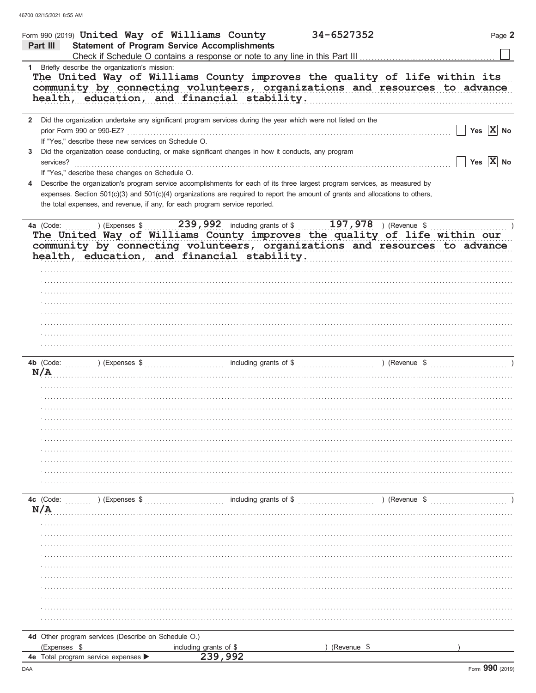| Part III         | 34-6527352<br>Form 990 (2019) United Way of Williams County<br>Page 2<br><b>Statement of Program Service Accomplishments</b>                                                                                                                                                                                                                |  |
|------------------|---------------------------------------------------------------------------------------------------------------------------------------------------------------------------------------------------------------------------------------------------------------------------------------------------------------------------------------------|--|
| 1                | Briefly describe the organization's mission:<br>The United Way of Williams County improves the quality of life within its<br>community by connecting volunteers, organizations and resources to advance<br>health, education, and financial stability.                                                                                      |  |
| $\mathbf{2}$     | Did the organization undertake any significant program services during the year which were not listed on the<br>Yes $X$ No<br>prior Form 990 or 990-EZ?<br>If "Yes," describe these new services on Schedule O.                                                                                                                             |  |
| 3.               | Did the organization cease conducting, or make significant changes in how it conducts, any program<br>Yes $X$ No<br>services?<br>If "Yes," describe these changes on Schedule O.                                                                                                                                                            |  |
| 4                | Describe the organization's program service accomplishments for each of its three largest program services, as measured by<br>expenses. Section 501(c)(3) and 501(c)(4) organizations are required to report the amount of grants and allocations to others,<br>the total expenses, and revenue, if any, for each program service reported. |  |
| 4a (Code:        | 239, 992 including grants of \$ 197, 978 ) (Revenue \$<br>) (Expenses \$<br>The United Way of Williams County improves the quality of life within our<br>community by connecting volunteers, organizations and resources to advance<br>health, education, and financial stability.                                                          |  |
| N/A              | ) (Expenses $\frac{1}{2}$ (Expenses $\frac{1}{2}$ methoding grants of $\frac{1}{2}$ methoding grants of $\frac{1}{2}$ (Revenue $\frac{1}{2}$ )<br>4b (Code:                                                                                                                                                                                 |  |
| 4c (Code:<br>N/A | ) (Expenses \$<br>including grants of \$<br>) (Revenue \$                                                                                                                                                                                                                                                                                   |  |
|                  | 4d Other program services (Describe on Schedule O.)<br>(Expenses \$<br>(Revenue \$<br>including grants of \$                                                                                                                                                                                                                                |  |
|                  | 239,992<br>4e Total program service expenses                                                                                                                                                                                                                                                                                                |  |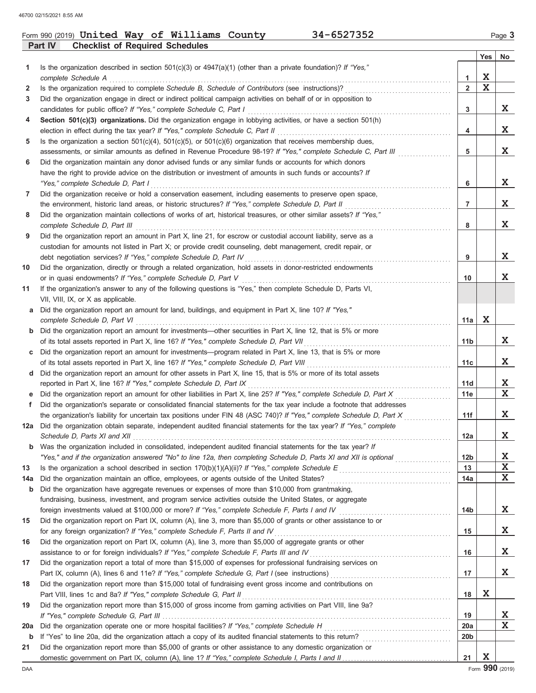### **Part IV Checklist of Required Schedules** Form 990 (2019) Page **3 United Way of Williams County 34-6527352**

|             |                                                                                                                                                                                                                             |                 | Yes         | No          |
|-------------|-----------------------------------------------------------------------------------------------------------------------------------------------------------------------------------------------------------------------------|-----------------|-------------|-------------|
| 1           | Is the organization described in section $501(c)(3)$ or $4947(a)(1)$ (other than a private foundation)? If "Yes,"                                                                                                           |                 |             |             |
|             | complete Schedule A                                                                                                                                                                                                         | 1               | X           |             |
| 2           |                                                                                                                                                                                                                             | $\overline{2}$  | $\mathbf x$ |             |
| 3           | Did the organization engage in direct or indirect political campaign activities on behalf of or in opposition to                                                                                                            |                 |             |             |
|             | candidates for public office? If "Yes," complete Schedule C, Part I                                                                                                                                                         | 3               |             | X           |
| 4           | Section 501(c)(3) organizations. Did the organization engage in lobbying activities, or have a section 501(h)                                                                                                               |                 |             |             |
|             |                                                                                                                                                                                                                             | 4               |             | X           |
| 5           | Is the organization a section $501(c)(4)$ , $501(c)(5)$ , or $501(c)(6)$ organization that receives membership dues,                                                                                                        |                 |             |             |
|             | assessments, or similar amounts as defined in Revenue Procedure 98-19? If "Yes," complete Schedule C, Part III                                                                                                              | 5               |             | X           |
| 6           | Did the organization maintain any donor advised funds or any similar funds or accounts for which donors                                                                                                                     |                 |             |             |
|             | have the right to provide advice on the distribution or investment of amounts in such funds or accounts? If                                                                                                                 |                 |             |             |
|             | "Yes," complete Schedule D, Part I                                                                                                                                                                                          | 6               |             | X           |
| 7           | Did the organization receive or hold a conservation easement, including easements to preserve open space,                                                                                                                   | $\overline{7}$  |             | X           |
| 8           | the environment, historic land areas, or historic structures? If "Yes," complete Schedule D, Part II<br>Did the organization maintain collections of works of art, historical treasures, or other similar assets? If "Yes," |                 |             |             |
|             | complete Schedule D, Part III                                                                                                                                                                                               | 8               |             | X           |
| 9           | Did the organization report an amount in Part X, line 21, for escrow or custodial account liability, serve as a                                                                                                             |                 |             |             |
|             | custodian for amounts not listed in Part X; or provide credit counseling, debt management, credit repair, or                                                                                                                |                 |             |             |
|             | debt negotiation services? If "Yes," complete Schedule D, Part IV                                                                                                                                                           | 9               |             | X.          |
| 10          | Did the organization, directly or through a related organization, hold assets in donor-restricted endowments                                                                                                                |                 |             |             |
|             | or in quasi endowments? If "Yes," complete Schedule D, Part V                                                                                                                                                               | 10              |             | X           |
| 11          | If the organization's answer to any of the following questions is "Yes," then complete Schedule D, Parts VI,                                                                                                                |                 |             |             |
|             | VII, VIII, IX, or X as applicable.                                                                                                                                                                                          |                 |             |             |
| a           | Did the organization report an amount for land, buildings, and equipment in Part X, line 10? If "Yes,"                                                                                                                      |                 |             |             |
|             | complete Schedule D, Part VI                                                                                                                                                                                                | 11a             | X           |             |
| $\mathbf b$ | Did the organization report an amount for investments—other securities in Part X, line 12, that is 5% or more                                                                                                               |                 |             |             |
|             | of its total assets reported in Part X, line 16? If "Yes," complete Schedule D, Part VII                                                                                                                                    | 11 <sub>b</sub> |             | X           |
| C           | Did the organization report an amount for investments—program related in Part X, line 13, that is 5% or more                                                                                                                |                 |             |             |
|             | of its total assets reported in Part X, line 16? If "Yes," complete Schedule D, Part VIII [[[[[[[[[[[[[[[[[[[[                                                                                                              | 11c             |             | X.          |
| d           | Did the organization report an amount for other assets in Part X, line 15, that is 5% or more of its total assets<br>reported in Part X, line 16? If "Yes," complete Schedule D, Part IX                                    | 11d             |             | X           |
| е           | Did the organization report an amount for other liabilities in Part X, line 25? If "Yes," complete Schedule D, Part X                                                                                                       | 11e             |             | $\mathbf x$ |
| f.          | Did the organization's separate or consolidated financial statements for the tax year include a footnote that addresses                                                                                                     |                 |             |             |
|             | the organization's liability for uncertain tax positions under FIN 48 (ASC 740)? If "Yes," complete Schedule D, Part X                                                                                                      | 11f             |             | X           |
| 12a         | Did the organization obtain separate, independent audited financial statements for the tax year? If "Yes," complete                                                                                                         |                 |             |             |
|             |                                                                                                                                                                                                                             | 12a             |             | X           |
|             | Was the organization included in consolidated, independent audited financial statements for the tax year? If                                                                                                                |                 |             |             |
|             | "Yes," and if the organization answered "No" to line 12a, then completing Schedule D, Parts XI and XII is optional                                                                                                          | 12 <sub>b</sub> |             | X           |
| 13          |                                                                                                                                                                                                                             | 13              |             | X           |
| 14a         | Did the organization maintain an office, employees, or agents outside of the United States?                                                                                                                                 | 14a             |             | X           |
| b           | Did the organization have aggregate revenues or expenses of more than \$10,000 from grantmaking,                                                                                                                            |                 |             |             |
|             | fundraising, business, investment, and program service activities outside the United States, or aggregate                                                                                                                   |                 |             |             |
|             | foreign investments valued at \$100,000 or more? If "Yes," complete Schedule F, Parts I and IV [[[[[[[[[[[[[[[                                                                                                              | 14 <sub>b</sub> |             | X           |
| 15          | Did the organization report on Part IX, column (A), line 3, more than \$5,000 of grants or other assistance to or                                                                                                           |                 |             |             |
|             | for any foreign organization? If "Yes," complete Schedule F, Parts II and IV                                                                                                                                                | 15              |             | X           |
| 16          | Did the organization report on Part IX, column (A), line 3, more than \$5,000 of aggregate grants or other                                                                                                                  |                 |             |             |
|             | assistance to or for foreign individuals? If "Yes," complete Schedule F, Parts III and IV                                                                                                                                   | 16              |             | X           |
| 17          | Did the organization report a total of more than \$15,000 of expenses for professional fundraising services on                                                                                                              |                 |             |             |
| 18          | Did the organization report more than \$15,000 total of fundraising event gross income and contributions on                                                                                                                 | 17              |             | X           |
|             | Part VIII, lines 1c and 8a? If "Yes," complete Schedule G, Part II                                                                                                                                                          | 18              | X           |             |
| 19          | Did the organization report more than \$15,000 of gross income from gaming activities on Part VIII, line 9a?                                                                                                                |                 |             |             |
|             |                                                                                                                                                                                                                             | 19              |             | X           |
| 20a         |                                                                                                                                                                                                                             | 20a             |             | $\mathbf x$ |
| $\mathbf b$ |                                                                                                                                                                                                                             | 20 <sub>b</sub> |             |             |
| 21          | Did the organization report more than \$5,000 of grants or other assistance to any domestic organization or                                                                                                                 |                 |             |             |
|             |                                                                                                                                                                                                                             | 21              | X           |             |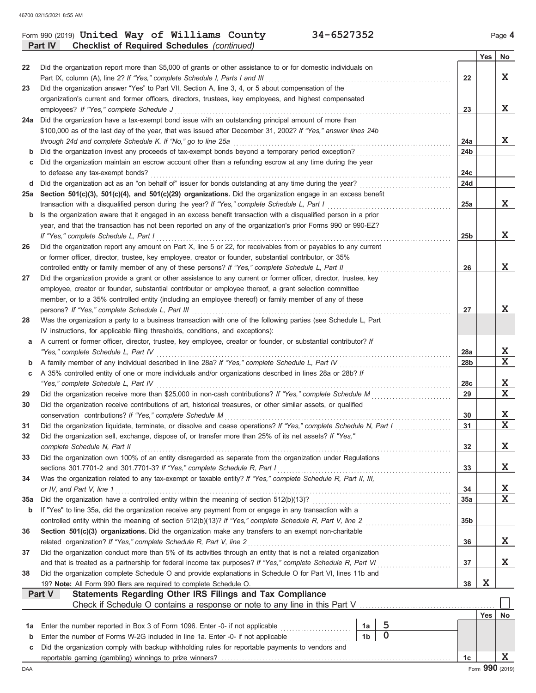|     |                                                                                                                                                                                                                          |                 | Yes         | No |
|-----|--------------------------------------------------------------------------------------------------------------------------------------------------------------------------------------------------------------------------|-----------------|-------------|----|
| 22  | Did the organization report more than \$5,000 of grants or other assistance to or for domestic individuals on                                                                                                            |                 |             | X  |
| 23  | Part IX, column (A), line 2? If "Yes," complete Schedule I, Parts I and III<br>Did the organization answer "Yes" to Part VII, Section A, line 3, 4, or 5 about compensation of the                                       | 22              |             |    |
|     |                                                                                                                                                                                                                          |                 |             |    |
|     | organization's current and former officers, directors, trustees, key employees, and highest compensated<br>employees? If "Yes," complete Schedule J                                                                      | 23              |             |    |
|     |                                                                                                                                                                                                                          |                 |             |    |
|     | 24a Did the organization have a tax-exempt bond issue with an outstanding principal amount of more than<br>\$100,000 as of the last day of the year, that was issued after December 31, 2002? If "Yes," answer lines 24b |                 |             |    |
|     |                                                                                                                                                                                                                          | 24a             |             |    |
|     | through 24d and complete Schedule K. If "No," go to line 25a<br>Did the organization invest any proceeds of tax-exempt bonds beyond a temporary period exception?                                                        |                 |             |    |
| b   |                                                                                                                                                                                                                          | 24b             |             |    |
| c   | Did the organization maintain an escrow account other than a refunding escrow at any time during the year                                                                                                                |                 |             |    |
|     | to defease any tax-exempt bonds?                                                                                                                                                                                         | 24c             |             |    |
| d   | Did the organization act as an "on behalf of" issuer for bonds outstanding at any time during the year?                                                                                                                  | 24d             |             |    |
|     | 25a Section 501(c)(3), 501(c)(4), and 501(c)(29) organizations. Did the organization engage in an excess benefit                                                                                                         |                 |             |    |
|     | transaction with a disqualified person during the year? If "Yes," complete Schedule L, Part I                                                                                                                            | 25a             |             |    |
|     | <b>b</b> Is the organization aware that it engaged in an excess benefit transaction with a disqualified person in a prior                                                                                                |                 |             |    |
|     | year, and that the transaction has not been reported on any of the organization's prior Forms 990 or 990-EZ?                                                                                                             |                 |             |    |
|     | If "Yes," complete Schedule L, Part I                                                                                                                                                                                    | 25 <sub>b</sub> |             |    |
|     | Did the organization report any amount on Part X, line 5 or 22, for receivables from or payables to any current                                                                                                          |                 |             |    |
|     | or former officer, director, trustee, key employee, creator or founder, substantial contributor, or 35%                                                                                                                  |                 |             |    |
|     | controlled entity or family member of any of these persons? If "Yes," complete Schedule L, Part II                                                                                                                       | 26              |             |    |
|     | Did the organization provide a grant or other assistance to any current or former officer, director, trustee, key                                                                                                        |                 |             |    |
|     | employee, creator or founder, substantial contributor or employee thereof, a grant selection committee                                                                                                                   |                 |             |    |
|     | member, or to a 35% controlled entity (including an employee thereof) or family member of any of these                                                                                                                   |                 |             |    |
|     | persons? If "Yes," complete Schedule L, Part III                                                                                                                                                                         | 27              |             |    |
|     | Was the organization a party to a business transaction with one of the following parties (see Schedule L, Part                                                                                                           |                 |             |    |
|     | IV instructions, for applicable filing thresholds, conditions, and exceptions):                                                                                                                                          |                 |             |    |
| а   | A current or former officer, director, trustee, key employee, creator or founder, or substantial contributor? If                                                                                                         |                 |             |    |
|     | "Yes," complete Schedule L, Part IV                                                                                                                                                                                      | 28a             |             |    |
| b   |                                                                                                                                                                                                                          | 28 <sub>b</sub> |             |    |
| C   | A 35% controlled entity of one or more individuals and/or organizations described in lines 28a or 28b? If                                                                                                                |                 |             |    |
|     | "Yes," complete Schedule L, Part IV                                                                                                                                                                                      | 28c             |             |    |
|     | Did the organization receive more than \$25,000 in non-cash contributions? If "Yes," complete Schedule M                                                                                                                 | 29              |             |    |
|     |                                                                                                                                                                                                                          |                 |             |    |
|     | Did the organization receive contributions of art, historical treasures, or other similar assets, or qualified                                                                                                           |                 |             |    |
|     | conservation contributions? If "Yes," complete Schedule M                                                                                                                                                                | 30              |             |    |
|     | Did the organization liquidate, terminate, or dissolve and cease operations? If "Yes," complete Schedule N, Part I                                                                                                       | 31              |             |    |
|     | Did the organization sell, exchange, dispose of, or transfer more than 25% of its net assets? If "Yes,"                                                                                                                  |                 |             |    |
|     | complete Schedule N, Part II                                                                                                                                                                                             | 32              |             |    |
|     | Did the organization own 100% of an entity disregarded as separate from the organization under Regulations                                                                                                               |                 |             |    |
|     | sections 301.7701-2 and 301.7701-3? If "Yes," complete Schedule R, Part I                                                                                                                                                | 33              |             |    |
|     | Was the organization related to any tax-exempt or taxable entity? If "Yes," complete Schedule R, Part II, III,                                                                                                           |                 |             |    |
|     | or IV, and Part V, line 1                                                                                                                                                                                                | 34              |             |    |
| 35a | Did the organization have a controlled entity within the meaning of section 512(b)(13)?                                                                                                                                  | 35a             |             |    |
| b   | If "Yes" to line 35a, did the organization receive any payment from or engage in any transaction with a                                                                                                                  |                 |             |    |
|     |                                                                                                                                                                                                                          | 35 <sub>b</sub> |             |    |
|     | Section 501(c)(3) organizations. Did the organization make any transfers to an exempt non-charitable                                                                                                                     |                 |             |    |
|     | related organization? If "Yes," complete Schedule R, Part V, line 2                                                                                                                                                      | 36              |             |    |
|     | Did the organization conduct more than 5% of its activities through an entity that is not a related organization                                                                                                         |                 |             |    |
|     | and that is treated as a partnership for federal income tax purposes? If "Yes," complete Schedule R, Part VI                                                                                                             | 37              |             |    |
|     | Did the organization complete Schedule O and provide explanations in Schedule O for Part VI, lines 11b and                                                                                                               |                 |             |    |
|     | 19? Note: All Form 990 filers are required to complete Schedule O.                                                                                                                                                       | 38              | $\mathbf x$ |    |
|     | Statements Regarding Other IRS Filings and Tax Compliance<br>Part V                                                                                                                                                      |                 |             |    |
|     | Check if Schedule O contains a response or note to any line in this Part V                                                                                                                                               |                 |             |    |
|     |                                                                                                                                                                                                                          |                 | Yes         |    |
|     |                                                                                                                                                                                                                          |                 |             |    |
| 1a  | 5<br>Enter the number reported in Box 3 of Form 1096. Enter -0- if not applicable<br>1a                                                                                                                                  |                 |             |    |

**United Way of Williams County 34-6527352**

| c Did the organization comply with backup withholding rules for reportable payments to vendors and |  |
|----------------------------------------------------------------------------------------------------|--|
| reportable gaming (gambling) winnings to prize winners?                                            |  |

DAA Form **990** (2019)  $\begin{array}{|c|c|c|}\n\hline\n\text{Form } 990\text{ (2019)}\n\hline\n\end{array}$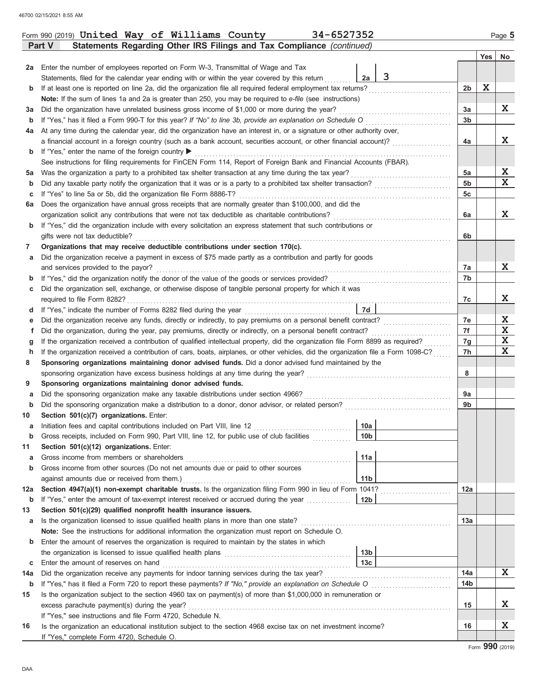| 2a     | Enter the number of employees reported on Form W-3, Transmittal of Wage and Tax                                                                                                                                                                                        |                 |   |                 |   |                         |  |  |  |  |  |  |
|--------|------------------------------------------------------------------------------------------------------------------------------------------------------------------------------------------------------------------------------------------------------------------------|-----------------|---|-----------------|---|-------------------------|--|--|--|--|--|--|
|        | Statements, filed for the calendar year ending with or within the year covered by this return                                                                                                                                                                          | 2a              | 3 |                 |   |                         |  |  |  |  |  |  |
| b      | If at least one is reported on line 2a, did the organization file all required federal employment tax returns?                                                                                                                                                         |                 |   | 2b              | X |                         |  |  |  |  |  |  |
|        | Note: If the sum of lines 1a and 2a is greater than 250, you may be required to e-file (see instructions)                                                                                                                                                              |                 |   |                 |   |                         |  |  |  |  |  |  |
| За     | Did the organization have unrelated business gross income of \$1,000 or more during the year?                                                                                                                                                                          |                 |   | За              |   | X                       |  |  |  |  |  |  |
| b      | If "Yes," has it filed a Form 990-T for this year? If "No" to line 3b, provide an explanation on Schedule O                                                                                                                                                            |                 |   | 3 <sub>b</sub>  |   |                         |  |  |  |  |  |  |
| 4a     | At any time during the calendar year, did the organization have an interest in, or a signature or other authority over,                                                                                                                                                |                 |   |                 |   | X                       |  |  |  |  |  |  |
|        | a financial account in a foreign country (such as a bank account, securities account, or other financial account)?                                                                                                                                                     |                 |   |                 |   |                         |  |  |  |  |  |  |
| b      | If "Yes," enter the name of the foreign country ▶                                                                                                                                                                                                                      |                 |   |                 |   |                         |  |  |  |  |  |  |
|        | See instructions for filing requirements for FinCEN Form 114, Report of Foreign Bank and Financial Accounts (FBAR).                                                                                                                                                    |                 |   |                 |   |                         |  |  |  |  |  |  |
| 5a     | Was the organization a party to a prohibited tax shelter transaction at any time during the tax year?                                                                                                                                                                  |                 |   | 5a              |   | X                       |  |  |  |  |  |  |
| b      |                                                                                                                                                                                                                                                                        |                 |   | 5 <sub>b</sub>  |   | $\overline{\mathbf{x}}$ |  |  |  |  |  |  |
| c      | If "Yes" to line 5a or 5b, did the organization file Form 8886-T?                                                                                                                                                                                                      |                 |   | 5c              |   |                         |  |  |  |  |  |  |
| 6а     | Does the organization have annual gross receipts that are normally greater than \$100,000, and did the                                                                                                                                                                 |                 |   |                 |   |                         |  |  |  |  |  |  |
|        | organization solicit any contributions that were not tax deductible as charitable contributions?                                                                                                                                                                       |                 |   | 6a              |   | X                       |  |  |  |  |  |  |
| b      | If "Yes," did the organization include with every solicitation an express statement that such contributions or                                                                                                                                                         |                 |   |                 |   |                         |  |  |  |  |  |  |
|        | gifts were not tax deductible?                                                                                                                                                                                                                                         |                 |   | 6b              |   |                         |  |  |  |  |  |  |
| 7      | Organizations that may receive deductible contributions under section 170(c).                                                                                                                                                                                          |                 |   |                 |   |                         |  |  |  |  |  |  |
| а      | Did the organization receive a payment in excess of \$75 made partly as a contribution and partly for goods                                                                                                                                                            |                 |   |                 |   |                         |  |  |  |  |  |  |
|        | and services provided to the payor?                                                                                                                                                                                                                                    |                 |   | 7a              |   | X                       |  |  |  |  |  |  |
| b      | If "Yes," did the organization notify the donor of the value of the goods or services provided?                                                                                                                                                                        |                 |   | 7b              |   |                         |  |  |  |  |  |  |
| с      | Did the organization sell, exchange, or otherwise dispose of tangible personal property for which it was                                                                                                                                                               |                 |   |                 |   |                         |  |  |  |  |  |  |
|        | required to file Form 8282?                                                                                                                                                                                                                                            |                 |   | 7c              |   | X                       |  |  |  |  |  |  |
| d      |                                                                                                                                                                                                                                                                        | 7d              |   |                 |   | X                       |  |  |  |  |  |  |
| е      |                                                                                                                                                                                                                                                                        |                 |   | 7e<br>7f        |   | X                       |  |  |  |  |  |  |
| Ť      | Did the organization, during the year, pay premiums, directly or indirectly, on a personal benefit contract?                                                                                                                                                           |                 |   |                 |   | X                       |  |  |  |  |  |  |
| g<br>h | If the organization received a contribution of qualified intellectual property, did the organization file Form 8899 as required?<br>If the organization received a contribution of cars, boats, airplanes, or other vehicles, did the organization file a Form 1098-C? |                 |   | 7g<br>7h        |   | X                       |  |  |  |  |  |  |
| 8      | Sponsoring organizations maintaining donor advised funds. Did a donor advised fund maintained by the                                                                                                                                                                   |                 |   |                 |   |                         |  |  |  |  |  |  |
|        | sponsoring organization have excess business holdings at any time during the year?                                                                                                                                                                                     |                 |   | 8               |   |                         |  |  |  |  |  |  |
| 9      | Sponsoring organizations maintaining donor advised funds.                                                                                                                                                                                                              |                 |   |                 |   |                         |  |  |  |  |  |  |
| а      | Did the sponsoring organization make any taxable distributions under section 4966?                                                                                                                                                                                     |                 |   | 9a              |   |                         |  |  |  |  |  |  |
| b      |                                                                                                                                                                                                                                                                        |                 |   | 9b              |   |                         |  |  |  |  |  |  |
| 10     | Section 501(c)(7) organizations. Enter:                                                                                                                                                                                                                                |                 |   |                 |   |                         |  |  |  |  |  |  |
| а      | Initiation fees and capital contributions included on Part VIII, line 12                                                                                                                                                                                               | 10a             |   |                 |   |                         |  |  |  |  |  |  |
| b      | Gross receipts, included on Form 990, Part VIII, line 12, for public use of club facilities                                                                                                                                                                            | 10 <sub>b</sub> |   |                 |   |                         |  |  |  |  |  |  |
| 11     | Section 501(c)(12) organizations. Enter:                                                                                                                                                                                                                               |                 |   |                 |   |                         |  |  |  |  |  |  |
|        | Gross income from members or shareholders                                                                                                                                                                                                                              | 11a             |   |                 |   |                         |  |  |  |  |  |  |
| b      | Gross income from other sources (Do not net amounts due or paid to other sources                                                                                                                                                                                       |                 |   |                 |   |                         |  |  |  |  |  |  |
|        | against amounts due or received from them.)                                                                                                                                                                                                                            | 11 <sub>b</sub> |   |                 |   |                         |  |  |  |  |  |  |
| 12a    | Section 4947(a)(1) non-exempt charitable trusts. Is the organization filing Form 990 in lieu of Form 1041?                                                                                                                                                             |                 |   | 12a             |   |                         |  |  |  |  |  |  |
| b      | If "Yes," enter the amount of tax-exempt interest received or accrued during the year                                                                                                                                                                                  | 12 <sub>b</sub> |   |                 |   |                         |  |  |  |  |  |  |
| 13     | Section 501(c)(29) qualified nonprofit health insurance issuers.                                                                                                                                                                                                       |                 |   |                 |   |                         |  |  |  |  |  |  |
| а      | Is the organization licensed to issue qualified health plans in more than one state?                                                                                                                                                                                   |                 |   | 13a             |   |                         |  |  |  |  |  |  |
|        | Note: See the instructions for additional information the organization must report on Schedule O.                                                                                                                                                                      |                 |   |                 |   |                         |  |  |  |  |  |  |
| b      | Enter the amount of reserves the organization is required to maintain by the states in which                                                                                                                                                                           |                 |   |                 |   |                         |  |  |  |  |  |  |
|        |                                                                                                                                                                                                                                                                        | 13 <sub>b</sub> |   |                 |   |                         |  |  |  |  |  |  |
| с      | Enter the amount of reserves on hand                                                                                                                                                                                                                                   | 13 <sub>c</sub> |   |                 |   |                         |  |  |  |  |  |  |
| 14a    | Did the organization receive any payments for indoor tanning services during the tax year?                                                                                                                                                                             |                 |   | 14a             |   | X                       |  |  |  |  |  |  |
| b      |                                                                                                                                                                                                                                                                        |                 |   | 14 <sub>b</sub> |   |                         |  |  |  |  |  |  |
| 15     | Is the organization subject to the section 4960 tax on payment(s) of more than \$1,000,000 in remuneration or                                                                                                                                                          |                 |   |                 |   |                         |  |  |  |  |  |  |
|        | excess parachute payment(s) during the year?                                                                                                                                                                                                                           |                 |   | 15              |   | X                       |  |  |  |  |  |  |
|        | If "Yes," see instructions and file Form 4720, Schedule N.                                                                                                                                                                                                             |                 |   |                 |   |                         |  |  |  |  |  |  |
| 16     | Is the organization an educational institution subject to the section 4968 excise tax on net investment income?                                                                                                                                                        |                 |   | 16              |   | X                       |  |  |  |  |  |  |
|        | If "Yes," complete Form 4720, Schedule O.                                                                                                                                                                                                                              |                 |   |                 |   |                         |  |  |  |  |  |  |
|        |                                                                                                                                                                                                                                                                        |                 |   |                 |   | Form 990 (2019)         |  |  |  |  |  |  |

**Part V Statements Regarding Other IRS Filings and Tax Compliance** *(continued)*

**Yes No**

Form 990 (2019) Page **5 United Way of Williams County 34-6527352**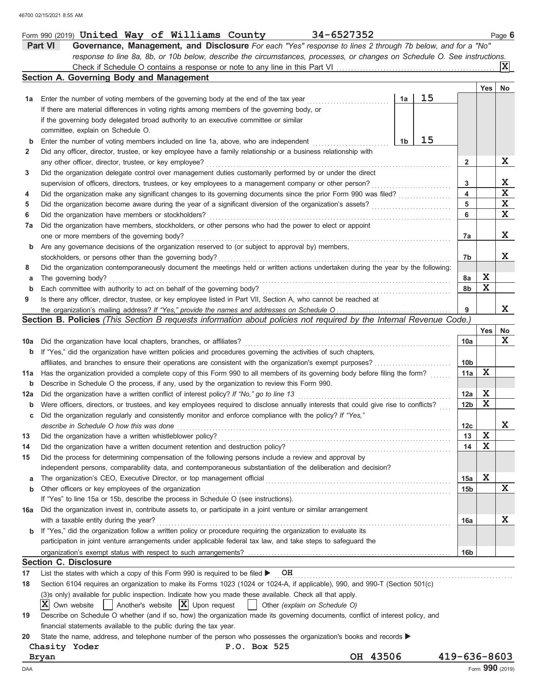|              | Part VI<br>Governance, Management, and Disclosure For each "Yes" response to lines 2 through 7b below, and for a "No"                                                                        |    |    |                 |             |             |
|--------------|----------------------------------------------------------------------------------------------------------------------------------------------------------------------------------------------|----|----|-----------------|-------------|-------------|
|              | response to line 8a, 8b, or 10b below, describe the circumstances, processes, or changes on Schedule O. See instructions.                                                                    |    |    |                 |             |             |
|              |                                                                                                                                                                                              |    |    |                 |             | <b>X</b>    |
|              | Section A. Governing Body and Management                                                                                                                                                     |    |    |                 |             |             |
|              |                                                                                                                                                                                              |    |    |                 | Yes         | <b>No</b>   |
| 1a           | Enter the number of voting members of the governing body at the end of the tax year                                                                                                          | 1a | 15 |                 |             |             |
|              | If there are material differences in voting rights among members of the governing body, or                                                                                                   |    |    |                 |             |             |
|              | if the governing body delegated broad authority to an executive committee or similar                                                                                                         |    |    |                 |             |             |
|              | committee, explain on Schedule O.                                                                                                                                                            |    |    |                 |             |             |
| b            | Enter the number of voting members included on line 1a, above, who are independent                                                                                                           | 1b | 15 |                 |             |             |
| $\mathbf{2}$ | Did any officer, director, trustee, or key employee have a family relationship or a business relationship with                                                                               |    |    |                 |             |             |
|              | any other officer, director, trustee, or key employee?                                                                                                                                       |    |    | $\mathbf{2}$    |             | X           |
| 3            | Did the organization delegate control over management duties customarily performed by or under the direct                                                                                    |    |    |                 |             |             |
|              | supervision of officers, directors, trustees, or key employees to a management company or other person?                                                                                      |    |    | 3               |             | $\mathbf X$ |
| 4            | Did the organization make any significant changes to its governing documents since the prior Form 990 was filed?                                                                             |    |    | 4               |             | $\mathbf x$ |
| 5            |                                                                                                                                                                                              |    |    | 5               |             | $\mathbf x$ |
| 6            | Did the organization have members or stockholders?                                                                                                                                           |    |    | 6               |             | $\mathbf X$ |
| 7a           | Did the organization have members, stockholders, or other persons who had the power to elect or appoint                                                                                      |    |    |                 |             |             |
|              | one or more members of the governing body?                                                                                                                                                   |    |    | 7a              |             | $\mathbf x$ |
| b            | Are any governance decisions of the organization reserved to (or subject to approval by) members,                                                                                            |    |    |                 |             |             |
|              |                                                                                                                                                                                              |    |    | 7b              |             | $\mathbf x$ |
|              | stockholders, or persons other than the governing body?<br>Did the organization contemporaneously document the meetings held or written actions undertaken during the year by the following: |    |    |                 |             |             |
| 8            |                                                                                                                                                                                              |    |    |                 |             |             |
| а            | The governing body?                                                                                                                                                                          |    |    | 8а              | X<br>X      |             |
| b            | Each committee with authority to act on behalf of the governing body?                                                                                                                        |    |    | 8b              |             |             |
| 9            | Is there any officer, director, trustee, or key employee listed in Part VII, Section A, who cannot be reached at                                                                             |    |    |                 |             |             |
|              |                                                                                                                                                                                              |    |    | 9               |             | $\mathbf x$ |
|              | Section B. Policies (This Section B requests information about policies not required by the Internal Revenue Code.)                                                                          |    |    |                 |             |             |
|              |                                                                                                                                                                                              |    |    |                 | Yes         | $No$        |
| 10a          | Did the organization have local chapters, branches, or affiliates?                                                                                                                           |    |    | 10a             |             | $\mathbf x$ |
| b            | If "Yes," did the organization have written policies and procedures governing the activities of such chapters,                                                                               |    |    |                 |             |             |
|              | affiliates, and branches to ensure their operations are consistent with the organization's exempt purposes?                                                                                  |    |    | 10 <sub>b</sub> |             |             |
|              | 11a Has the organization provided a complete copy of this Form 990 to all members of its governing body before filing the form?                                                              |    |    | 11a             | X           |             |
| b            | Describe in Schedule O the process, if any, used by the organization to review this Form 990.                                                                                                |    |    |                 |             |             |
| 12a          | Did the organization have a written conflict of interest policy? If "No," go to line 13                                                                                                      |    |    | 12a             | X           |             |
| b            | Were officers, directors, or trustees, and key employees required to disclose annually interests that could give rise to conflicts?                                                          |    |    | 12 <sub>b</sub> | $\mathbf x$ |             |
| С            | Did the organization regularly and consistently monitor and enforce compliance with the policy? If "Yes,"                                                                                    |    |    |                 |             |             |
|              | describe in Schedule O how this was done                                                                                                                                                     |    |    | 12c             |             | X           |
| 13           | Did the organization have a written whistleblower policy?                                                                                                                                    |    |    | 13              | X           |             |
| 14           | Did the organization have a written document retention and destruction policy?                                                                                                               |    |    | 14              | X           |             |
| 15           | Did the process for determining compensation of the following persons include a review and approval by                                                                                       |    |    |                 |             |             |
|              | independent persons, comparability data, and contemporaneous substantiation of the deliberation and decision?                                                                                |    |    |                 |             |             |
| а            | The organization's CEO, Executive Director, or top management official [11] content content content of the organization's CEO, Executive Director, or top management official                |    |    | 15a             | X           |             |
| b            | Other officers or key employees of the organization                                                                                                                                          |    |    | 15 <sub>b</sub> |             | X           |
|              | If "Yes" to line 15a or 15b, describe the process in Schedule O (see instructions).                                                                                                          |    |    |                 |             |             |
| 16a          | Did the organization invest in, contribute assets to, or participate in a joint venture or similar arrangement                                                                               |    |    |                 |             |             |
|              | with a taxable entity during the year?                                                                                                                                                       |    |    | 16a             |             | X           |
| b            | If "Yes," did the organization follow a written policy or procedure requiring the organization to evaluate its                                                                               |    |    |                 |             |             |
|              | participation in joint venture arrangements under applicable federal tax law, and take steps to safeguard the                                                                                |    |    |                 |             |             |
|              |                                                                                                                                                                                              |    |    | 16 <sub>b</sub> |             |             |
|              | <b>Section C. Disclosure</b>                                                                                                                                                                 |    |    |                 |             |             |
| 17           | List the states with which a copy of this Form 990 is required to be filed $\triangleright$ OH                                                                                               |    |    |                 |             |             |
| 18           | Section 6104 requires an organization to make its Forms 1023 (1024 or 1024-A, if applicable), 990, and 990-T (Section 501(c)                                                                 |    |    |                 |             |             |
|              | (3)s only) available for public inspection. Indicate how you made these available. Check all that apply.                                                                                     |    |    |                 |             |             |
|              | X Own website<br>$\vert$ Another's website $\vert X \vert$ Upon request<br>Other (explain on Schedule O)                                                                                     |    |    |                 |             |             |
| 19           | Describe on Schedule O whether (and if so, how) the organization made its governing documents, conflict of interest policy, and                                                              |    |    |                 |             |             |
|              | financial statements available to the public during the tax year.                                                                                                                            |    |    |                 |             |             |
| 20           | State the name, address, and telephone number of the person who possesses the organization's books and records                                                                               |    |    |                 |             |             |
|              | Chasity Yoder<br>P.O. Box 525                                                                                                                                                                |    |    |                 |             |             |
|              | OH 43506<br><b>Bryan</b>                                                                                                                                                                     |    |    | 419-636-8603    |             |             |

Form 990 (2019) Page **6 United Way of Williams County 34-6527352**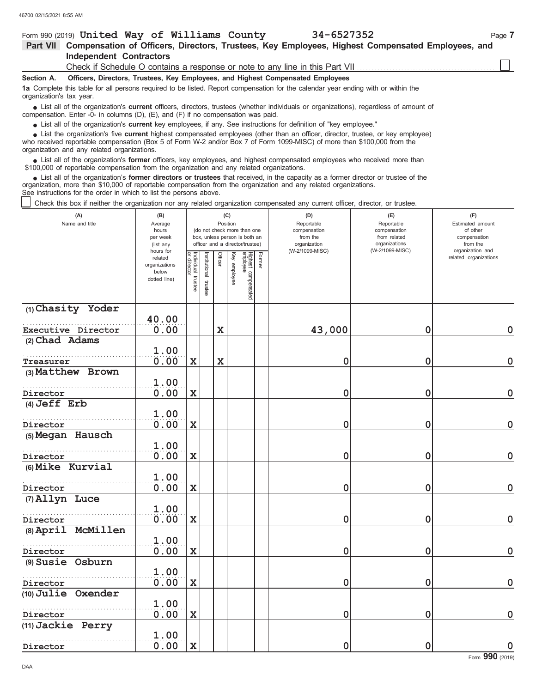### Form 990 (2019) Page **7 United Way of Williams County 34-6527352**

|            | Part VII Compensation of Officers, Directors, Trustees, Key Employees, Highest Compensated Employees, and |
|------------|-----------------------------------------------------------------------------------------------------------|
|            | Independent Contractors                                                                                   |
|            |                                                                                                           |
| Section A. | Officers, Directors, Trustees, Key Employees, and Highest Compensated Employees                           |

**1a** Complete this table for all persons required to be listed. Report compensation for the calendar year ending with or within the organization's tax year.

■ List all of the organization's **current** officers, directors, trustees (whether individuals or organizations), regardless of amount of compensation. Enter -0- in columns (D), (E), and (F) if no compensation was paid.

List all of the organization's **current** key employees, if any. See instructions for definition of "key employee."

■ List all of the organization's **current** key employees, if any. See instructions for definition of "key employee."<br>■ List the organization's five **current** highest compensated employees (other than an officer, director,

who received reportable compensation (Box 5 of Form W-2 and/or Box 7 of Form 1099-MISC) of more than \$100,000 from the organization and any related organizations.

• List all of the organization's **former** officers, key employees, and highest compensated employees who received more than<br>00.000 of reportable compensation from the ergonization and any related ergonizations \$100,000 of reportable compensation from the organization and any related organizations.

• List all of the organization's **former directors or trustees** that received, in the capacity as a former director or trustee of the properties and any related organizations organization, more than \$10,000 of reportable compensation from the organization and any related organizations. See instructions for the order in which to list the persons above.

Check this box if neither the organization nor any related organization compensated any current officer, director, or trustee.

| (A)<br>Name and title | (B)<br>Average<br>hours<br>per week<br>(list any               | (C)<br>Position<br>(do not check more than one<br>box, unless person is both an<br>officer and a director/trustee) |                      |             |              |                                 |               | (D)<br>Reportable<br>compensation<br>from the<br>organization | (E)<br>Reportable<br>compensation<br>from related<br>organizations | (F)<br>Estimated amount<br>of other<br>compensation<br>from the |
|-----------------------|----------------------------------------------------------------|--------------------------------------------------------------------------------------------------------------------|----------------------|-------------|--------------|---------------------------------|---------------|---------------------------------------------------------------|--------------------------------------------------------------------|-----------------------------------------------------------------|
|                       | hours for<br>related<br>organizations<br>below<br>dotted line) | Individual trustee<br>or director                                                                                  | nstitutional trustee | Officer     | Key employee | Highest compensated<br>employee | <b>Former</b> | (W-2/1099-MISC)                                               | (W-2/1099-MISC)                                                    | organization and<br>related organizations                       |
| (1) Chasity Yoder     | 40.00                                                          |                                                                                                                    |                      |             |              |                                 |               |                                                               |                                                                    |                                                                 |
| Executive Director    | 0.00                                                           |                                                                                                                    |                      | $\mathbf x$ |              |                                 |               | 43,000                                                        | $\mathbf 0$                                                        | $\mathbf 0$                                                     |
| (2) Chad Adams        |                                                                |                                                                                                                    |                      |             |              |                                 |               |                                                               |                                                                    |                                                                 |
|                       | 1.00                                                           |                                                                                                                    |                      |             |              |                                 |               |                                                               |                                                                    |                                                                 |
| Treasurer             | 0.00                                                           | $\mathbf x$                                                                                                        |                      | $\mathbf x$ |              |                                 |               | 0                                                             | 0                                                                  | $\mathbf 0$                                                     |
| (3) Matthew Brown     |                                                                |                                                                                                                    |                      |             |              |                                 |               |                                                               |                                                                    |                                                                 |
|                       | 1.00                                                           |                                                                                                                    |                      |             |              |                                 |               |                                                               |                                                                    |                                                                 |
| Director              | 0.00                                                           | $\mathbf X$                                                                                                        |                      |             |              |                                 |               | 0                                                             | 0                                                                  | $\mathbf 0$                                                     |
| $(4)$ Jeff Erb        |                                                                |                                                                                                                    |                      |             |              |                                 |               |                                                               |                                                                    |                                                                 |
|                       | 1.00                                                           |                                                                                                                    |                      |             |              |                                 |               |                                                               |                                                                    |                                                                 |
| Director              | 0.00                                                           | $\mathbf X$                                                                                                        |                      |             |              |                                 |               | 0                                                             | $\mathbf 0$                                                        | $\mathbf 0$                                                     |
| (5) Megan Hausch      |                                                                |                                                                                                                    |                      |             |              |                                 |               |                                                               |                                                                    |                                                                 |
|                       | 1.00                                                           |                                                                                                                    |                      |             |              |                                 |               |                                                               |                                                                    |                                                                 |
| Director              | 0.00                                                           | $\mathbf x$                                                                                                        |                      |             |              |                                 |               | 0                                                             | $\mathbf 0$                                                        | $\pmb{0}$                                                       |
| (6) Mike Kurvial      |                                                                |                                                                                                                    |                      |             |              |                                 |               |                                                               |                                                                    |                                                                 |
|                       | 1.00                                                           |                                                                                                                    |                      |             |              |                                 |               |                                                               |                                                                    |                                                                 |
| Director              | 0.00                                                           | $\mathbf x$                                                                                                        |                      |             |              |                                 |               | 0                                                             | $\mathbf 0$                                                        | $\mathbf 0$                                                     |
| (7) Allyn Luce        |                                                                |                                                                                                                    |                      |             |              |                                 |               |                                                               |                                                                    |                                                                 |
|                       | 1.00                                                           |                                                                                                                    |                      |             |              |                                 |               |                                                               |                                                                    |                                                                 |
| Director              | 0.00                                                           | $\mathbf x$                                                                                                        |                      |             |              |                                 |               | 0                                                             | $\mathbf 0$                                                        | $\mathbf 0$                                                     |
| (8) April McMillen    |                                                                |                                                                                                                    |                      |             |              |                                 |               |                                                               |                                                                    |                                                                 |
|                       | 1.00                                                           |                                                                                                                    |                      |             |              |                                 |               |                                                               |                                                                    |                                                                 |
| Director              | 0.00                                                           | $\mathbf x$                                                                                                        |                      |             |              |                                 |               | 0                                                             | $\mathbf 0$                                                        | $\mathbf 0$                                                     |
| (9) Susie Osburn      |                                                                |                                                                                                                    |                      |             |              |                                 |               |                                                               |                                                                    |                                                                 |
|                       | 1.00                                                           |                                                                                                                    |                      |             |              |                                 |               |                                                               |                                                                    |                                                                 |
| Director              | 0.00                                                           | $\mathbf x$                                                                                                        |                      |             |              |                                 |               | 0                                                             | $\mathbf 0$                                                        | $\mathbf 0$                                                     |
| (10) Julie Oxender    |                                                                |                                                                                                                    |                      |             |              |                                 |               |                                                               |                                                                    |                                                                 |
|                       | 1.00                                                           |                                                                                                                    |                      |             |              |                                 |               |                                                               |                                                                    |                                                                 |
| Director              | 0.00                                                           | $\mathbf x$                                                                                                        |                      |             |              |                                 |               | 0                                                             | $\mathbf 0$                                                        | $\mathbf 0$                                                     |
| (11) Jackie Perry     |                                                                |                                                                                                                    |                      |             |              |                                 |               |                                                               |                                                                    |                                                                 |
|                       | 1.00                                                           |                                                                                                                    |                      |             |              |                                 |               |                                                               |                                                                    |                                                                 |
| Director              | 0.00                                                           | $\mathbf x$                                                                                                        |                      |             |              |                                 |               | 0                                                             | $\mathbf 0$                                                        | $\pmb{0}$                                                       |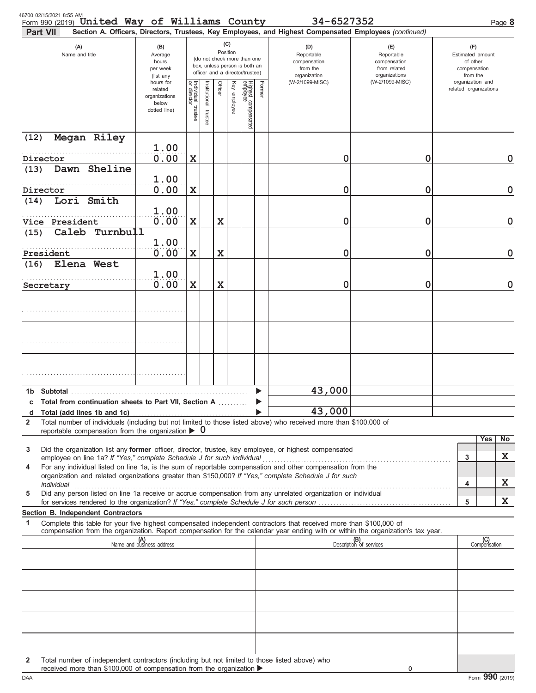| 46700 02/15/2021 8:55 AM<br>Form 990 (2019) United Way of Williams County 34-6527352<br>Part VII                                                                                                                                                                                                                                        |                                                                |                                        |                       |             |                 |                                                                                                 |        | Section A. Officers, Directors, Trustees, Key Employees, and Highest Compensated Employees (continued) |                                                                    |                                                                 | Page 8       |
|-----------------------------------------------------------------------------------------------------------------------------------------------------------------------------------------------------------------------------------------------------------------------------------------------------------------------------------------|----------------------------------------------------------------|----------------------------------------|-----------------------|-------------|-----------------|-------------------------------------------------------------------------------------------------|--------|--------------------------------------------------------------------------------------------------------|--------------------------------------------------------------------|-----------------------------------------------------------------|--------------|
| (A)<br>Name and title                                                                                                                                                                                                                                                                                                                   | (B)<br>Average<br>hours<br>per week<br>(list any               |                                        |                       |             | (C)<br>Position | (do not check more than one<br>box, unless person is both an<br>officer and a director/trustee) |        | (D)<br>Reportable<br>compensation<br>from the<br>organization                                          | (E)<br>Reportable<br>compensation<br>from related<br>organizations | (F)<br>Estimated amount<br>of other<br>compensation<br>from the |              |
|                                                                                                                                                                                                                                                                                                                                         | hours for<br>related<br>organizations<br>below<br>dotted line) | Individual 1<br>or director<br>trustee | Institutional trustee | Officer     | Key employee    | Highest compensated<br>employee                                                                 | Former | (W-2/1099-MISC)                                                                                        | (W-2/1099-MISC)                                                    | organization and<br>related organizations                       |              |
| Megan Riley<br>(12)                                                                                                                                                                                                                                                                                                                     |                                                                |                                        |                       |             |                 |                                                                                                 |        |                                                                                                        |                                                                    |                                                                 |              |
| Director                                                                                                                                                                                                                                                                                                                                | 1.00<br>0.00                                                   | $\mathbf X$                            |                       |             |                 |                                                                                                 |        | 0                                                                                                      | 0                                                                  |                                                                 | $\mathbf 0$  |
| Dawn Sheline<br>(13)                                                                                                                                                                                                                                                                                                                    | 1.00                                                           |                                        |                       |             |                 |                                                                                                 |        |                                                                                                        |                                                                    |                                                                 |              |
| Director                                                                                                                                                                                                                                                                                                                                | 0.00                                                           | $\mathbf X$                            |                       |             |                 |                                                                                                 |        | 0                                                                                                      | 0                                                                  |                                                                 | $\mathbf 0$  |
| Lori Smith<br>(14)                                                                                                                                                                                                                                                                                                                      | 1.00                                                           |                                        |                       |             |                 |                                                                                                 |        |                                                                                                        |                                                                    |                                                                 |              |
| Vice President<br>Caleb Turnbull<br>(15)                                                                                                                                                                                                                                                                                                | 0.00                                                           | $\mathbf X$                            |                       | $\mathbf x$ |                 |                                                                                                 |        | 0                                                                                                      | 0                                                                  |                                                                 | $\mathbf 0$  |
|                                                                                                                                                                                                                                                                                                                                         | 1.00                                                           |                                        |                       |             |                 |                                                                                                 |        |                                                                                                        |                                                                    |                                                                 |              |
| President<br>Elena West<br>(16)                                                                                                                                                                                                                                                                                                         | 0.00                                                           | $\mathbf x$                            |                       | $\mathbf x$ |                 |                                                                                                 |        | 0                                                                                                      | 0                                                                  |                                                                 | $\mathbf 0$  |
| Secretary                                                                                                                                                                                                                                                                                                                               | 1.00<br>0.00                                                   | $\mathbf x$                            |                       | $\mathbf x$ |                 |                                                                                                 |        | 0                                                                                                      | 0                                                                  |                                                                 | $\mathbf{0}$ |
|                                                                                                                                                                                                                                                                                                                                         |                                                                |                                        |                       |             |                 |                                                                                                 |        |                                                                                                        |                                                                    |                                                                 |              |
|                                                                                                                                                                                                                                                                                                                                         |                                                                |                                        |                       |             |                 |                                                                                                 |        |                                                                                                        |                                                                    |                                                                 |              |
|                                                                                                                                                                                                                                                                                                                                         |                                                                |                                        |                       |             |                 |                                                                                                 |        |                                                                                                        |                                                                    |                                                                 |              |
|                                                                                                                                                                                                                                                                                                                                         |                                                                |                                        |                       |             |                 |                                                                                                 |        |                                                                                                        |                                                                    |                                                                 |              |
|                                                                                                                                                                                                                                                                                                                                         |                                                                |                                        |                       |             |                 |                                                                                                 |        |                                                                                                        |                                                                    |                                                                 |              |
| Total from continuation sheets to Part VII, Section A                                                                                                                                                                                                                                                                                   |                                                                |                                        |                       |             |                 |                                                                                                 |        | 43,000                                                                                                 |                                                                    |                                                                 |              |
| Total (add lines 1b and 1c)<br>d                                                                                                                                                                                                                                                                                                        |                                                                |                                        |                       |             |                 |                                                                                                 |        | 43,000                                                                                                 |                                                                    |                                                                 |              |
| Total number of individuals (including but not limited to those listed above) who received more than \$100,000 of<br>$\mathbf{2}$<br>reportable compensation from the organization $\triangleright$ 0                                                                                                                                   |                                                                |                                        |                       |             |                 |                                                                                                 |        |                                                                                                        |                                                                    |                                                                 |              |
| Did the organization list any former officer, director, trustee, key employee, or highest compensated<br>3                                                                                                                                                                                                                              |                                                                |                                        |                       |             |                 |                                                                                                 |        |                                                                                                        |                                                                    | Yes                                                             | No           |
| employee on line 1a? If "Yes," complete Schedule J for such individual<br>For any individual listed on line 1a, is the sum of reportable compensation and other compensation from the<br>4                                                                                                                                              |                                                                |                                        |                       |             |                 |                                                                                                 |        |                                                                                                        |                                                                    | 3                                                               | X            |
| organization and related organizations greater than \$150,000? If "Yes," complete Schedule J for such<br>individual communications and contact the contract of the contract of the contract of the contract of the contract of the contract of the contract of the contract of the contract of the contract of the contract of the cont |                                                                |                                        |                       |             |                 |                                                                                                 |        |                                                                                                        |                                                                    | 4                                                               | X            |
| Did any person listed on line 1a receive or accrue compensation from any unrelated organization or individual<br>5<br>for services rendered to the organization? If "Yes," complete Schedule J for such person                                                                                                                          |                                                                |                                        |                       |             |                 |                                                                                                 |        |                                                                                                        |                                                                    | 5                                                               | $\mathbf x$  |
| Section B. Independent Contractors<br>Complete this table for your five highest compensated independent contractors that received more than \$100,000 of<br>1                                                                                                                                                                           |                                                                |                                        |                       |             |                 |                                                                                                 |        |                                                                                                        |                                                                    |                                                                 |              |
| compensation from the organization. Report compensation for the calendar year ending with or within the organization's tax year.                                                                                                                                                                                                        |                                                                |                                        |                       |             |                 |                                                                                                 |        |                                                                                                        |                                                                    |                                                                 |              |
|                                                                                                                                                                                                                                                                                                                                         | (A)<br>Name and business address                               |                                        |                       |             |                 |                                                                                                 |        |                                                                                                        | (B)<br>Description of services                                     | (C)<br>Compensation                                             |              |
|                                                                                                                                                                                                                                                                                                                                         |                                                                |                                        |                       |             |                 |                                                                                                 |        |                                                                                                        |                                                                    |                                                                 |              |
|                                                                                                                                                                                                                                                                                                                                         |                                                                |                                        |                       |             |                 |                                                                                                 |        |                                                                                                        |                                                                    |                                                                 |              |
|                                                                                                                                                                                                                                                                                                                                         |                                                                |                                        |                       |             |                 |                                                                                                 |        |                                                                                                        |                                                                    |                                                                 |              |
|                                                                                                                                                                                                                                                                                                                                         |                                                                |                                        |                       |             |                 |                                                                                                 |        |                                                                                                        |                                                                    |                                                                 |              |
|                                                                                                                                                                                                                                                                                                                                         |                                                                |                                        |                       |             |                 |                                                                                                 |        |                                                                                                        |                                                                    |                                                                 |              |
| Total number of independent contractors (including but not limited to those listed above) who<br>$\mathbf{2}$                                                                                                                                                                                                                           |                                                                |                                        |                       |             |                 |                                                                                                 |        |                                                                                                        |                                                                    |                                                                 |              |
| received more than \$100,000 of compensation from the organization ▶                                                                                                                                                                                                                                                                    |                                                                |                                        |                       |             |                 |                                                                                                 |        |                                                                                                        | 0                                                                  |                                                                 |              |

received more than \$100,000 of compensation from the organization **Departual Concernsive Concernsive Concernsive Concernsive Concernsive Concernsive Concernsive Concernsive Concernsive Concernsive Concernsive Concernsive C** received more than \$100,000 of compensation from the organization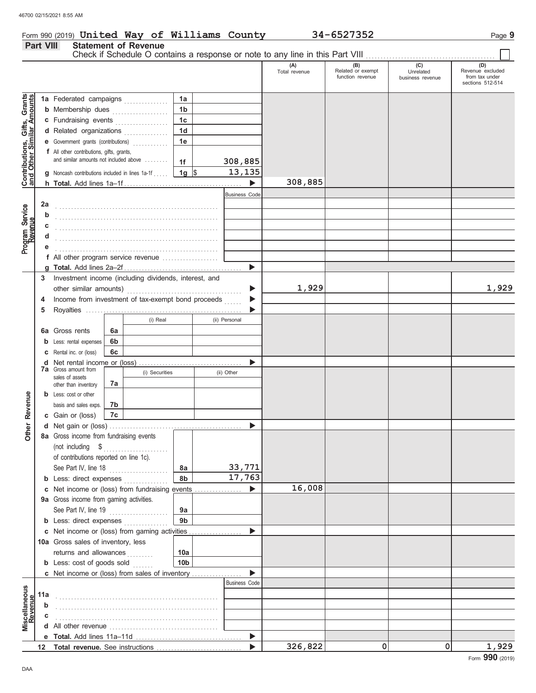**Part VIII Statement of Revenue**

## Form 990 (2019) Page **9 United Way of Williams County 34-6527352**

|                                                                  | I GIL VIII |                                                         |                | orarennenn of Izevende                             |                 |                       |                      |                                              |                                      |                                                               |
|------------------------------------------------------------------|------------|---------------------------------------------------------|----------------|----------------------------------------------------|-----------------|-----------------------|----------------------|----------------------------------------------|--------------------------------------|---------------------------------------------------------------|
|                                                                  |            |                                                         |                |                                                    |                 |                       | (A)<br>Total revenue | (B)<br>Related or exempt<br>function revenue | (C)<br>Unrelated<br>business revenue | (D)<br>Revenue excluded<br>from tax under<br>sections 512-514 |
|                                                                  |            | 1a Federated campaigns                                  |                |                                                    | 1a              |                       |                      |                                              |                                      |                                                               |
| <b>Contributions, Gifts, Grants</b><br>and Other Similar Amounts |            | <b>b</b> Membership dues                                |                |                                                    | 1 <sub>b</sub>  |                       |                      |                                              |                                      |                                                               |
|                                                                  |            | c Fundraising events                                    |                |                                                    | 1 <sub>c</sub>  |                       |                      |                                              |                                      |                                                               |
|                                                                  |            | d Related organizations                                 |                |                                                    | 1d              |                       |                      |                                              |                                      |                                                               |
|                                                                  |            | e Government grants (contributions)                     |                |                                                    | 1e              |                       |                      |                                              |                                      |                                                               |
|                                                                  |            | f All other contributions, gifts, grants,               |                |                                                    |                 |                       |                      |                                              |                                      |                                                               |
|                                                                  |            | and similar amounts not included above                  |                |                                                    | 1f              | 308,885               |                      |                                              |                                      |                                                               |
|                                                                  |            | <b>g</b> Noncash contributions included in lines 1a-1f  |                |                                                    | $1g \,$ \$      | 13,135                |                      |                                              |                                      |                                                               |
|                                                                  |            |                                                         |                |                                                    |                 | $\blacktriangleright$ | 308,885              |                                              |                                      |                                                               |
|                                                                  |            |                                                         |                |                                                    |                 | <b>Business Code</b>  |                      |                                              |                                      |                                                               |
|                                                                  | 2a         |                                                         |                |                                                    |                 |                       |                      |                                              |                                      |                                                               |
| Program Service<br>Revenue                                       | b          |                                                         |                |                                                    |                 |                       |                      |                                              |                                      |                                                               |
|                                                                  |            |                                                         |                |                                                    |                 |                       |                      |                                              |                                      |                                                               |
|                                                                  |            |                                                         |                |                                                    |                 |                       |                      |                                              |                                      |                                                               |
|                                                                  |            |                                                         |                |                                                    |                 |                       |                      |                                              |                                      |                                                               |
|                                                                  |            |                                                         |                |                                                    |                 |                       |                      |                                              |                                      |                                                               |
|                                                                  |            |                                                         |                |                                                    |                 | $\blacktriangleright$ |                      |                                              |                                      |                                                               |
|                                                                  |            | 3 Investment income (including dividends, interest, and |                |                                                    |                 |                       |                      |                                              |                                      |                                                               |
|                                                                  |            |                                                         |                |                                                    |                 | ▶                     | 1,929                |                                              |                                      | 1,929                                                         |
|                                                                  |            | Income from investment of tax-exempt bond proceeds      |                |                                                    |                 | as as a               |                      |                                              |                                      |                                                               |
|                                                                  | 5          |                                                         |                |                                                    |                 |                       |                      |                                              |                                      |                                                               |
|                                                                  |            |                                                         |                | (i) Real                                           |                 | (ii) Personal         |                      |                                              |                                      |                                                               |
|                                                                  |            | 6a Gross rents                                          | 6a             |                                                    |                 |                       |                      |                                              |                                      |                                                               |
|                                                                  |            | <b>b</b> Less: rental expenses                          | 6 <sub>b</sub> |                                                    |                 |                       |                      |                                              |                                      |                                                               |
|                                                                  |            | C Rental inc. or (loss)                                 | 6c             |                                                    |                 |                       |                      |                                              |                                      |                                                               |
|                                                                  |            |                                                         |                |                                                    |                 |                       |                      |                                              |                                      |                                                               |
|                                                                  |            | <b>7a</b> Gross amount from<br>sales of assets          |                | (i) Securities                                     |                 | (ii) Other            |                      |                                              |                                      |                                                               |
|                                                                  |            | other than inventory                                    | 7а             |                                                    |                 |                       |                      |                                              |                                      |                                                               |
|                                                                  |            | <b>b</b> Less: cost or other                            |                |                                                    |                 |                       |                      |                                              |                                      |                                                               |
|                                                                  |            | basis and sales exps.                                   | 7b             |                                                    |                 |                       |                      |                                              |                                      |                                                               |
| Other Revenue                                                    |            | c Gain or (loss)                                        | 7c             |                                                    |                 |                       |                      |                                              |                                      |                                                               |
|                                                                  |            |                                                         |                |                                                    |                 | ▶                     |                      |                                              |                                      |                                                               |
|                                                                  |            | 8a Gross income from fundraising events                 |                |                                                    |                 |                       |                      |                                              |                                      |                                                               |
|                                                                  |            |                                                         |                |                                                    |                 |                       |                      |                                              |                                      |                                                               |
|                                                                  |            | of contributions reported on line 1c).                  |                |                                                    |                 |                       |                      |                                              |                                      |                                                               |
|                                                                  |            | See Part IV, line 18                                    |                |                                                    | 8а              | 33,771                |                      |                                              |                                      |                                                               |
|                                                                  |            | <b>b</b> Less: direct expenses                          |                |                                                    | 8b              | 17,763                |                      |                                              |                                      |                                                               |
|                                                                  |            | c Net income or (loss) from fundraising events          |                |                                                    |                 |                       | 16,008               |                                              |                                      |                                                               |
|                                                                  |            | 9a Gross income from gaming activities.                 |                |                                                    |                 |                       |                      |                                              |                                      |                                                               |
|                                                                  |            | See Part IV, line 19                                    |                | <u> 1999 - Johann Stoff, amerikansk fotograf (</u> | 9а              |                       |                      |                                              |                                      |                                                               |
|                                                                  |            | <b>b</b> Less: direct expenses <i>minimum</i>           |                |                                                    | 9 <sub>b</sub>  |                       |                      |                                              |                                      |                                                               |
|                                                                  |            | c Net income or (loss) from gaming activities           |                |                                                    |                 |                       |                      |                                              |                                      |                                                               |
|                                                                  |            | <b>10a</b> Gross sales of inventory, less               |                |                                                    |                 |                       |                      |                                              |                                      |                                                               |
|                                                                  |            | returns and allowances                                  |                |                                                    | 10a             |                       |                      |                                              |                                      |                                                               |
|                                                                  |            | <b>b</b> Less: cost of goods sold                       |                |                                                    | 10 <sub>b</sub> |                       |                      |                                              |                                      |                                                               |
|                                                                  |            | c Net income or (loss) from sales of inventory          |                |                                                    |                 |                       |                      |                                              |                                      |                                                               |
|                                                                  |            |                                                         |                |                                                    |                 | <b>Business Code</b>  |                      |                                              |                                      |                                                               |
|                                                                  | 11a        |                                                         |                |                                                    |                 |                       |                      |                                              |                                      |                                                               |
|                                                                  | b          |                                                         |                |                                                    |                 |                       |                      |                                              |                                      |                                                               |
| Miscellaneous<br>Revenue                                         | С          |                                                         |                |                                                    |                 |                       |                      |                                              |                                      |                                                               |
|                                                                  |            |                                                         |                |                                                    |                 |                       |                      |                                              |                                      |                                                               |
|                                                                  |            |                                                         |                |                                                    |                 | ▶                     |                      |                                              |                                      |                                                               |
|                                                                  |            |                                                         |                |                                                    |                 |                       | 326,822              | 0                                            | 0                                    | 1,929                                                         |

DAA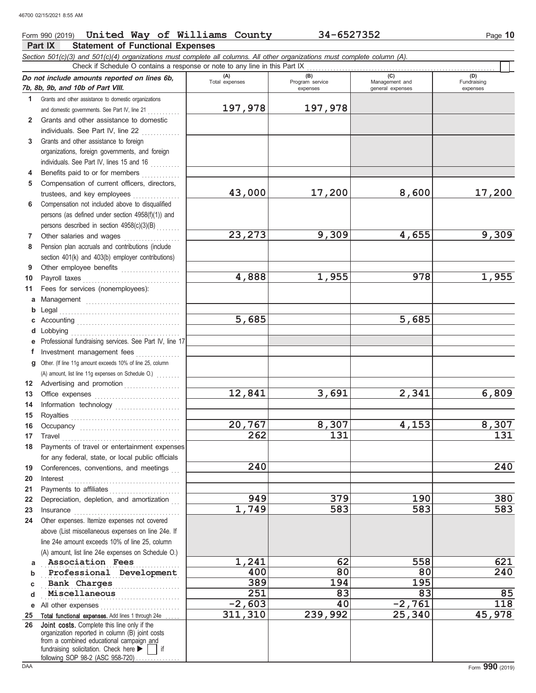### **Part IX Statement of Functional Expenses** Form 990 (2019) **United Way of Williams County 34-6527352** Page 10

|              | Section 501(c)(3) and 501(c)(4) organizations must complete all columns. All other organizations must complete column (A).                                                                                                          |                       |                                    |                                           |                                |  |
|--------------|-------------------------------------------------------------------------------------------------------------------------------------------------------------------------------------------------------------------------------------|-----------------------|------------------------------------|-------------------------------------------|--------------------------------|--|
|              | Check if Schedule O contains a response or note to any line in this Part IX                                                                                                                                                         |                       |                                    |                                           |                                |  |
|              | Do not include amounts reported on lines 6b,<br>7b, 8b, 9b, and 10b of Part VIII.                                                                                                                                                   | (A)<br>Total expenses | (B)<br>Program service<br>expenses | (C)<br>Management and<br>general expenses | (D)<br>Fundraising<br>expenses |  |
|              |                                                                                                                                                                                                                                     |                       |                                    |                                           |                                |  |
| 1            | Grants and other assistance to domestic organizations<br>and domestic governments. See Part IV, line 21                                                                                                                             | 197,978               | 197,978                            |                                           |                                |  |
| $\mathbf{2}$ | Grants and other assistance to domestic                                                                                                                                                                                             |                       |                                    |                                           |                                |  |
|              | individuals. See Part IV, line 22                                                                                                                                                                                                   |                       |                                    |                                           |                                |  |
| 3            | Grants and other assistance to foreign                                                                                                                                                                                              |                       |                                    |                                           |                                |  |
|              | organizations, foreign governments, and foreign                                                                                                                                                                                     |                       |                                    |                                           |                                |  |
|              | individuals. See Part IV, lines 15 and 16                                                                                                                                                                                           |                       |                                    |                                           |                                |  |
| 4            | Benefits paid to or for members                                                                                                                                                                                                     |                       |                                    |                                           |                                |  |
| 5            | Compensation of current officers, directors,                                                                                                                                                                                        |                       |                                    |                                           |                                |  |
|              | trustees, and key employees                                                                                                                                                                                                         | 43,000                | 17,200                             | 8,600                                     | 17,200                         |  |
| 6            | Compensation not included above to disqualified                                                                                                                                                                                     |                       |                                    |                                           |                                |  |
|              | persons (as defined under section 4958(f)(1)) and                                                                                                                                                                                   |                       |                                    |                                           |                                |  |
|              | persons described in section 4958(c)(3)(B)                                                                                                                                                                                          |                       |                                    |                                           |                                |  |
| 7            | Other salaries and wages                                                                                                                                                                                                            | 23,273                | 9,309                              | 4,655                                     | 9,309                          |  |
| 8            | Pension plan accruals and contributions (include                                                                                                                                                                                    |                       |                                    |                                           |                                |  |
|              | section 401(k) and 403(b) employer contributions)                                                                                                                                                                                   |                       |                                    |                                           |                                |  |
| 9            | Other employee benefits                                                                                                                                                                                                             |                       |                                    |                                           |                                |  |
| 10           |                                                                                                                                                                                                                                     | 4,888                 | 1,955                              | 978                                       | 1,955                          |  |
| 11           | Fees for services (nonemployees):                                                                                                                                                                                                   |                       |                                    |                                           |                                |  |
|              | a Management                                                                                                                                                                                                                        |                       |                                    |                                           |                                |  |
| b            |                                                                                                                                                                                                                                     |                       |                                    |                                           |                                |  |
| C            |                                                                                                                                                                                                                                     | 5,685                 |                                    | 5,685                                     |                                |  |
| d            | Lobbying                                                                                                                                                                                                                            |                       |                                    |                                           |                                |  |
|              | e Professional fundraising services. See Part IV, line 17                                                                                                                                                                           |                       |                                    |                                           |                                |  |
|              | f Investment management fees                                                                                                                                                                                                        |                       |                                    |                                           |                                |  |
| q            | Other. (If line 11g amount exceeds 10% of line 25, column                                                                                                                                                                           |                       |                                    |                                           |                                |  |
|              |                                                                                                                                                                                                                                     |                       |                                    |                                           |                                |  |
|              | 12 Advertising and promotion [1] [1] Advertising and promotion                                                                                                                                                                      |                       |                                    |                                           |                                |  |
| 13           |                                                                                                                                                                                                                                     | 12,841                | 3,691                              | 2,341                                     | 6,809                          |  |
| 14           | Information technology                                                                                                                                                                                                              |                       |                                    |                                           |                                |  |
| 15           | Royalties                                                                                                                                                                                                                           |                       |                                    |                                           |                                |  |
| 16           |                                                                                                                                                                                                                                     | 20,767                | 8,307                              | 4,153                                     | 8,307                          |  |
| 17           |                                                                                                                                                                                                                                     | 262                   | 131                                |                                           | 131                            |  |
| 18           | Payments of travel or entertainment expenses                                                                                                                                                                                        |                       |                                    |                                           |                                |  |
|              | for any federal, state, or local public officials                                                                                                                                                                                   |                       |                                    |                                           |                                |  |
| 19           | Conferences, conventions, and meetings                                                                                                                                                                                              | 240                   |                                    |                                           | 240                            |  |
| 20           | Interest                                                                                                                                                                                                                            |                       |                                    |                                           |                                |  |
| 21           |                                                                                                                                                                                                                                     | 949                   | 379                                | 190                                       | 380                            |  |
| 22           | Depreciation, depletion, and amortization                                                                                                                                                                                           | 1,749                 | 583                                | 583                                       | 583                            |  |
| 23           | $In surface \begin{tabular}{@{}l@{}} \hline \multicolumn{3}{c}{\textbf{Insurance}} \end{tabular}$                                                                                                                                   |                       |                                    |                                           |                                |  |
| 24           | Other expenses. Itemize expenses not covered<br>above (List miscellaneous expenses on line 24e. If                                                                                                                                  |                       |                                    |                                           |                                |  |
|              | line 24e amount exceeds 10% of line 25, column                                                                                                                                                                                      |                       |                                    |                                           |                                |  |
|              | (A) amount, list line 24e expenses on Schedule O.)                                                                                                                                                                                  |                       |                                    |                                           |                                |  |
| a            | Association Fees                                                                                                                                                                                                                    | 1,241                 | 62                                 | 558                                       | 621                            |  |
| b            | Professional Development                                                                                                                                                                                                            | 400                   | 80                                 | 80                                        | 240                            |  |
| c            | Bank Charges                                                                                                                                                                                                                        | 389                   | 194                                | 195                                       |                                |  |
| d            | Miscellaneous                                                                                                                                                                                                                       | 251                   | 83                                 | 83                                        | 85                             |  |
| е            | All other expenses                                                                                                                                                                                                                  | $-2,603$              | 40                                 | $-2,761$                                  | 118                            |  |
| 25           | .<br>Total functional expenses. Add lines 1 through 24e                                                                                                                                                                             | 311,310               | 239,992                            | 25,340                                    | 45,978                         |  |
| 26           | <b>Joint costs.</b> Complete this line only if the<br>organization reported in column (B) joint costs<br>from a combined educational campaign and<br>fundraising solicitation. Check here<br>if<br>following SOP 98-2 (ASC 958-720) |                       |                                    |                                           |                                |  |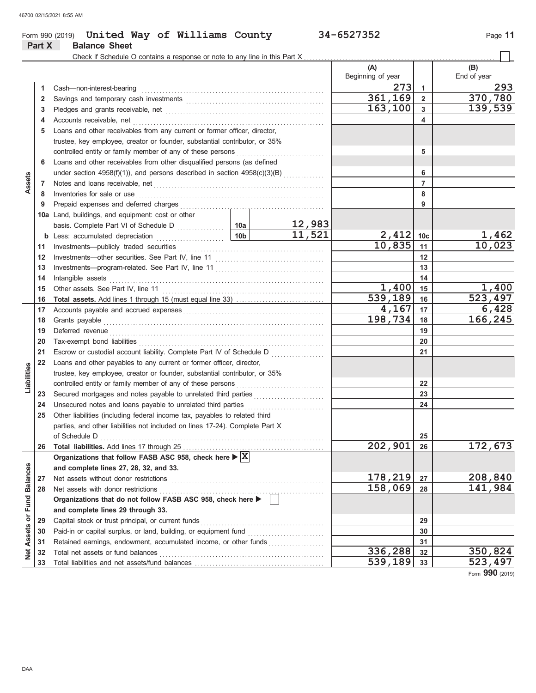**Part X Balance Sheet**

### Form 990 (2019) **United Way of Williams County 34-6527352** Page 11

### Check if Schedule O contains a response or note to any line in this Part X **(A) (B)** Beginning of year  $\parallel$  End of year 273 1 293<br>361,169 2 370,780 **1 1** Cash—non-interest-bearing . . . . . . . . . . . . . . . . . . . . . . . . . . . . . . . . . . . . . . . . . . . . . . . . . . . . . . . . . . . . . . **361,169 370,780 2 2** Savings and temporary cash investments . . . . . . . . . . . . . . . . . . . . . . . . . . . . . . . . . . . . . . . . . . . . . . . **163,100 139,539 3 3** Pledges and grants receivable, net . . . . . . . . . . . . . . . . . . . . . . . . . . . . . . . . . . . . . . . . . . . . . . . . . . . . . . **4 4** Accounts receivable, net . . . . . . . . . . . . . . . . . . . . . . . . . . . . . . . . . . . . . . . . . . . . . . . . . . . . . . . . . . . . . . . . . **5** Loans and other receivables from any current or former officer, director, trustee, key employee, creator or founder, substantial contributor, or 35% controlled entity or family member of any of these persons . . . . . . . . . . . . . . . . . . . . . . . . . . . . . . **5 6** Loans and other receivables from other disqualified persons (as defined under section  $4958(f)(1)$ ), and persons described in section  $4958(c)(3)(B)$  ............... **6 Assets 7 7** Notes and loans receivable, net . . . . . . . . . . . . . . . . . . . . . . . . . . . . . . . . . . . . . . . . . . . . . . . . . . . . . . . . . . **8 8** Inventories for sale or use . . . . . . . . . . . . . . . . . . . . . . . . . . . . . . . . . . . . . . . . . . . . . . . . . . . . . . . . . . . . . . . . **9 9** Prepaid expenses and deferred charges **William Constructs** (all constructs in the second of **10a** Land, buildings, and equipment: cost or other **12,983** basis. Complete Part VI of Schedule D . . . . . . . . . . . . . . . . **10a** 11,521 2,412 10c 1,462<br>10,835 11 10,023 **10c b** Less: accumulated depreciation . . . . . . . . . . . . . . . . . . . . . . . **10b 10,835 10,023 11 11** Investments—publicly traded securities . . . . . . . . . . . . . . . . . . . . . . . . . . . . . . . . . . . . . . . . . . . . . . . . . . **12 12** Investments—other securities. See Part IV, line 11 . . . . . . . . . . . . . . . . . . . . . . . . . . . . . . . . . . . . . **13 13** Investments—program-related. See Part IV, line 11 . . . . . . . . . . . . . . . . . . . . . . . . . . . . . . . . . . . . . **14 14** Intangible assets . . . . . . . . . . . . . . . . . . . . . . . . . . . . . . . . . . . . . . . . . . . . . . . . . . . . . . . . . . . . . . . . . . . . . . . . . 1,400 15 1,400<br>9,189 16 523,497 **15 15** Other assets. See Part IV, line 11 . . . . . . . . . . . . . . . . . . . . . . . . . . . . . . . . . . . . . . . . . . . . . . . . . . . . . . . **539,189 523,497 Total assets.** Add lines 1 through 15 (must equal line 33) . . . . . . . . . . . . . . . . . . . . . . . . . . . . . . **16 16** Accounts payable and accrued expenses . . . . . . . . . . . . . . . . . . . . . . . . . . . . . . . . . . . . . . . . . . . . . . . . **4,167 6,428 17 17 198,734 166,245 18 18** Grants payable . . . . . . . . . . . . . . . . . . . . . . . . . . . . . . . . . . . . . . . . . . . . . . . . . . . . . . . . . . . . . . . . . . . . . . . . . . . **19** Deferred revenue **19** Deferred revenue . . . . . . . . . . . . . . . . . . . . . . . . . . . . . . . . . . . . . . . . . . . . . . . . . . . . . . . . . . . . . . . . . . . . . . . . . **20 20** Tax-exempt bond liabilities . . . . . . . . . . . . . . . . . . . . . . . . . . . . . . . . . . . . . . . . . . . . . . . . . . . . . . . . . . . . . . . **21 21** Escrow or custodial account liability. Complete Part IV of Schedule D . . . . . . . . . . . . . . . . . . **22** Loans and other payables to any current or former officer, director, Liabilities **Liabilities** trustee, key employee, creator or founder, substantial contributor, or 35% controlled entity or family member of any of these persons ................................. **22 23 23** Secured mortgages and notes payable to unrelated third parties . . . . . . . . . . . . . . . . . . . . . . . . **24 24** Unsecured notes and loans payable to unrelated third parties . . . . . . . . . . . . . . . . . . . . . . . . . . . **25** Other liabilities (including federal income tax, payables to related third parties, and other liabilities not included on lines 17-24). Complete Part X of Schedule D . . . . . . . . . . . . . . . . . . . . . . . . . . . . . . . . . . . . . . . . . . . . . . . . . . . . . . . . . . . . . . . . . . . . . . . . . . . . **25 202,901 172,673 26 Total liabilities.** Add lines 17 through 25 . . . . . . . . . . . . . . . . . . . . . . . . . . . . . . . . . . . . . . . . . . . . . . . . **26 Organizations that follow FASB ASC 958, check here X** Net Assets or Fund Balances **Net Assets or Fund Balances and complete lines 27, 28, 32, and 33.** Net assets without donor restrictions . . . . . . . . . . . . . . . . . . . . . . . . . . . . . . . . . . . . . . . . . . . . . . . . . . . . **27 178,219 208,840 27 158,069 141,984 28 28** Net assets with donor restrictions . . . . . . . . . . . . . . . . . . . . . . . . . . . . . . . . . . . . . . . . . . . . . . . . . . . . . . . . **Organizations that do not follow FASB ASC 958, check here and complete lines 29 through 33.** Capital stock or trust principal, or current funds . . . . . . . . . . . . . . . . . . . . . . . . . . . . . . . . . . . . . . . . . . **29 29 30** Paid-in or capital surplus, or land, building, or equipment fund **30** Retained earnings, endowment, accumulated income, or other funds ..................... **31 31** Total net assets or fund balances . . . . . . . . . . . . . . . . . . . . . . . . . . . . . . . . . . . . . . . . . . . . . . . . . . . . . . . . **<u>336,288 32</u>** 350,824<br>539,189 33 523,497 **32 32 539,189 523,497** Total liabilities and net assets/fund balances .. **33 33**

Form **990** (2019)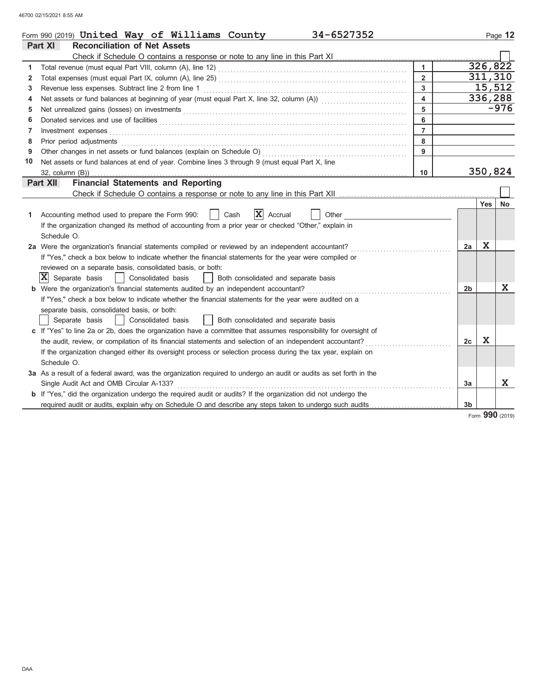|              | Form 990 (2019) United Way of Williams County<br>34-6527352                                                                                                                                                                    |                  |                |          | Page 12 |  |
|--------------|--------------------------------------------------------------------------------------------------------------------------------------------------------------------------------------------------------------------------------|------------------|----------------|----------|---------|--|
|              | Part XI<br><b>Reconciliation of Net Assets</b>                                                                                                                                                                                 |                  |                |          |         |  |
|              |                                                                                                                                                                                                                                |                  |                |          |         |  |
| 1            |                                                                                                                                                                                                                                | $\mathbf{1}$     |                | 326, 822 |         |  |
| $\mathbf{2}$ | $\overline{2}$                                                                                                                                                                                                                 |                  |                |          |         |  |
| 3            | $\mathbf{3}$<br>Revenue less expenses. Subtract line 2 from line 1                                                                                                                                                             |                  |                |          |         |  |
| 4            | Net assets or fund balances at beginning of year (must equal Part X, line 32, column (A)) [[[[[[[[[[[[[[[[[[[                                                                                                                  | $\blacktriangle$ |                | 336,288  |         |  |
| 5            |                                                                                                                                                                                                                                | 5                |                |          | $-976$  |  |
| 6            | Donated services and use of facilities [[11] matter contracts and the service of facilities in the service of facilities [[11] matter contracts and use of facilities [[11] matter contracts and the service of facilities in  | 6                |                |          |         |  |
| 7            | Investment expenses <b>constant expenses</b>                                                                                                                                                                                   | $\overline{7}$   |                |          |         |  |
| 8            | Prior period adjustments entertainments and a series of the contract of the contract of the contract of the contract of the contract of the contract of the contract of the contract of the contract of the contract of the co | 8                |                |          |         |  |
| 9            |                                                                                                                                                                                                                                | 9                |                |          |         |  |
| 10           | Net assets or fund balances at end of year. Combine lines 3 through 9 (must equal Part X, line                                                                                                                                 |                  |                |          |         |  |
|              | $32$ , column $(B)$ )                                                                                                                                                                                                          | 10               |                | 350,824  |         |  |
|              | <b>Financial Statements and Reporting</b><br>Part XII                                                                                                                                                                          |                  |                |          |         |  |
|              |                                                                                                                                                                                                                                |                  |                |          |         |  |
|              |                                                                                                                                                                                                                                |                  |                | Yes      | No      |  |
| 1            | X <br>Accounting method used to prepare the Form 990:<br>Cash<br>Accrual<br>Other                                                                                                                                              |                  |                |          |         |  |
|              | If the organization changed its method of accounting from a prior year or checked "Other," explain in                                                                                                                          |                  |                |          |         |  |
|              | Schedule O.                                                                                                                                                                                                                    |                  |                |          |         |  |
|              | 2a Were the organization's financial statements compiled or reviewed by an independent accountant?                                                                                                                             |                  | 2a             | X        |         |  |
|              | If "Yes," check a box below to indicate whether the financial statements for the year were compiled or                                                                                                                         |                  |                |          |         |  |
|              | reviewed on a separate basis, consolidated basis, or both:                                                                                                                                                                     |                  |                |          |         |  |
|              | $ \mathbf{X} $ Separate basis<br>Both consolidated and separate basis<br>Consolidated basis<br>$\blacksquare$                                                                                                                  |                  |                |          |         |  |
|              | <b>b</b> Were the organization's financial statements audited by an independent accountant?                                                                                                                                    |                  | 2 <sub>b</sub> |          | X       |  |
|              | If "Yes," check a box below to indicate whether the financial statements for the year were audited on a                                                                                                                        |                  |                |          |         |  |
|              | separate basis, consolidated basis, or both:                                                                                                                                                                                   |                  |                |          |         |  |
|              | Consolidated basis<br>  Both consolidated and separate basis<br>Separate basis                                                                                                                                                 |                  |                |          |         |  |
|              | c If "Yes" to line 2a or 2b, does the organization have a committee that assumes responsibility for oversight of                                                                                                               |                  |                |          |         |  |
|              | the audit, review, or compilation of its financial statements and selection of an independent accountant?                                                                                                                      |                  | 2c             | X        |         |  |
|              | If the organization changed either its oversight process or selection process during the tax year, explain on                                                                                                                  |                  |                |          |         |  |
|              | Schedule O.                                                                                                                                                                                                                    |                  |                |          |         |  |
|              | 3a As a result of a federal award, was the organization required to undergo an audit or audits as set forth in the                                                                                                             |                  |                |          |         |  |
|              | Single Audit Act and OMB Circular A-133?                                                                                                                                                                                       |                  | 3a             |          | X       |  |
|              | <b>b</b> If "Yes," did the organization undergo the required audit or audits? If the organization did not undergo the                                                                                                          |                  |                |          |         |  |
|              |                                                                                                                                                                                                                                |                  | 3 <sub>b</sub> |          |         |  |

Form **990** (2019)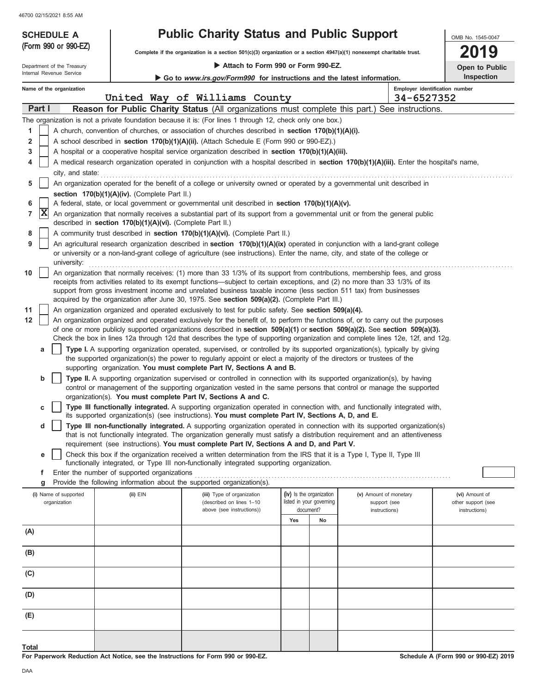| 46700 02/15/2021 8:55 AM              |                                                            |                                                                                                                                                                                                                     |     |                                                      |                                                                                                                                            |                                      |
|---------------------------------------|------------------------------------------------------------|---------------------------------------------------------------------------------------------------------------------------------------------------------------------------------------------------------------------|-----|------------------------------------------------------|--------------------------------------------------------------------------------------------------------------------------------------------|--------------------------------------|
| <b>SCHEDULE A</b>                     |                                                            | <b>Public Charity Status and Public Support</b>                                                                                                                                                                     |     |                                                      |                                                                                                                                            | OMB No. 1545-0047                    |
| (Form 990 or 990-EZ)                  |                                                            | Complete if the organization is a section $501(c)(3)$ organization or a section $4947(a)(1)$ nonexempt charitable trust.                                                                                            |     |                                                      |                                                                                                                                            | 19                                   |
| Department of the Treasury            |                                                            | Attach to Form 990 or Form 990-EZ.                                                                                                                                                                                  |     |                                                      |                                                                                                                                            |                                      |
| Internal Revenue Service              |                                                            | Go to www.irs.gov/Form990 for instructions and the latest information.                                                                                                                                              |     |                                                      |                                                                                                                                            | Open to Public<br>Inspection         |
| Name of the organization              |                                                            |                                                                                                                                                                                                                     |     |                                                      | Employer identification number                                                                                                             |                                      |
|                                       |                                                            | United Way of Williams County                                                                                                                                                                                       |     |                                                      | 34-6527352                                                                                                                                 |                                      |
| Part I                                |                                                            |                                                                                                                                                                                                                     |     |                                                      | Reason for Public Charity Status (All organizations must complete this part.) See instructions.                                            |                                      |
|                                       |                                                            | The organization is not a private foundation because it is: (For lines 1 through 12, check only one box.)                                                                                                           |     |                                                      |                                                                                                                                            |                                      |
| 1                                     |                                                            | A church, convention of churches, or association of churches described in section 170(b)(1)(A)(i).                                                                                                                  |     |                                                      |                                                                                                                                            |                                      |
| 2<br>3                                |                                                            | A school described in section 170(b)(1)(A)(ii). (Attach Schedule E (Form 990 or 990-EZ).)<br>A hospital or a cooperative hospital service organization described in section 170(b)(1)(A)(iii).                      |     |                                                      |                                                                                                                                            |                                      |
| 4                                     |                                                            |                                                                                                                                                                                                                     |     |                                                      | A medical research organization operated in conjunction with a hospital described in section 170(b)(1)(A)(iii). Enter the hospital's name, |                                      |
| city, and state:                      |                                                            |                                                                                                                                                                                                                     |     |                                                      |                                                                                                                                            |                                      |
| 5                                     |                                                            | An organization operated for the benefit of a college or university owned or operated by a governmental unit described in                                                                                           |     |                                                      |                                                                                                                                            |                                      |
|                                       | section 170(b)(1)(A)(iv). (Complete Part II.)              |                                                                                                                                                                                                                     |     |                                                      |                                                                                                                                            |                                      |
| 6                                     |                                                            | A federal, state, or local government or governmental unit described in section 170(b)(1)(A)(v).                                                                                                                    |     |                                                      |                                                                                                                                            |                                      |
| X<br>$\overline{7}$                   | described in section 170(b)(1)(A)(vi). (Complete Part II.) |                                                                                                                                                                                                                     |     |                                                      | An organization that normally receives a substantial part of its support from a governmental unit or from the general public               |                                      |
| 8                                     |                                                            | A community trust described in section 170(b)(1)(A)(vi). (Complete Part II.)                                                                                                                                        |     |                                                      |                                                                                                                                            |                                      |
| 9                                     |                                                            |                                                                                                                                                                                                                     |     |                                                      | An agricultural research organization described in section 170(b)(1)(A)(ix) operated in conjunction with a land-grant college              |                                      |
|                                       |                                                            | or university or a non-land-grant college of agriculture (see instructions). Enter the name, city, and state of the college or                                                                                      |     |                                                      |                                                                                                                                            |                                      |
| university:<br>10                     |                                                            |                                                                                                                                                                                                                     |     |                                                      | An organization that normally receives: (1) more than 33 1/3% of its support from contributions, membership fees, and gross                |                                      |
|                                       |                                                            | receipts from activities related to its exempt functions—subject to certain exceptions, and (2) no more than 33 1/3% of its                                                                                         |     |                                                      |                                                                                                                                            |                                      |
|                                       |                                                            | support from gross investment income and unrelated business taxable income (less section 511 tax) from businesses                                                                                                   |     |                                                      |                                                                                                                                            |                                      |
|                                       |                                                            | acquired by the organization after June 30, 1975. See section 509(a)(2). (Complete Part III.)                                                                                                                       |     |                                                      |                                                                                                                                            |                                      |
| 11<br>12                              |                                                            | An organization organized and operated exclusively to test for public safety. See section 509(a)(4).                                                                                                                |     |                                                      | An organization organized and operated exclusively for the benefit of, to perform the functions of, or to carry out the purposes           |                                      |
|                                       |                                                            |                                                                                                                                                                                                                     |     |                                                      | of one or more publicly supported organizations described in section 509(a)(1) or section 509(a)(2). See section 509(a)(3).                |                                      |
|                                       |                                                            |                                                                                                                                                                                                                     |     |                                                      | Check the box in lines 12a through 12d that describes the type of supporting organization and complete lines 12e, 12f, and 12g.            |                                      |
| a                                     |                                                            |                                                                                                                                                                                                                     |     |                                                      | Type I. A supporting organization operated, supervised, or controlled by its supported organization(s), typically by giving                |                                      |
|                                       |                                                            | the supported organization(s) the power to regularly appoint or elect a majority of the directors or trustees of the<br>supporting organization. You must complete Part IV, Sections A and B.                       |     |                                                      |                                                                                                                                            |                                      |
| b                                     |                                                            | Type II. A supporting organization supervised or controlled in connection with its supported organization(s), by having                                                                                             |     |                                                      |                                                                                                                                            |                                      |
|                                       |                                                            |                                                                                                                                                                                                                     |     |                                                      | control or management of the supporting organization vested in the same persons that control or manage the supported                       |                                      |
|                                       |                                                            | organization(s). You must complete Part IV, Sections A and C.                                                                                                                                                       |     |                                                      |                                                                                                                                            |                                      |
| С                                     |                                                            | its supported organization(s) (see instructions). You must complete Part IV, Sections A, D, and E.                                                                                                                  |     |                                                      | Type III functionally integrated. A supporting organization operated in connection with, and functionally integrated with,                 |                                      |
| d                                     |                                                            |                                                                                                                                                                                                                     |     |                                                      | Type III non-functionally integrated. A supporting organization operated in connection with its supported organization(s)                  |                                      |
|                                       |                                                            |                                                                                                                                                                                                                     |     |                                                      | that is not functionally integrated. The organization generally must satisfy a distribution requirement and an attentiveness               |                                      |
| е                                     |                                                            | requirement (see instructions). You must complete Part IV, Sections A and D, and Part V.<br>Check this box if the organization received a written determination from the IRS that it is a Type I, Type II, Type III |     |                                                      |                                                                                                                                            |                                      |
|                                       |                                                            | functionally integrated, or Type III non-functionally integrated supporting organization.                                                                                                                           |     |                                                      |                                                                                                                                            |                                      |
| f                                     | Enter the number of supported organizations                |                                                                                                                                                                                                                     |     |                                                      |                                                                                                                                            |                                      |
| g                                     |                                                            | Provide the following information about the supported organization(s).                                                                                                                                              |     |                                                      |                                                                                                                                            |                                      |
| (i) Name of supported<br>organization | (ii) EIN                                                   | (iii) Type of organization<br>(described on lines 1-10                                                                                                                                                              |     | (iv) Is the organization<br>listed in your governing | (v) Amount of monetary<br>support (see                                                                                                     | (vi) Amount of<br>other support (see |
|                                       |                                                            | above (see instructions))                                                                                                                                                                                           |     | document?                                            | instructions)                                                                                                                              | instructions)                        |
|                                       |                                                            |                                                                                                                                                                                                                     | Yes | No                                                   |                                                                                                                                            |                                      |
| (A)                                   |                                                            |                                                                                                                                                                                                                     |     |                                                      |                                                                                                                                            |                                      |
| (B)                                   |                                                            |                                                                                                                                                                                                                     |     |                                                      |                                                                                                                                            |                                      |
|                                       |                                                            |                                                                                                                                                                                                                     |     |                                                      |                                                                                                                                            |                                      |
| (C)                                   |                                                            |                                                                                                                                                                                                                     |     |                                                      |                                                                                                                                            |                                      |
|                                       |                                                            |                                                                                                                                                                                                                     |     |                                                      |                                                                                                                                            |                                      |
| (D)                                   |                                                            |                                                                                                                                                                                                                     |     |                                                      |                                                                                                                                            |                                      |
|                                       |                                                            |                                                                                                                                                                                                                     |     |                                                      |                                                                                                                                            |                                      |
| (E)                                   |                                                            |                                                                                                                                                                                                                     |     |                                                      |                                                                                                                                            |                                      |
|                                       |                                                            |                                                                                                                                                                                                                     |     |                                                      |                                                                                                                                            |                                      |

**For Paperwork Reduction Act Notice, see the Instructions for Form 990 or 990-EZ.**

**Schedule A (Form 990 or 990-EZ) 2019**

**Total**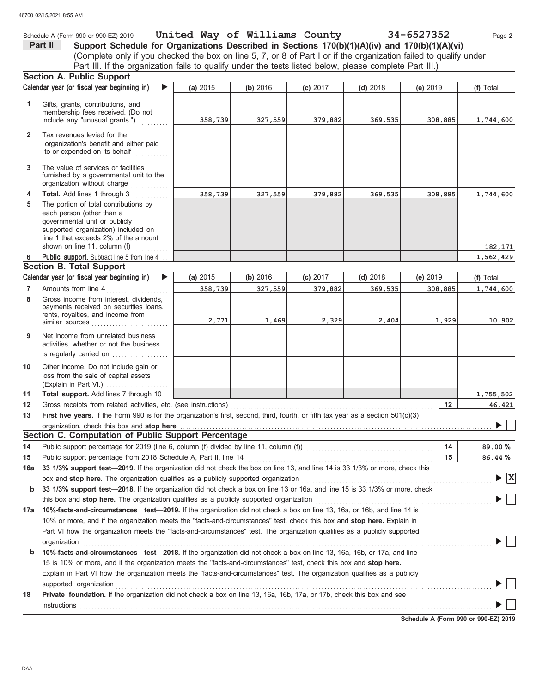|                | Schedule A (Form 990 or 990-EZ) 2019                                                                                                                                                                                          | United Way of Williams County 34-6527352 |          |            |            |            | Page 2                                 |
|----------------|-------------------------------------------------------------------------------------------------------------------------------------------------------------------------------------------------------------------------------|------------------------------------------|----------|------------|------------|------------|----------------------------------------|
|                | Part II<br>Support Schedule for Organizations Described in Sections 170(b)(1)(A)(iv) and 170(b)(1)(A)(vi)                                                                                                                     |                                          |          |            |            |            |                                        |
|                | (Complete only if you checked the box on line 5, 7, or 8 of Part I or if the organization failed to qualify under                                                                                                             |                                          |          |            |            |            |                                        |
|                | Part III. If the organization fails to qualify under the tests listed below, please complete Part III.)                                                                                                                       |                                          |          |            |            |            |                                        |
|                | Section A. Public Support                                                                                                                                                                                                     |                                          |          |            |            |            |                                        |
|                | Calendar year (or fiscal year beginning in)<br>▶                                                                                                                                                                              | (a) 2015                                 | (b) 2016 | $(c)$ 2017 | (d) $2018$ | (e) $2019$ | (f) Total                              |
|                |                                                                                                                                                                                                                               |                                          |          |            |            |            |                                        |
| 1              | Gifts, grants, contributions, and<br>membership fees received. (Do not                                                                                                                                                        |                                          |          |            |            |            |                                        |
|                | include any "unusual grants.")                                                                                                                                                                                                | 358,739                                  | 327,559  | 379,882    | 369,535    | 308,885    | 1,744,600                              |
| $\overline{2}$ | Tax revenues levied for the                                                                                                                                                                                                   |                                          |          |            |            |            |                                        |
|                | organization's benefit and either paid                                                                                                                                                                                        |                                          |          |            |            |            |                                        |
|                | to or expended on its behalf<br>distributions of                                                                                                                                                                              |                                          |          |            |            |            |                                        |
| 3              | The value of services or facilities                                                                                                                                                                                           |                                          |          |            |            |            |                                        |
|                | furnished by a governmental unit to the                                                                                                                                                                                       |                                          |          |            |            |            |                                        |
|                | organization without charge                                                                                                                                                                                                   |                                          |          |            |            |            |                                        |
| 4              | Total. Add lines 1 through 3                                                                                                                                                                                                  | 358,739                                  | 327,559  | 379,882    | 369,535    | 308,885    | 1,744,600                              |
| 5              | The portion of total contributions by                                                                                                                                                                                         |                                          |          |            |            |            |                                        |
|                | each person (other than a<br>governmental unit or publicly                                                                                                                                                                    |                                          |          |            |            |            |                                        |
|                | supported organization) included on                                                                                                                                                                                           |                                          |          |            |            |            |                                        |
|                | line 1 that exceeds 2% of the amount                                                                                                                                                                                          |                                          |          |            |            |            |                                        |
|                | shown on line 11, column (f)                                                                                                                                                                                                  |                                          |          |            |            |            | 182,171                                |
| 6              | Public support. Subtract line 5 from line 4<br><b>Section B. Total Support</b>                                                                                                                                                |                                          |          |            |            |            | 1,562,429                              |
|                | Calendar year (or fiscal year beginning in)                                                                                                                                                                                   | (a) 2015                                 | (b) 2016 | (c) 2017   | $(d)$ 2018 | (e) 2019   | (f) Total                              |
|                |                                                                                                                                                                                                                               |                                          |          |            |            |            |                                        |
| 7<br>8         | Amounts from line 4<br>Gross income from interest, dividends,                                                                                                                                                                 | 358,739                                  | 327,559  | 379,882    | 369,535    | 308,885    | 1,744,600                              |
|                | payments received on securities loans,                                                                                                                                                                                        |                                          |          |            |            |            |                                        |
|                | rents, royalties, and income from                                                                                                                                                                                             | 2,771                                    | 1,469    | 2,329      | 2,404      | 1,929      | 10,902                                 |
|                |                                                                                                                                                                                                                               |                                          |          |            |            |            |                                        |
| 9              | Net income from unrelated business                                                                                                                                                                                            |                                          |          |            |            |            |                                        |
|                | activities, whether or not the business<br>is regularly carried on                                                                                                                                                            |                                          |          |            |            |            |                                        |
|                |                                                                                                                                                                                                                               |                                          |          |            |            |            |                                        |
| 10             | Other income. Do not include gain or<br>loss from the sale of capital assets                                                                                                                                                  |                                          |          |            |            |            |                                        |
|                | (Explain in Part VI.) $\ldots$                                                                                                                                                                                                |                                          |          |            |            |            |                                        |
| 11             | Total support. Add lines 7 through 10                                                                                                                                                                                         |                                          |          |            |            |            | 1,755,502                              |
| 12             |                                                                                                                                                                                                                               |                                          |          |            |            | 12         | 46,421                                 |
| 13             | First five years. If the Form 990 is for the organization's first, second, third, fourth, or fifth tax year as a section 501(c)(3)                                                                                            |                                          |          |            |            |            |                                        |
|                | organization, check this box and stop here                                                                                                                                                                                    |                                          |          |            |            |            |                                        |
|                | Section C. Computation of Public Support Percentage                                                                                                                                                                           |                                          |          |            |            |            |                                        |
| 14             |                                                                                                                                                                                                                               |                                          |          |            |            | 14         | 89.00%                                 |
| 15             |                                                                                                                                                                                                                               |                                          |          |            |            | 15         | 86.44%                                 |
| 16a            | 33 1/3% support test-2019. If the organization did not check the box on line 13, and line 14 is 33 1/3% or more, check this                                                                                                   |                                          |          |            |            |            |                                        |
|                |                                                                                                                                                                                                                               |                                          |          |            |            |            | $\blacktriangleright \boxed{\text{X}}$ |
| b              | 33 1/3% support test-2018. If the organization did not check a box on line 13 or 16a, and line 15 is 33 1/3% or more, check                                                                                                   |                                          |          |            |            |            |                                        |
|                |                                                                                                                                                                                                                               |                                          |          |            |            |            |                                        |
| 17a            | 10%-facts-and-circumstances test-2019. If the organization did not check a box on line 13, 16a, or 16b, and line 14 is                                                                                                        |                                          |          |            |            |            |                                        |
|                | 10% or more, and if the organization meets the "facts-and-circumstances" test, check this box and stop here. Explain in                                                                                                       |                                          |          |            |            |            |                                        |
|                | Part VI how the organization meets the "facts-and-circumstances" test. The organization qualifies as a publicly supported                                                                                                     |                                          |          |            |            |            |                                        |
| b              | organization<br>10%-facts-and-circumstances test-2018. If the organization did not check a box on line 13, 16a, 16b, or 17a, and line                                                                                         |                                          |          |            |            |            |                                        |
|                | 15 is 10% or more, and if the organization meets the "facts-and-circumstances" test, check this box and stop here.                                                                                                            |                                          |          |            |            |            |                                        |
|                | Explain in Part VI how the organization meets the "facts-and-circumstances" test. The organization qualifies as a publicly                                                                                                    |                                          |          |            |            |            |                                        |
|                | supported organization with an account of the contract of the contract of the contract or the contract or the contract or the contract of the contract of the contract of the contract of the contract of the contract of the |                                          |          |            |            |            |                                        |
| 18             | Private foundation. If the organization did not check a box on line 13, 16a, 16b, 17a, or 17b, check this box and see                                                                                                         |                                          |          |            |            |            |                                        |
|                | <b>instructions</b>                                                                                                                                                                                                           |                                          |          |            |            |            |                                        |
|                |                                                                                                                                                                                                                               |                                          |          |            |            |            |                                        |

**Schedule A (Form 990 or 990-EZ) 2019**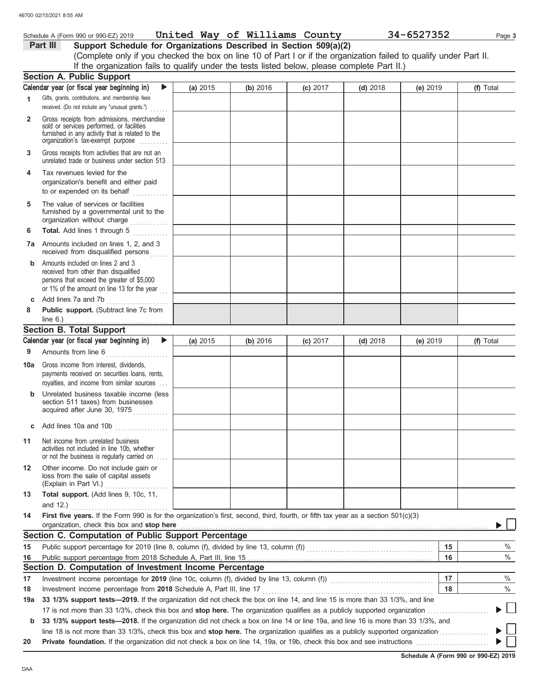|              | Schedule A (Form 990 or 990-EZ) 2019                                                                                                                                                                               |          |          | United Way of Williams County |            | 34-6527352 | Page 3    |
|--------------|--------------------------------------------------------------------------------------------------------------------------------------------------------------------------------------------------------------------|----------|----------|-------------------------------|------------|------------|-----------|
|              | Support Schedule for Organizations Described in Section 509(a)(2)<br>Part III                                                                                                                                      |          |          |                               |            |            |           |
|              | (Complete only if you checked the box on line 10 of Part I or if the organization failed to qualify under Part II.<br>If the organization fails to qualify under the tests listed below, please complete Part II.) |          |          |                               |            |            |           |
|              |                                                                                                                                                                                                                    |          |          |                               |            |            |           |
|              | <b>Section A. Public Support</b>                                                                                                                                                                                   |          |          |                               |            |            |           |
|              | Calendar year (or fiscal year beginning in)<br>$\blacktriangleright$                                                                                                                                               | (a) 2015 | (b) 2016 | (c) 2017                      | $(d)$ 2018 | (e) 2019   | (f) Total |
| 1            | Gifts, grants, contributions, and membership fees<br>received. (Do not include any "unusual grants.")                                                                                                              |          |          |                               |            |            |           |
| $\mathbf{2}$ | Gross receipts from admissions, merchandise<br>sold or services performed, or facilities<br>furnished in any activity that is related to the<br>organization's tax-exempt purpose                                  |          |          |                               |            |            |           |
| 3.           | Gross receipts from activities that are not an<br>unrelated trade or business under section 513                                                                                                                    |          |          |                               |            |            |           |
| 4            | Tax revenues levied for the<br>organization's benefit and either paid<br>to or expended on its behalf                                                                                                              |          |          |                               |            |            |           |
| 5            | The value of services or facilities<br>furnished by a governmental unit to the<br>organization without charge                                                                                                      |          |          |                               |            |            |           |
| 6            | Total. Add lines 1 through 5                                                                                                                                                                                       |          |          |                               |            |            |           |
|              | 7a Amounts included on lines 1, 2, and 3<br>received from disqualified persons                                                                                                                                     |          |          |                               |            |            |           |
| b            | Amounts included on lines 2 and 3<br>received from other than disqualified<br>persons that exceed the greater of \$5,000<br>or 1% of the amount on line 13 for the year                                            |          |          |                               |            |            |           |
| с            | Add lines 7a and 7b                                                                                                                                                                                                |          |          |                               |            |            |           |
| 8            | Public support. (Subtract line 7c from<br>line $6.$ )                                                                                                                                                              |          |          |                               |            |            |           |
|              | <b>Section B. Total Support</b>                                                                                                                                                                                    |          |          |                               |            |            |           |
|              | Calendar year (or fiscal year beginning in)<br>$\blacktriangleright$                                                                                                                                               | (a) 2015 | (b) 2016 | $(c)$ 2017                    | $(d)$ 2018 | (e) 2019   | (f) Total |
| 9            | Amounts from line 6                                                                                                                                                                                                |          |          |                               |            |            |           |
| 10a          | Gross income from interest, dividends,<br>payments received on securities loans, rents,<br>royalties, and income from similar sources                                                                              |          |          |                               |            |            |           |
|              | Unrelated business taxable income (less<br>section 511 taxes) from businesses<br>acquired after June 30, 1975                                                                                                      |          |          |                               |            |            |           |
| с            | Add lines 10a and 10b                                                                                                                                                                                              |          |          |                               |            |            |           |
| 11           | Net income from unrelated business<br>activities not included in line 10b, whether<br>or not the business is regularly carried on                                                                                  |          |          |                               |            |            |           |
| 12           | Other income. Do not include gain or<br>loss from the sale of capital assets                                                                                                                                       |          |          |                               |            |            |           |
| 13           | Total support. (Add lines 9, 10c, 11,<br>and 12.) $\ldots$                                                                                                                                                         |          |          |                               |            |            |           |
| 14           | First five years. If the Form 990 is for the organization's first, second, third, fourth, or fifth tax year as a section 501(c)(3)<br>organization, check this box and stop here                                   |          |          |                               |            |            |           |
|              | Section C. Computation of Public Support Percentage                                                                                                                                                                |          |          |                               |            |            |           |
| 15           |                                                                                                                                                                                                                    |          |          |                               |            | 15         | %         |
| 16           |                                                                                                                                                                                                                    |          |          |                               |            | 16         | $\%$      |
|              | Section D. Computation of Investment Income Percentage                                                                                                                                                             |          |          |                               |            |            |           |
| 17           | Investment income percentage for 2019 (line 10c, column (f), divided by line 13, column (f)) contational component                                                                                                 |          |          |                               |            | 17         | %         |
| 18           |                                                                                                                                                                                                                    |          |          |                               |            | 18         | $\%$      |
| 19a          | 33 1/3% support tests-2019. If the organization did not check the box on line 14, and line 15 is more than 33 1/3%, and line                                                                                       |          |          |                               |            |            |           |
|              |                                                                                                                                                                                                                    |          |          |                               |            |            |           |
| b            | 33 1/3% support tests-2018. If the organization did not check a box on line 14 or line 19a, and line 16 is more than 33 1/3%, and                                                                                  |          |          |                               |            |            |           |
|              |                                                                                                                                                                                                                    |          |          |                               |            |            |           |
| 20           |                                                                                                                                                                                                                    |          |          |                               |            |            |           |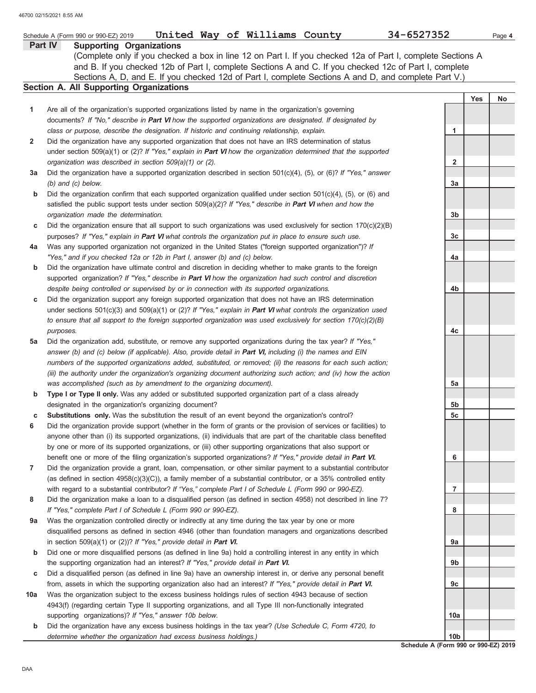|                | United Way of Williams County<br>Schedule A (Form 990 or 990-EZ) 2019                                                  | 34-6527352      |            | Page 4 |
|----------------|------------------------------------------------------------------------------------------------------------------------|-----------------|------------|--------|
|                | Part IV<br><b>Supporting Organizations</b>                                                                             |                 |            |        |
|                | (Complete only if you checked a box in line 12 on Part I. If you checked 12a of Part I, complete Sections A            |                 |            |        |
|                | and B. If you checked 12b of Part I, complete Sections A and C. If you checked 12c of Part I, complete                 |                 |            |        |
|                | Sections A, D, and E. If you checked 12d of Part I, complete Sections A and D, and complete Part V.)                   |                 |            |        |
|                | <b>Section A. All Supporting Organizations</b>                                                                         |                 |            |        |
|                |                                                                                                                        |                 | <b>Yes</b> | No     |
| 1              | Are all of the organization's supported organizations listed by name in the organization's governing                   |                 |            |        |
|                | documents? If "No," describe in Part VI how the supported organizations are designated. If designated by               |                 |            |        |
|                | class or purpose, describe the designation. If historic and continuing relationship, explain.                          | 1               |            |        |
| 2              | Did the organization have any supported organization that does not have an IRS determination of status                 |                 |            |        |
|                | under section 509(a)(1) or (2)? If "Yes," explain in <b>Part VI</b> how the organization determined that the supported |                 |            |        |
|                | organization was described in section 509(a)(1) or (2).                                                                | $\mathbf{2}$    |            |        |
| За             | Did the organization have a supported organization described in section $501(c)(4)$ , (5), or (6)? If "Yes," answer    |                 |            |        |
|                | $(b)$ and $(c)$ below.                                                                                                 | 3a              |            |        |
| b              | Did the organization confirm that each supported organization qualified under section $501(c)(4)$ , (5), or (6) and    |                 |            |        |
|                | satisfied the public support tests under section $509(a)(2)?$ If "Yes," describe in <b>Part VI</b> when and how the    |                 |            |        |
|                | organization made the determination.                                                                                   | 3b              |            |        |
| c              | Did the organization ensure that all support to such organizations was used exclusively for section $170(c)(2)(B)$     |                 |            |        |
|                | purposes? If "Yes," explain in Part VI what controls the organization put in place to ensure such use.                 | 3 <sub>c</sub>  |            |        |
| 4a             | Was any supported organization not organized in the United States ("foreign supported organization")? If               |                 |            |        |
|                | "Yes," and if you checked 12a or 12b in Part I, answer (b) and (c) below.                                              | 4a              |            |        |
| b              | Did the organization have ultimate control and discretion in deciding whether to make grants to the foreign            |                 |            |        |
|                | supported organization? If "Yes," describe in Part VI how the organization had such control and discretion             |                 |            |        |
|                | despite being controlled or supervised by or in connection with its supported organizations.                           | 4b              |            |        |
| C              | Did the organization support any foreign supported organization that does not have an IRS determination                |                 |            |        |
|                | under sections $501(c)(3)$ and $509(a)(1)$ or (2)? If "Yes," explain in Part VI what controls the organization used    |                 |            |        |
|                | to ensure that all support to the foreign supported organization was used exclusively for section $170(c)(2)(B)$       |                 |            |        |
|                | purposes.                                                                                                              | 4c              |            |        |
| 5a             | Did the organization add, substitute, or remove any supported organizations during the tax year? If "Yes,"             |                 |            |        |
|                | answer (b) and (c) below (if applicable). Also, provide detail in Part VI, including (i) the names and EIN             |                 |            |        |
|                | numbers of the supported organizations added, substituted, or removed; (ii) the reasons for each such action;          |                 |            |        |
|                | (iii) the authority under the organization's organizing document authorizing such action; and (iv) how the action      |                 |            |        |
|                | was accomplished (such as by amendment to the organizing document).                                                    | 5a              |            |        |
| b              | Type I or Type II only. Was any added or substituted supported organization part of a class already                    |                 |            |        |
|                | designated in the organization's organizing document?                                                                  | 5b              |            |        |
| с              | Substitutions only. Was the substitution the result of an event beyond the organization's control?                     | 5c              |            |        |
| 6              | Did the organization provide support (whether in the form of grants or the provision of services or facilities) to     |                 |            |        |
|                | anyone other than (i) its supported organizations, (ii) individuals that are part of the charitable class benefited    |                 |            |        |
|                | by one or more of its supported organizations, or (iii) other supporting organizations that also support or            |                 |            |        |
|                | benefit one or more of the filing organization's supported organizations? If "Yes," provide detail in Part VI.         | 6               |            |        |
| $\overline{7}$ | Did the organization provide a grant, loan, compensation, or other similar payment to a substantial contributor        |                 |            |        |
|                | (as defined in section 4958(c)(3)(C)), a family member of a substantial contributor, or a 35% controlled entity        |                 |            |        |
|                | with regard to a substantial contributor? If "Yes," complete Part I of Schedule L (Form 990 or 990-EZ).                | 7               |            |        |
| 8              | Did the organization make a loan to a disqualified person (as defined in section 4958) not described in line 7?        |                 |            |        |
|                | If "Yes," complete Part I of Schedule L (Form 990 or 990-EZ).                                                          | 8               |            |        |
| 9a             | Was the organization controlled directly or indirectly at any time during the tax year by one or more                  |                 |            |        |
|                | disqualified persons as defined in section 4946 (other than foundation managers and organizations described            |                 |            |        |
|                | in section $509(a)(1)$ or $(2)$ ? If "Yes," provide detail in Part VI.                                                 | 9а              |            |        |
| b              | Did one or more disqualified persons (as defined in line 9a) hold a controlling interest in any entity in which        |                 |            |        |
|                | the supporting organization had an interest? If "Yes," provide detail in Part VI.                                      | 9b              |            |        |
| С              | Did a disqualified person (as defined in line 9a) have an ownership interest in, or derive any personal benefit        |                 |            |        |
|                | from, assets in which the supporting organization also had an interest? If "Yes," provide detail in Part VI.           | 9с              |            |        |
| 10a            | Was the organization subject to the excess business holdings rules of section 4943 because of section                  |                 |            |        |
|                | 4943(f) (regarding certain Type II supporting organizations, and all Type III non-functionally integrated              |                 |            |        |
|                | supporting organizations)? If "Yes," answer 10b below.                                                                 | 10a             |            |        |
| b              | Did the organization have any excess business holdings in the tax year? (Use Schedule C, Form 4720, to                 |                 |            |        |
|                | determine whether the organization had excess business holdings.)                                                      | 10 <sub>b</sub> |            |        |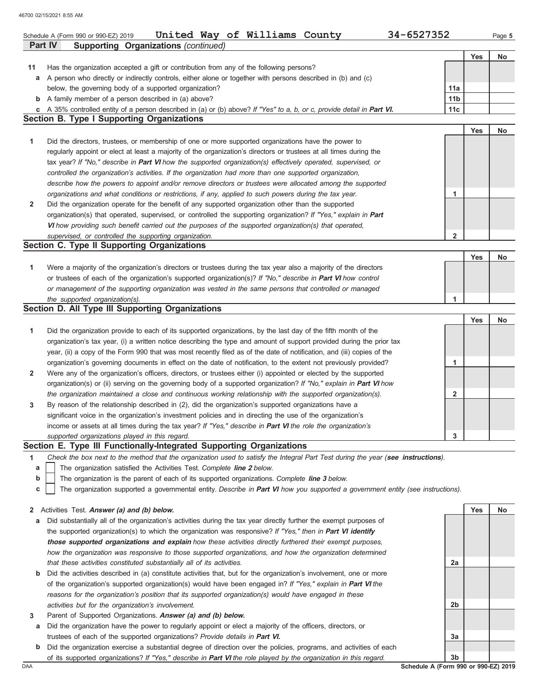|                | 34-6527352<br>United Way of Williams County<br>Schedule A (Form 990 or 990-EZ) 2019                                                                                                                                  |                         |            | Page 5 |
|----------------|----------------------------------------------------------------------------------------------------------------------------------------------------------------------------------------------------------------------|-------------------------|------------|--------|
| <b>Part IV</b> | Supporting Organizations (continued)                                                                                                                                                                                 |                         |            |        |
|                |                                                                                                                                                                                                                      |                         | <b>Yes</b> | No     |
| 11             | Has the organization accepted a gift or contribution from any of the following persons?                                                                                                                              |                         |            |        |
|                | a A person who directly or indirectly controls, either alone or together with persons described in (b) and (c)                                                                                                       |                         |            |        |
|                | below, the governing body of a supported organization?                                                                                                                                                               | 11a                     |            |        |
|                | <b>b</b> A family member of a person described in (a) above?                                                                                                                                                         | 11 <sub>b</sub>         |            |        |
|                | c A 35% controlled entity of a person described in (a) or (b) above? If "Yes" to a, b, or c, provide detail in Part VI.<br><b>Section B. Type I Supporting Organizations</b>                                         | 11c                     |            |        |
|                |                                                                                                                                                                                                                      |                         | Yes        |        |
| 1              | Did the directors, trustees, or membership of one or more supported organizations have the power to                                                                                                                  |                         |            | No     |
|                | regularly appoint or elect at least a majority of the organization's directors or trustees at all times during the                                                                                                   |                         |            |        |
|                | tax year? If "No," describe in Part VI how the supported organization(s) effectively operated, supervised, or                                                                                                        |                         |            |        |
|                | controlled the organization's activities. If the organization had more than one supported organization,                                                                                                              |                         |            |        |
|                | describe how the powers to appoint and/or remove directors or trustees were allocated among the supported                                                                                                            |                         |            |        |
|                | organizations and what conditions or restrictions, if any, applied to such powers during the tax year.                                                                                                               | 1                       |            |        |
| $\mathbf{2}$   | Did the organization operate for the benefit of any supported organization other than the supported                                                                                                                  |                         |            |        |
|                | organization(s) that operated, supervised, or controlled the supporting organization? If "Yes," explain in Part                                                                                                      |                         |            |        |
|                | VI how providing such benefit carried out the purposes of the supported organization(s) that operated,                                                                                                               |                         |            |        |
|                | supervised, or controlled the supporting organization.                                                                                                                                                               | $\overline{\mathbf{2}}$ |            |        |
|                | <b>Section C. Type II Supporting Organizations</b>                                                                                                                                                                   |                         |            |        |
|                |                                                                                                                                                                                                                      |                         | Yes        | No     |
| 1              | Were a majority of the organization's directors or trustees during the tax year also a majority of the directors                                                                                                     |                         |            |        |
|                | or trustees of each of the organization's supported organization(s)? If "No," describe in Part VI how control                                                                                                        |                         |            |        |
|                | or management of the supporting organization was vested in the same persons that controlled or managed                                                                                                               |                         |            |        |
|                | the supported organization(s).                                                                                                                                                                                       | 1                       |            |        |
|                | Section D. All Type III Supporting Organizations                                                                                                                                                                     |                         |            |        |
|                |                                                                                                                                                                                                                      |                         | Yes        | No     |
| 1              | Did the organization provide to each of its supported organizations, by the last day of the fifth month of the                                                                                                       |                         |            |        |
|                | organization's tax year, (i) a written notice describing the type and amount of support provided during the prior tax                                                                                                |                         |            |        |
|                | year, (ii) a copy of the Form 990 that was most recently filed as of the date of notification, and (iii) copies of the                                                                                               |                         |            |        |
|                | organization's governing documents in effect on the date of notification, to the extent not previously provided?                                                                                                     | 1                       |            |        |
| $\mathbf{2}$   | Were any of the organization's officers, directors, or trustees either (i) appointed or elected by the supported                                                                                                     |                         |            |        |
|                | organization(s) or (ii) serving on the governing body of a supported organization? If "No," explain in Part VI how                                                                                                   |                         |            |        |
| 3              | the organization maintained a close and continuous working relationship with the supported organization(s).<br>By reason of the relationship described in (2), did the organization's supported organizations have a | 2                       |            |        |
|                | significant voice in the organization's investment policies and in directing the use of the organization's                                                                                                           |                         |            |        |
|                | income or assets at all times during the tax year? If "Yes," describe in Part VI the role the organization's                                                                                                         |                         |            |        |
|                | supported organizations played in this regard.                                                                                                                                                                       | 3                       |            |        |
|                | Section E. Type III Functionally-Integrated Supporting Organizations                                                                                                                                                 |                         |            |        |
| 1              | Check the box next to the method that the organization used to satisfy the Integral Part Test during the year (see instructions).                                                                                    |                         |            |        |
| а              | The organization satisfied the Activities Test. Complete line 2 below.                                                                                                                                               |                         |            |        |
| b              | The organization is the parent of each of its supported organizations. Complete line 3 below.                                                                                                                        |                         |            |        |
| c              | The organization supported a governmental entity. Describe in Part VI how you supported a government entity (see instructions).                                                                                      |                         |            |        |
|                |                                                                                                                                                                                                                      |                         |            |        |
| $\mathbf{z}$   | Activities Test. Answer (a) and (b) below.                                                                                                                                                                           |                         | <b>Yes</b> | No     |
| а              | Did substantially all of the organization's activities during the tax year directly further the exempt purposes of                                                                                                   |                         |            |        |
|                | the supported organization(s) to which the organization was responsive? If "Yes," then in Part VI identify                                                                                                           |                         |            |        |
|                | those supported organizations and explain how these activities directly furthered their exempt purposes,                                                                                                             |                         |            |        |
|                | how the organization was responsive to those supported organizations, and how the organization determined                                                                                                            |                         |            |        |
|                | that these activities constituted substantially all of its activities.                                                                                                                                               | 2a                      |            |        |
| b              | Did the activities described in (a) constitute activities that, but for the organization's involvement, one or more                                                                                                  |                         |            |        |
|                | of the organization's supported organization(s) would have been engaged in? If "Yes," explain in Part VI the                                                                                                         |                         |            |        |
|                | reasons for the organization's position that its supported organization(s) would have engaged in these                                                                                                               |                         |            |        |
|                | activities but for the organization's involvement.                                                                                                                                                                   | 2b                      |            |        |
| 3              | Parent of Supported Organizations. Answer (a) and (b) below.                                                                                                                                                         |                         |            |        |
| а              | Did the organization have the power to regularly appoint or elect a majority of the officers, directors, or<br>trustees of each of the supported organizations? Provide details in Part VI.                          | За                      |            |        |
| b              | Did the organization exercise a substantial degree of direction over the policies, programs, and activities of each                                                                                                  |                         |            |        |
|                | of its supported organizations? If "Yes," describe in <b>Part VI</b> the role played by the organization in this regard.                                                                                             | 3 <sub>b</sub>          |            |        |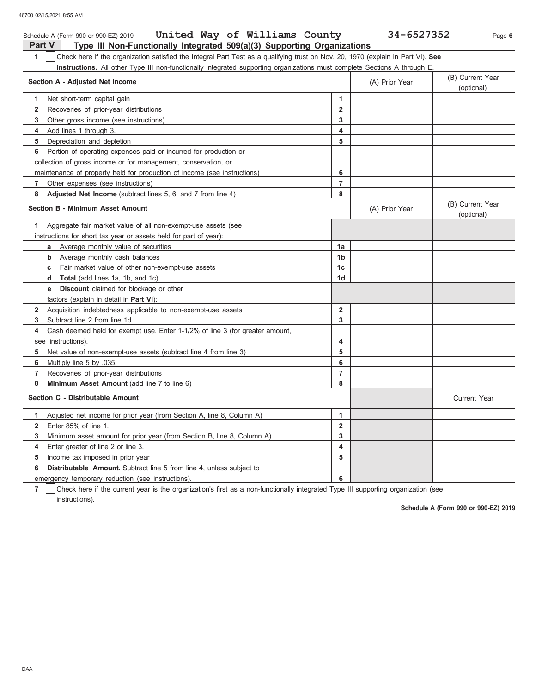| United Way of Williams County<br>Schedule A (Form 990 or 990-EZ) 2019                                                                            |                         | 34-6527352     | Page 6                         |
|--------------------------------------------------------------------------------------------------------------------------------------------------|-------------------------|----------------|--------------------------------|
| Type III Non-Functionally Integrated 509(a)(3) Supporting Organizations<br><b>Part V</b>                                                         |                         |                |                                |
| $\mathbf{1}$<br>Check here if the organization satisfied the Integral Part Test as a qualifying trust on Nov. 20, 1970 (explain in Part VI). See |                         |                |                                |
| instructions. All other Type III non-functionally integrated supporting organizations must complete Sections A through E.                        |                         |                |                                |
| Section A - Adjusted Net Income                                                                                                                  |                         | (A) Prior Year | (B) Current Year<br>(optional) |
| Net short-term capital gain<br>1                                                                                                                 | $\mathbf{1}$            |                |                                |
| $\overline{2}$<br>Recoveries of prior-year distributions                                                                                         | $\overline{2}$          |                |                                |
| 3<br>Other gross income (see instructions)                                                                                                       | 3                       |                |                                |
| Add lines 1 through 3.<br>4                                                                                                                      | 4                       |                |                                |
| Depreciation and depletion<br>5                                                                                                                  | 5                       |                |                                |
| Portion of operating expenses paid or incurred for production or<br>6                                                                            |                         |                |                                |
| collection of gross income or for management, conservation, or                                                                                   |                         |                |                                |
| maintenance of property held for production of income (see instructions)                                                                         | 6                       |                |                                |
| Other expenses (see instructions)<br>7                                                                                                           | $\overline{7}$          |                |                                |
| 8<br>Adjusted Net Income (subtract lines 5, 6, and 7 from line 4)                                                                                | 8                       |                |                                |
| <b>Section B - Minimum Asset Amount</b>                                                                                                          |                         | (A) Prior Year | (B) Current Year<br>(optional) |
| 1 Aggregate fair market value of all non-exempt-use assets (see                                                                                  |                         |                |                                |
| instructions for short tax year or assets held for part of year):                                                                                |                         |                |                                |
| <b>a</b> Average monthly value of securities                                                                                                     | 1a                      |                |                                |
| b<br>Average monthly cash balances                                                                                                               | 1 <sub>b</sub>          |                |                                |
| Fair market value of other non-exempt-use assets<br>С                                                                                            | 1 <sub>c</sub>          |                |                                |
| <b>Total</b> (add lines 1a, 1b, and 1c)<br>d                                                                                                     | 1 <sub>d</sub>          |                |                                |
| <b>Discount</b> claimed for blockage or other<br>е                                                                                               |                         |                |                                |
| factors (explain in detail in <b>Part VI)</b> :                                                                                                  |                         |                |                                |
| $\overline{2}$<br>Acquisition indebtedness applicable to non-exempt-use assets                                                                   | $\overline{\mathbf{2}}$ |                |                                |
| 3<br>Subtract line 2 from line 1d.                                                                                                               | 3                       |                |                                |
| Cash deemed held for exempt use. Enter 1-1/2% of line 3 (for greater amount,<br>4                                                                |                         |                |                                |
| see instructions)                                                                                                                                | 4                       |                |                                |
| 5<br>Net value of non-exempt-use assets (subtract line 4 from line 3)                                                                            | 5                       |                |                                |
| 6<br>Multiply line 5 by .035.                                                                                                                    | 6                       |                |                                |
| Recoveries of prior-year distributions<br>7                                                                                                      | $\overline{7}$          |                |                                |
| Minimum Asset Amount (add line 7 to line 6)<br>8                                                                                                 | 8                       |                |                                |
| Section C - Distributable Amount                                                                                                                 |                         |                | <b>Current Year</b>            |
| Adjusted net income for prior year (from Section A, line 8, Column A)<br>1                                                                       | 1                       |                |                                |
| $\overline{2}$<br>Enter 85% of line 1.                                                                                                           | $\overline{2}$          |                |                                |
| 3<br>Minimum asset amount for prior year (from Section B, line 8, Column A)                                                                      | 3                       |                |                                |
| Enter greater of line 2 or line 3.<br>4                                                                                                          | 4                       |                |                                |
| 5<br>Income tax imposed in prior year                                                                                                            | 5                       |                |                                |
| 6<br><b>Distributable Amount.</b> Subtract line 5 from line 4, unless subject to                                                                 |                         |                |                                |

emergency temporary reduction (see instructions).

**7** instructions). Check here if the current year is the organization's first as a non-functionally integrated Type III supporting organization (see

**6**

**Schedule A (Form 990 or 990-EZ) 2019**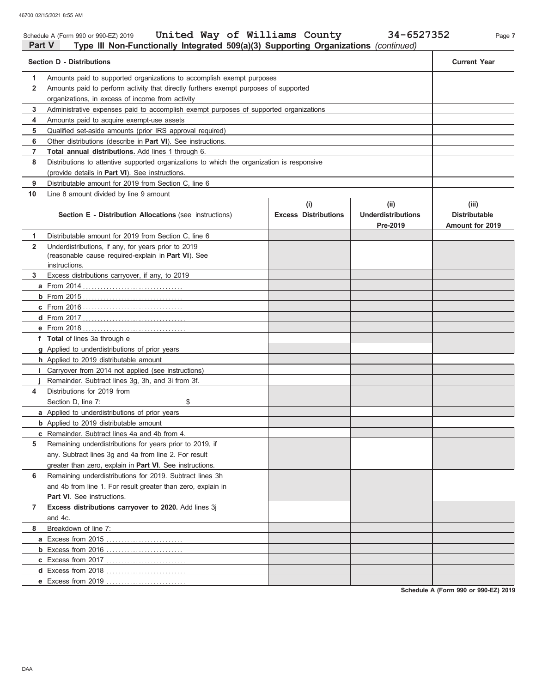|                | United Way of Williams County<br>Schedule A (Form 990 or 990-EZ) 2019                      |                             | 34-6527352                            | Page 7                                  |
|----------------|--------------------------------------------------------------------------------------------|-----------------------------|---------------------------------------|-----------------------------------------|
| <b>Part V</b>  | Type III Non-Functionally Integrated 509(a)(3) Supporting Organizations (continued)        |                             |                                       |                                         |
|                | <b>Section D - Distributions</b>                                                           |                             |                                       | <b>Current Year</b>                     |
| 1              | Amounts paid to supported organizations to accomplish exempt purposes                      |                             |                                       |                                         |
| $\overline{2}$ | Amounts paid to perform activity that directly furthers exempt purposes of supported       |                             |                                       |                                         |
|                | organizations, in excess of income from activity                                           |                             |                                       |                                         |
| 3              | Administrative expenses paid to accomplish exempt purposes of supported organizations      |                             |                                       |                                         |
| 4              | Amounts paid to acquire exempt-use assets                                                  |                             |                                       |                                         |
| 5              | Qualified set-aside amounts (prior IRS approval required)                                  |                             |                                       |                                         |
| 6              | Other distributions (describe in Part VI). See instructions.                               |                             |                                       |                                         |
| $\overline{7}$ | Total annual distributions. Add lines 1 through 6.                                         |                             |                                       |                                         |
| 8              | Distributions to attentive supported organizations to which the organization is responsive |                             |                                       |                                         |
|                | (provide details in Part VI). See instructions.                                            |                             |                                       |                                         |
| 9              | Distributable amount for 2019 from Section C, line 6                                       |                             |                                       |                                         |
| 10             | Line 8 amount divided by line 9 amount                                                     |                             |                                       |                                         |
|                |                                                                                            | (i)                         | (ii)                                  | (iii)                                   |
|                | <b>Section E - Distribution Allocations (see instructions)</b>                             | <b>Excess Distributions</b> | <b>Underdistributions</b><br>Pre-2019 | <b>Distributable</b><br>Amount for 2019 |
| 1              | Distributable amount for 2019 from Section C, line 6                                       |                             |                                       |                                         |
| $\overline{2}$ | Underdistributions, if any, for years prior to 2019                                        |                             |                                       |                                         |
|                | (reasonable cause required-explain in Part VI). See                                        |                             |                                       |                                         |
|                | instructions.                                                                              |                             |                                       |                                         |
| 3              | Excess distributions carryover, if any, to 2019                                            |                             |                                       |                                         |
|                |                                                                                            |                             |                                       |                                         |
|                |                                                                                            |                             |                                       |                                         |
|                |                                                                                            |                             |                                       |                                         |
|                |                                                                                            |                             |                                       |                                         |
|                |                                                                                            |                             |                                       |                                         |
|                | f Total of lines 3a through e                                                              |                             |                                       |                                         |
|                | g Applied to underdistributions of prior years                                             |                             |                                       |                                         |
|                | h Applied to 2019 distributable amount                                                     |                             |                                       |                                         |
|                | Carryover from 2014 not applied (see instructions)                                         |                             |                                       |                                         |
|                | Remainder. Subtract lines 3g, 3h, and 3i from 3f.                                          |                             |                                       |                                         |
| 4              | Distributions for 2019 from                                                                |                             |                                       |                                         |
|                | \$<br>Section D, line 7:                                                                   |                             |                                       |                                         |
|                | a Applied to underdistributions of prior years                                             |                             |                                       |                                         |
|                | <b>b</b> Applied to 2019 distributable amount                                              |                             |                                       |                                         |
|                | <b>c</b> Remainder. Subtract lines 4a and 4b from 4.                                       |                             |                                       |                                         |
| 5              | Remaining underdistributions for years prior to 2019, if                                   |                             |                                       |                                         |
|                | any. Subtract lines 3g and 4a from line 2. For result                                      |                             |                                       |                                         |
|                | greater than zero, explain in Part VI. See instructions.                                   |                             |                                       |                                         |
| 6              | Remaining underdistributions for 2019. Subtract lines 3h                                   |                             |                                       |                                         |
|                | and 4b from line 1. For result greater than zero, explain in                               |                             |                                       |                                         |
|                | <b>Part VI.</b> See instructions.                                                          |                             |                                       |                                         |
| $\overline{7}$ | Excess distributions carryover to 2020. Add lines 3j                                       |                             |                                       |                                         |
|                | and 4c.                                                                                    |                             |                                       |                                         |
| 8              | Breakdown of line 7:                                                                       |                             |                                       |                                         |
|                |                                                                                            |                             |                                       |                                         |
|                |                                                                                            |                             |                                       |                                         |
|                |                                                                                            |                             |                                       |                                         |
|                | d Excess from 2018                                                                         |                             |                                       |                                         |
|                | e Excess from 2019                                                                         |                             |                                       |                                         |

**Schedule A (Form 990 or 990-EZ) 2019**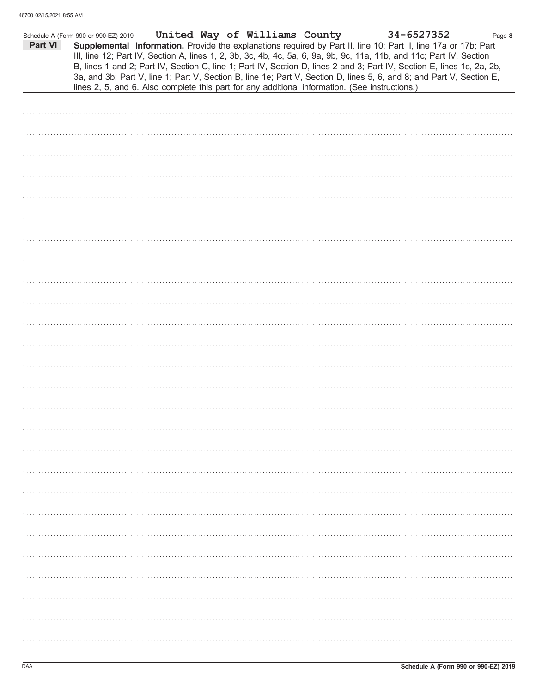| Part VI | Schedule A (Form 990 or 990-EZ) 2019<br>lines 2, 5, and 6. Also complete this part for any additional information. (See instructions.) |  | United Way of Williams County | 34-6527352<br>Supplemental Information. Provide the explanations required by Part II, line 10; Part II, line 17a or 17b; Part<br>III, line 12; Part IV, Section A, lines 1, 2, 3b, 3c, 4b, 4c, 5a, 6, 9a, 9b, 9c, 11a, 11b, and 11c; Part IV, Section<br>B, lines 1 and 2; Part IV, Section C, line 1; Part IV, Section D, lines 2 and 3; Part IV, Section E, lines 1c, 2a, 2b,<br>3a, and 3b; Part V, line 1; Part V, Section B, line 1e; Part V, Section D, lines 5, 6, and 8; and Part V, Section E, | Page 8 |
|---------|----------------------------------------------------------------------------------------------------------------------------------------|--|-------------------------------|---------------------------------------------------------------------------------------------------------------------------------------------------------------------------------------------------------------------------------------------------------------------------------------------------------------------------------------------------------------------------------------------------------------------------------------------------------------------------------------------------------|--------|
|         |                                                                                                                                        |  |                               |                                                                                                                                                                                                                                                                                                                                                                                                                                                                                                         |        |
|         |                                                                                                                                        |  |                               |                                                                                                                                                                                                                                                                                                                                                                                                                                                                                                         |        |
|         |                                                                                                                                        |  |                               |                                                                                                                                                                                                                                                                                                                                                                                                                                                                                                         |        |
|         |                                                                                                                                        |  |                               |                                                                                                                                                                                                                                                                                                                                                                                                                                                                                                         |        |
|         |                                                                                                                                        |  |                               |                                                                                                                                                                                                                                                                                                                                                                                                                                                                                                         |        |
|         |                                                                                                                                        |  |                               |                                                                                                                                                                                                                                                                                                                                                                                                                                                                                                         |        |
|         |                                                                                                                                        |  |                               |                                                                                                                                                                                                                                                                                                                                                                                                                                                                                                         |        |
|         |                                                                                                                                        |  |                               |                                                                                                                                                                                                                                                                                                                                                                                                                                                                                                         |        |
|         |                                                                                                                                        |  |                               |                                                                                                                                                                                                                                                                                                                                                                                                                                                                                                         |        |
|         |                                                                                                                                        |  |                               |                                                                                                                                                                                                                                                                                                                                                                                                                                                                                                         |        |
|         |                                                                                                                                        |  |                               |                                                                                                                                                                                                                                                                                                                                                                                                                                                                                                         |        |
|         |                                                                                                                                        |  |                               |                                                                                                                                                                                                                                                                                                                                                                                                                                                                                                         |        |
|         |                                                                                                                                        |  |                               |                                                                                                                                                                                                                                                                                                                                                                                                                                                                                                         |        |
|         |                                                                                                                                        |  |                               |                                                                                                                                                                                                                                                                                                                                                                                                                                                                                                         |        |
|         |                                                                                                                                        |  |                               |                                                                                                                                                                                                                                                                                                                                                                                                                                                                                                         |        |
|         |                                                                                                                                        |  |                               |                                                                                                                                                                                                                                                                                                                                                                                                                                                                                                         |        |
|         |                                                                                                                                        |  |                               |                                                                                                                                                                                                                                                                                                                                                                                                                                                                                                         |        |
|         |                                                                                                                                        |  |                               |                                                                                                                                                                                                                                                                                                                                                                                                                                                                                                         |        |
|         |                                                                                                                                        |  |                               |                                                                                                                                                                                                                                                                                                                                                                                                                                                                                                         |        |
|         |                                                                                                                                        |  |                               |                                                                                                                                                                                                                                                                                                                                                                                                                                                                                                         |        |
|         |                                                                                                                                        |  |                               |                                                                                                                                                                                                                                                                                                                                                                                                                                                                                                         |        |
|         |                                                                                                                                        |  |                               |                                                                                                                                                                                                                                                                                                                                                                                                                                                                                                         |        |
|         |                                                                                                                                        |  |                               |                                                                                                                                                                                                                                                                                                                                                                                                                                                                                                         |        |
|         |                                                                                                                                        |  |                               |                                                                                                                                                                                                                                                                                                                                                                                                                                                                                                         |        |
|         |                                                                                                                                        |  |                               |                                                                                                                                                                                                                                                                                                                                                                                                                                                                                                         |        |
|         |                                                                                                                                        |  |                               |                                                                                                                                                                                                                                                                                                                                                                                                                                                                                                         |        |
|         |                                                                                                                                        |  |                               |                                                                                                                                                                                                                                                                                                                                                                                                                                                                                                         |        |
|         |                                                                                                                                        |  |                               |                                                                                                                                                                                                                                                                                                                                                                                                                                                                                                         |        |
|         |                                                                                                                                        |  |                               |                                                                                                                                                                                                                                                                                                                                                                                                                                                                                                         |        |
|         |                                                                                                                                        |  |                               |                                                                                                                                                                                                                                                                                                                                                                                                                                                                                                         |        |
|         |                                                                                                                                        |  |                               |                                                                                                                                                                                                                                                                                                                                                                                                                                                                                                         |        |
|         |                                                                                                                                        |  |                               |                                                                                                                                                                                                                                                                                                                                                                                                                                                                                                         |        |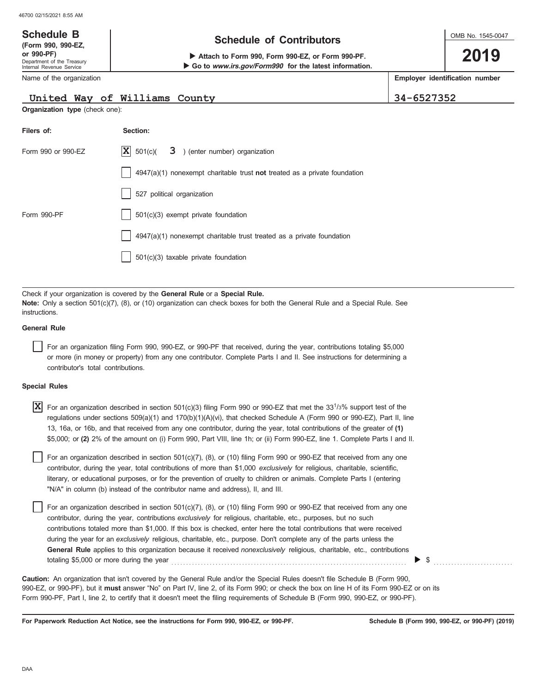### OMB No. 1545-0047 Department of the Treasury Internal Revenue Service Name of the organization **2019 Schedule of Contributors Schedule B (Form 990, 990-EZ, b** Attach to Form 990, Form 990-EZ, or Form 990-PF. **Employer identification number Go to www.irs.gov/Form990 for the latest information.**

### **United Way of Williams County 34-6527352**

**Organization type** (check one):

| 34-6527352 |  |
|------------|--|
|            |  |

| Filers of:         | Section:                                                                    |
|--------------------|-----------------------------------------------------------------------------|
| Form 990 or 990-EZ | $ \mathbf{X} $ 501(c)( $3$ ) (enter number) organization                    |
|                    | $4947(a)(1)$ nonexempt charitable trust not treated as a private foundation |
|                    | 527 political organization                                                  |
| Form 990-PF        | 501(c)(3) exempt private foundation                                         |
|                    | 4947(a)(1) nonexempt charitable trust treated as a private foundation       |
|                    | $501(c)(3)$ taxable private foundation                                      |

Check if your organization is covered by the **General Rule** or a **Special Rule. Note:** Only a section 501(c)(7), (8), or (10) organization can check boxes for both the General Rule and a Special Rule. See instructions.

### **General Rule**

For an organization filing Form 990, 990-EZ, or 990-PF that received, during the year, contributions totaling \$5,000 or more (in money or property) from any one contributor. Complete Parts I and II. See instructions for determining a contributor's total contributions.

### **Special Rules**

| $\overline{\textbf{X}}$ For an organization described in section 501(c)(3) filing Form 990 or 990-EZ that met the 331/3% support test of the |
|----------------------------------------------------------------------------------------------------------------------------------------------|
| regulations under sections 509(a)(1) and 170(b)(1)(A)(vi), that checked Schedule A (Form 990 or 990-EZ), Part II, line                       |
| 13, 16a, or 16b, and that received from any one contributor, during the year, total contributions of the greater of (1)                      |
| \$5,000; or (2) 2% of the amount on (i) Form 990, Part VIII, line 1h; or (ii) Form 990-EZ, line 1. Complete Parts I and II.                  |

literary, or educational purposes, or for the prevention of cruelty to children or animals. Complete Parts I (entering For an organization described in section  $501(c)(7)$ ,  $(8)$ , or  $(10)$  filing Form 990 or 990-EZ that received from any one contributor, during the year, total contributions of more than \$1,000 *exclusively* for religious, charitable, scientific, "N/A" in column (b) instead of the contributor name and address), II, and III.

For an organization described in section 501(c)(7), (8), or (10) filing Form 990 or 990-EZ that received from any one contributor, during the year, contributions *exclusively* for religious, charitable, etc., purposes, but no such contributions totaled more than \$1,000. If this box is checked, enter here the total contributions that were received during the year for an *exclusively* religious, charitable, etc., purpose. Don't complete any of the parts unless the **General Rule** applies to this organization because it received *nonexclusively* religious, charitable, etc., contributions totaling \$5,000 or more during the year  $\ldots$  and  $\blacktriangleright$  \$

990-EZ, or 990-PF), but it **must** answer "No" on Part IV, line 2, of its Form 990; or check the box on line H of its Form 990-EZ or on its Form 990-PF, Part I, line 2, to certify that it doesn't meet the filing requirements of Schedule B (Form 990, 990-EZ, or 990-PF). **Caution:** An organization that isn't covered by the General Rule and/or the Special Rules doesn't file Schedule B (Form 990,

**For Paperwork Reduction Act Notice, see the instructions for Form 990, 990-EZ, or 990-PF.**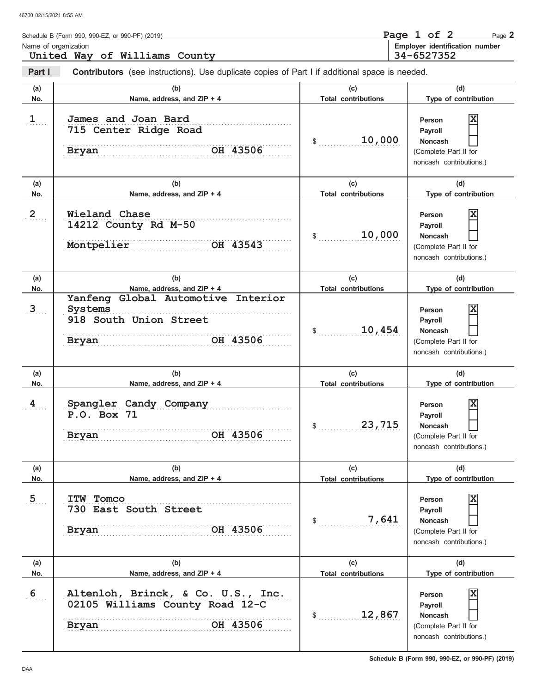|                | Schedule B (Form 990, 990-EZ, or 990-PF) (2019)                                                       |                                   | Page 1 of 2<br>Page 2                                                                                              |
|----------------|-------------------------------------------------------------------------------------------------------|-----------------------------------|--------------------------------------------------------------------------------------------------------------------|
|                | Name of organization<br>United Way of Williams County                                                 |                                   | Employer identification number<br>34-6527352                                                                       |
| Part I         | <b>Contributors</b> (see instructions). Use duplicate copies of Part I if additional space is needed. |                                   |                                                                                                                    |
| (a)<br>No.     | (b)<br>Name, address, and ZIP + 4                                                                     | (c)<br><b>Total contributions</b> | (d)<br>Type of contribution                                                                                        |
| 1              | James and Joan Bard<br>715 Center Ridge Road<br>OH 43506<br>Bryan                                     | 10,000<br>$\mathcal{S}$           | $\mathbf x$<br>Person<br>Payroll<br><b>Noncash</b><br>(Complete Part II for<br>noncash contributions.)             |
| (a)<br>No.     | (b)<br>Name, address, and ZIP + 4                                                                     | (c)<br><b>Total contributions</b> | (d)<br>Type of contribution                                                                                        |
| $\mathbf{2}$   | Wieland Chase<br>14212 County Rd M-50<br>OH 43543<br>Montpelier                                       | 10,000<br>$\mathbb{S}$            | X<br>Person<br>Payroll<br><b>Noncash</b><br>(Complete Part II for<br>noncash contributions.)                       |
| (a)            | (b)                                                                                                   | (c)                               | (d)                                                                                                                |
| No.            | Name, address, and ZIP + 4<br>Yanfeng Global Automotive Interior                                      | <b>Total contributions</b>        | Type of contribution                                                                                               |
| 3              | Systems<br>918 South Union Street<br>OH 43506<br><b>Bryan</b>                                         | 10,454                            | X<br><b>Person</b><br>Payroll<br><b>Noncash</b><br>(Complete Part II for<br>noncash contributions.)                |
| (a)<br>No.     | (b)<br>Name, address, and ZIP + 4                                                                     | (c)<br><b>Total contributions</b> | (d)<br>Type of contribution                                                                                        |
| 4              | Spangler Candy Company<br>P.O. Box 71<br>OH 43506<br><b>Bryan</b>                                     | 23,715<br>\$                      | $\overline{\mathbf{x}}$<br>Person<br>Payroll<br><b>Noncash</b><br>(Complete Part II for<br>noncash contributions.) |
| (a)<br>No.     | (b)<br>Name, address, and ZIP + 4                                                                     | (c)<br><b>Total contributions</b> | (d)<br>Type of contribution                                                                                        |
| $\overline{5}$ | <b>ITW</b><br>Tomco<br>730 East South Street<br>OH 43506<br><b>Bryan</b>                              | 7,641<br>\$                       | $\overline{\mathbf{x}}$<br>Person<br>Payroll<br>Noncash<br>(Complete Part II for<br>noncash contributions.)        |
| (a)<br>No.     | (b)<br>Name, address, and ZIP + 4                                                                     | (c)<br><b>Total contributions</b> | (d)<br>Type of contribution                                                                                        |
| 6              | Altenloh, Brinck, & Co. U.S., Inc.<br>02105 Williams County Road 12-C<br>OH 43506<br><b>Bryan</b>     | 12,867<br>\$                      | x<br>Person<br>Payroll<br>Noncash<br>(Complete Part II for<br>noncash contributions.)                              |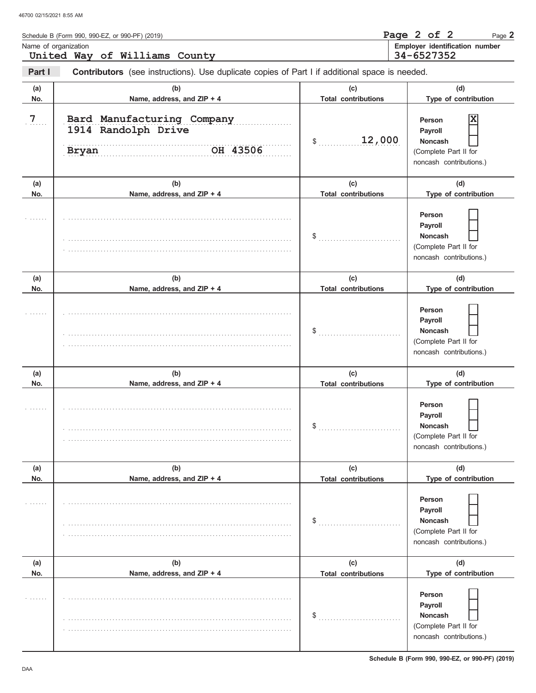|                | Schedule B (Form 990, 990-EZ, or 990-PF) (2019)                                                       |                                   | Page 2 of 2<br>Page 2                                                                                           |
|----------------|-------------------------------------------------------------------------------------------------------|-----------------------------------|-----------------------------------------------------------------------------------------------------------------|
|                | Name of organization<br>United Way of Williams County                                                 |                                   | Employer identification number<br>34-6527352                                                                    |
| Part I         | <b>Contributors</b> (see instructions). Use duplicate copies of Part I if additional space is needed. |                                   |                                                                                                                 |
| (a)<br>No.     | (b)<br>Name, address, and ZIP + 4                                                                     | (c)<br><b>Total contributions</b> | (d)<br>Type of contribution                                                                                     |
| $7\phantom{.}$ | Bard Manufacturing Company<br>1914 Randolph Drive<br>OH 43506<br><b>Bryan</b>                         | 12,000<br>\$                      | X<br>Person<br>Payroll<br><b>Noncash</b><br>(Complete Part II for<br>noncash contributions.)                    |
| (a)            | (b)                                                                                                   | (c)                               | (d)                                                                                                             |
| No.            | Name, address, and ZIP + 4                                                                            | <b>Total contributions</b>        | Type of contribution                                                                                            |
|                |                                                                                                       | \$                                | Person<br>Payroll<br><b>Noncash</b><br>(Complete Part II for<br>noncash contributions.)                         |
| (a)            | (b)                                                                                                   | (c)                               | (d)                                                                                                             |
| No.            | Name, address, and ZIP + 4                                                                            | <b>Total contributions</b>        | Type of contribution                                                                                            |
|                |                                                                                                       | \$                                | Person<br>Payroll<br><b>Noncash</b><br>(Complete Part II for<br>noncash contributions.)                         |
| (a)            | (b)                                                                                                   | (c)                               | (d)                                                                                                             |
| No.            | Name, address, and ZIP + 4                                                                            | <b>Total contributions</b>        | Type of contribution                                                                                            |
|                |                                                                                                       | \$                                | Person<br>Payroll<br>Noncash<br>(Complete Part II for<br>noncash contributions.)                                |
| (a)            | (b)                                                                                                   | (c)                               | (d)                                                                                                             |
| No.            | Name, address, and ZIP + 4                                                                            | <b>Total contributions</b><br>\$  | Type of contribution<br>Person<br>Payroll<br><b>Noncash</b><br>(Complete Part II for<br>noncash contributions.) |
| (a)            | (b)                                                                                                   | (c)                               | (d)                                                                                                             |
| No.            | Name, address, and ZIP + 4                                                                            | <b>Total contributions</b><br>\$  | Type of contribution<br>Person<br>Payroll<br><b>Noncash</b><br>(Complete Part II for<br>noncash contributions.) |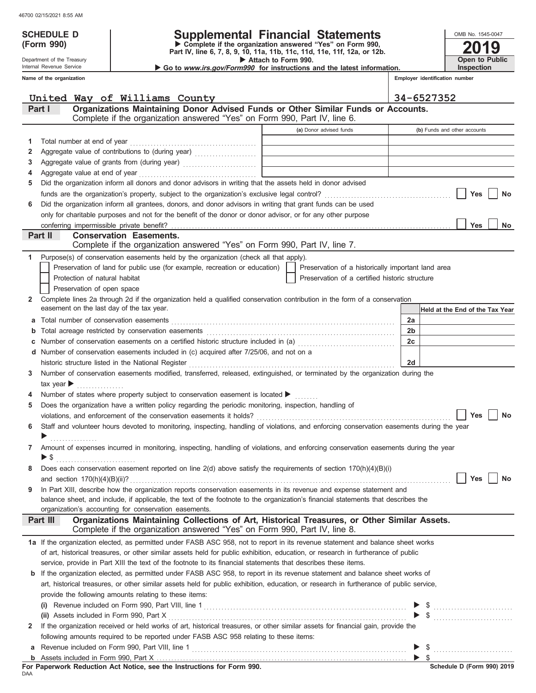Department of the Treasury Internal Revenue Service **Name of the organization**

**(Form 990)**

# **SCHEDULE D Supplemental Financial Statements**

**Part IV, line 6, 7, 8, 9, 10, 11a, 11b, 11c, 11d, 11e, 11f, 12a, or 12b. Complete if the organization answered "Yes" on Form 990,**

 **Attach to Form 990.** 

| OMB No. 1545-0047     |
|-----------------------|
| 2019                  |
| <b>Open to Public</b> |
| Inspection            |

**Employer identification number**

I.

 **Go to www.irs.gov/Form990 for instructions and the latest information.**

|                | United Way of Williams County                                                                                                                                            |                                                    |                | 34-6527352                      |
|----------------|--------------------------------------------------------------------------------------------------------------------------------------------------------------------------|----------------------------------------------------|----------------|---------------------------------|
|                | Organizations Maintaining Donor Advised Funds or Other Similar Funds or Accounts.<br>Part I<br>Complete if the organization answered "Yes" on Form 990, Part IV, line 6. |                                                    |                |                                 |
|                |                                                                                                                                                                          | (a) Donor advised funds                            |                | (b) Funds and other accounts    |
| 1              |                                                                                                                                                                          |                                                    |                |                                 |
| 2              |                                                                                                                                                                          |                                                    |                |                                 |
| З              |                                                                                                                                                                          |                                                    |                |                                 |
| 4              |                                                                                                                                                                          |                                                    |                |                                 |
| 5              | Did the organization inform all donors and donor advisors in writing that the assets held in donor advised                                                               |                                                    |                |                                 |
|                |                                                                                                                                                                          |                                                    |                | <b>Yes</b><br>No                |
| 6              | Did the organization inform all grantees, donors, and donor advisors in writing that grant funds can be used                                                             |                                                    |                |                                 |
|                | only for charitable purposes and not for the benefit of the donor or donor advisor, or for any other purpose                                                             |                                                    |                |                                 |
|                | conferring impermissible private benefit?                                                                                                                                |                                                    |                | Yes<br>No                       |
|                | Part II<br><b>Conservation Easements.</b>                                                                                                                                |                                                    |                |                                 |
|                | Complete if the organization answered "Yes" on Form 990, Part IV, line 7.                                                                                                |                                                    |                |                                 |
| 1.             | Purpose(s) of conservation easements held by the organization (check all that apply).                                                                                    |                                                    |                |                                 |
|                | Preservation of land for public use (for example, recreation or education)                                                                                               | Preservation of a historically important land area |                |                                 |
|                | Protection of natural habitat                                                                                                                                            | Preservation of a certified historic structure     |                |                                 |
|                | Preservation of open space                                                                                                                                               |                                                    |                |                                 |
| 2              | Complete lines 2a through 2d if the organization held a qualified conservation contribution in the form of a conservation                                                |                                                    |                |                                 |
|                | easement on the last day of the tax year.                                                                                                                                |                                                    |                | Held at the End of the Tax Year |
|                |                                                                                                                                                                          |                                                    | 2a             |                                 |
| b              |                                                                                                                                                                          |                                                    | 2 <sub>b</sub> |                                 |
| c.             | Number of conservation easements on a certified historic structure included in (a)                                                                                       |                                                    | 2 <sub>c</sub> |                                 |
|                | d Number of conservation easements included in (c) acquired after 7/25/06, and not on a                                                                                  |                                                    |                |                                 |
|                |                                                                                                                                                                          |                                                    | 2d             |                                 |
| 3              | Number of conservation easements modified, transferred, released, extinguished, or terminated by the organization during the                                             |                                                    |                |                                 |
|                | tax year $\blacktriangleright$                                                                                                                                           |                                                    |                |                                 |
| 4              | Number of states where property subject to conservation easement is located >                                                                                            |                                                    |                |                                 |
| 5              | Does the organization have a written policy regarding the periodic monitoring, inspection, handling of                                                                   |                                                    |                |                                 |
|                |                                                                                                                                                                          |                                                    |                | <b>Yes</b><br>No                |
| 6              | Staff and volunteer hours devoted to monitoring, inspecting, handling of violations, and enforcing conservation easements during the year                                |                                                    |                |                                 |
|                | .                                                                                                                                                                        |                                                    |                |                                 |
| 7 <sup>7</sup> | Amount of expenses incurred in monitoring, inspecting, handling of violations, and enforcing conservation easements during the year                                      |                                                    |                |                                 |
|                | ▶ \$                                                                                                                                                                     |                                                    |                |                                 |
| 8              | Does each conservation easement reported on line 2(d) above satisfy the requirements of section 170(h)(4)(B)(i)                                                          |                                                    |                |                                 |
|                | and section $170(h)(4)(B)(ii)?$                                                                                                                                          |                                                    |                | No<br>Yes                       |
| 9              | In Part XIII, describe how the organization reports conservation easements in its revenue and expense statement and                                                      |                                                    |                |                                 |
|                | balance sheet, and include, if applicable, the text of the footnote to the organization's financial statements that describes the                                        |                                                    |                |                                 |
|                | organization's accounting for conservation easements.                                                                                                                    |                                                    |                |                                 |
|                | Organizations Maintaining Collections of Art, Historical Treasures, or Other Similar Assets.<br>Part III                                                                 |                                                    |                |                                 |
|                | Complete if the organization answered "Yes" on Form 990, Part IV, line 8.                                                                                                |                                                    |                |                                 |
|                | 1a If the organization elected, as permitted under FASB ASC 958, not to report in its revenue statement and balance sheet works                                          |                                                    |                |                                 |
|                | of art, historical treasures, or other similar assets held for public exhibition, education, or research in furtherance of public                                        |                                                    |                |                                 |
|                | service, provide in Part XIII the text of the footnote to its financial statements that describes these items.                                                           |                                                    |                |                                 |
|                | <b>b</b> If the organization elected, as permitted under FASB ASC 958, to report in its revenue statement and balance sheet works of                                     |                                                    |                |                                 |
|                | art, historical treasures, or other similar assets held for public exhibition, education, or research in furtherance of public service,                                  |                                                    |                |                                 |
|                | provide the following amounts relating to these items:                                                                                                                   |                                                    |                |                                 |
|                |                                                                                                                                                                          |                                                    |                |                                 |
|                | (ii) Assets included in Form 990, Part X                                                                                                                                 |                                                    |                |                                 |
| $\mathbf{z}$   | If the organization received or held works of art, historical treasures, or other similar assets for financial gain, provide the                                         |                                                    |                |                                 |

| 2 If the organization received or held works of art, historical treasures, or other similar assets for financial gain, provide |
|--------------------------------------------------------------------------------------------------------------------------------|
| following amounts required to be reported under FASB ASC 958 relating to these items:                                          |
| <b>a</b> Revenue included on Form 990. Part VIII, line 1                                                                       |

| <b>b</b> Assets included in Form 990. Part X |  |  |
|----------------------------------------------|--|--|

DAA

\$ . . . . . . . . . . . . . . . . . . . . . . . . . . .

\$

 $\blacktriangleright$  $\blacktriangleright$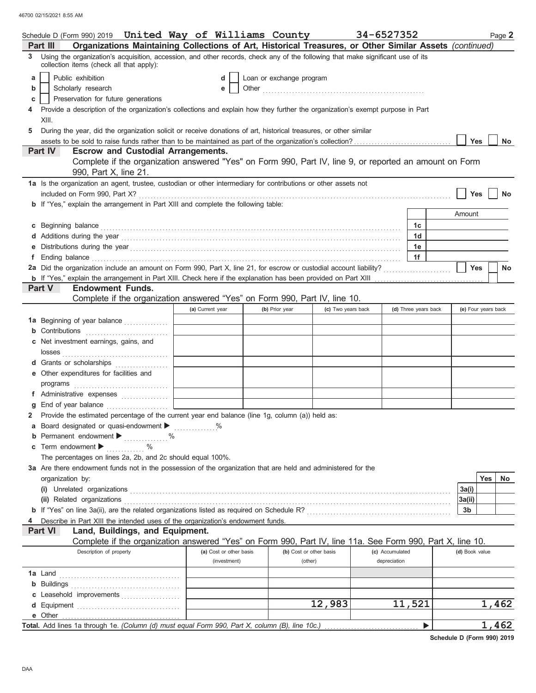|    | Schedule D (Form 990) 2019 United Way of Williams County                                                                                                                                                                                                                                                                                                                        |                  |                         |                          |                    | 34-6527352      |                      |                     | Page 2    |
|----|---------------------------------------------------------------------------------------------------------------------------------------------------------------------------------------------------------------------------------------------------------------------------------------------------------------------------------------------------------------------------------|------------------|-------------------------|--------------------------|--------------------|-----------------|----------------------|---------------------|-----------|
|    | Organizations Maintaining Collections of Art, Historical Treasures, or Other Similar Assets (continued)<br>Part III                                                                                                                                                                                                                                                             |                  |                         |                          |                    |                 |                      |                     |           |
| 3  | Using the organization's acquisition, accession, and other records, check any of the following that make significant use of its<br>collection items (check all that apply):                                                                                                                                                                                                     |                  |                         |                          |                    |                 |                      |                     |           |
| a  | Public exhibition                                                                                                                                                                                                                                                                                                                                                               | d                |                         | Loan or exchange program |                    |                 |                      |                     |           |
| b  | Scholarly research                                                                                                                                                                                                                                                                                                                                                              | e                |                         |                          |                    |                 |                      |                     |           |
| С  | Preservation for future generations                                                                                                                                                                                                                                                                                                                                             |                  |                         |                          |                    |                 |                      |                     |           |
|    | Provide a description of the organization's collections and explain how they further the organization's exempt purpose in Part                                                                                                                                                                                                                                                  |                  |                         |                          |                    |                 |                      |                     |           |
|    | XIII.                                                                                                                                                                                                                                                                                                                                                                           |                  |                         |                          |                    |                 |                      |                     |           |
| 5  | During the year, did the organization solicit or receive donations of art, historical treasures, or other similar                                                                                                                                                                                                                                                               |                  |                         |                          |                    |                 |                      |                     |           |
|    |                                                                                                                                                                                                                                                                                                                                                                                 |                  |                         |                          |                    |                 |                      | Yes                 | <b>No</b> |
|    | <b>Escrow and Custodial Arrangements.</b><br>Part IV                                                                                                                                                                                                                                                                                                                            |                  |                         |                          |                    |                 |                      |                     |           |
|    | Complete if the organization answered "Yes" on Form 990, Part IV, line 9, or reported an amount on Form                                                                                                                                                                                                                                                                         |                  |                         |                          |                    |                 |                      |                     |           |
|    | 990, Part X, line 21.                                                                                                                                                                                                                                                                                                                                                           |                  |                         |                          |                    |                 |                      |                     |           |
|    | 1a Is the organization an agent, trustee, custodian or other intermediary for contributions or other assets not                                                                                                                                                                                                                                                                 |                  |                         |                          |                    |                 |                      |                     |           |
|    |                                                                                                                                                                                                                                                                                                                                                                                 |                  |                         |                          |                    |                 |                      | Yes                 | No        |
|    | b If "Yes," explain the arrangement in Part XIII and complete the following table:                                                                                                                                                                                                                                                                                              |                  |                         |                          |                    |                 |                      |                     |           |
|    |                                                                                                                                                                                                                                                                                                                                                                                 |                  |                         |                          |                    |                 |                      | Amount              |           |
| С  |                                                                                                                                                                                                                                                                                                                                                                                 |                  |                         |                          |                    |                 | 1c                   |                     |           |
|    |                                                                                                                                                                                                                                                                                                                                                                                 |                  |                         |                          |                    |                 | 1d                   |                     |           |
| е  | Distributions during the year manufactured and contact the year manufactured and properties are properly and the year manufactured and properties are properly and the year manufactured and the year manufactured and the yea                                                                                                                                                  |                  |                         |                          |                    |                 | 1e                   |                     |           |
| f  |                                                                                                                                                                                                                                                                                                                                                                                 |                  |                         |                          |                    |                 | 1f                   |                     |           |
|    | 2a Did the organization include an amount on Form 990, Part X, line 21, for escrow or custodial account liability?                                                                                                                                                                                                                                                              |                  |                         |                          |                    |                 |                      | <b>Yes</b>          | No        |
|    |                                                                                                                                                                                                                                                                                                                                                                                 |                  |                         |                          |                    |                 |                      |                     |           |
|    | <b>Endowment Funds.</b><br><b>Part V</b>                                                                                                                                                                                                                                                                                                                                        |                  |                         |                          |                    |                 |                      |                     |           |
|    | Complete if the organization answered "Yes" on Form 990, Part IV, line 10.                                                                                                                                                                                                                                                                                                      |                  |                         |                          |                    |                 |                      |                     |           |
|    |                                                                                                                                                                                                                                                                                                                                                                                 | (a) Current year |                         | (b) Prior year           | (c) Two years back |                 | (d) Three years back | (e) Four years back |           |
|    | 1a Beginning of year balance                                                                                                                                                                                                                                                                                                                                                    |                  |                         |                          |                    |                 |                      |                     |           |
|    | <b>b</b> Contributions <b>contributions</b>                                                                                                                                                                                                                                                                                                                                     |                  |                         |                          |                    |                 |                      |                     |           |
|    | c Net investment earnings, gains, and                                                                                                                                                                                                                                                                                                                                           |                  |                         |                          |                    |                 |                      |                     |           |
|    |                                                                                                                                                                                                                                                                                                                                                                                 |                  |                         |                          |                    |                 |                      |                     |           |
|    | d Grants or scholarships                                                                                                                                                                                                                                                                                                                                                        |                  |                         |                          |                    |                 |                      |                     |           |
|    | e Other expenditures for facilities and                                                                                                                                                                                                                                                                                                                                         |                  |                         |                          |                    |                 |                      |                     |           |
|    | $\mathsf{programs}$ [[1] $\mathsf{groups}$ [[1] $\mathsf{groups}$ [[1] $\mathsf{groups}$ [[1] $\mathsf{groups}$ [[1] $\mathsf{groups}$ [[1] $\mathsf{groups}$ [[1] $\mathsf{groups}$ [[1] $\mathsf{groups}$ [[1] $\mathsf{groups}$ [[1] $\mathsf{groups}$ [[1] $\mathsf{groups}$ [[1] $\mathsf{groups}$ [[1] $\mathsf{groups}$ [[1] $\mathsf{groups}$ [[1] $\mathsf{groups}$ [[ |                  |                         |                          |                    |                 |                      |                     |           |
|    | f Administrative expenses                                                                                                                                                                                                                                                                                                                                                       |                  |                         |                          |                    |                 |                      |                     |           |
| g  |                                                                                                                                                                                                                                                                                                                                                                                 |                  |                         |                          |                    |                 |                      |                     |           |
| 2. | Provide the estimated percentage of the current year end balance (line 1g, column (a)) held as:                                                                                                                                                                                                                                                                                 |                  |                         |                          |                    |                 |                      |                     |           |
|    | a Board designated or quasi-endowment >                                                                                                                                                                                                                                                                                                                                         | ℅                |                         |                          |                    |                 |                      |                     |           |
|    |                                                                                                                                                                                                                                                                                                                                                                                 |                  |                         |                          |                    |                 |                      |                     |           |
| c  | Term endowment $\blacktriangleright$<br>$\%$<br>.                                                                                                                                                                                                                                                                                                                               |                  |                         |                          |                    |                 |                      |                     |           |
|    | The percentages on lines 2a, 2b, and 2c should equal 100%.                                                                                                                                                                                                                                                                                                                      |                  |                         |                          |                    |                 |                      |                     |           |
|    | 3a Are there endowment funds not in the possession of the organization that are held and administered for the                                                                                                                                                                                                                                                                   |                  |                         |                          |                    |                 |                      |                     |           |
|    | organization by:                                                                                                                                                                                                                                                                                                                                                                |                  |                         |                          |                    |                 |                      | Yes                 | No.       |
|    |                                                                                                                                                                                                                                                                                                                                                                                 |                  |                         |                          |                    |                 |                      | 3a(i)               |           |
|    | (ii) Related organizations <b>contracts</b> and contracts are contracted as a contract of the contract of the contract or contract or contract or contract or contract or contract or contract or contract or contract or contract                                                                                                                                              |                  |                         |                          |                    |                 |                      | 3a(ii)              |           |
|    |                                                                                                                                                                                                                                                                                                                                                                                 |                  |                         |                          |                    |                 |                      | 3b                  |           |
| 4  | Describe in Part XIII the intended uses of the organization's endowment funds.                                                                                                                                                                                                                                                                                                  |                  |                         |                          |                    |                 |                      |                     |           |
|    | <b>Part VI</b><br>Land, Buildings, and Equipment.                                                                                                                                                                                                                                                                                                                               |                  |                         |                          |                    |                 |                      |                     |           |
|    | Complete if the organization answered "Yes" on Form 990, Part IV, line 11a. See Form 990, Part X, line 10.                                                                                                                                                                                                                                                                      |                  |                         |                          |                    |                 |                      |                     |           |
|    | Description of property                                                                                                                                                                                                                                                                                                                                                         |                  | (a) Cost or other basis | (b) Cost or other basis  |                    | (c) Accumulated |                      | (d) Book value      |           |
|    |                                                                                                                                                                                                                                                                                                                                                                                 |                  | (investment)            | (other)                  |                    | depreciation    |                      |                     |           |
|    |                                                                                                                                                                                                                                                                                                                                                                                 |                  |                         |                          |                    |                 |                      |                     |           |
|    |                                                                                                                                                                                                                                                                                                                                                                                 |                  |                         |                          |                    |                 |                      |                     |           |
|    | Leasehold improvements                                                                                                                                                                                                                                                                                                                                                          |                  |                         |                          |                    |                 |                      |                     |           |
| d  |                                                                                                                                                                                                                                                                                                                                                                                 |                  |                         |                          | 12,983             |                 | 11,521               |                     | 1,462     |
|    |                                                                                                                                                                                                                                                                                                                                                                                 |                  |                         |                          |                    |                 |                      |                     |           |
|    | Total. Add lines 1a through 1e. (Column (d) must equal Form 990, Part X, column (B), line 10c.)                                                                                                                                                                                                                                                                                 |                  |                         |                          |                    |                 | ▶                    |                     | 1,462     |

| Schedule D (Form 990) 2019 |  |  |
|----------------------------|--|--|
|                            |  |  |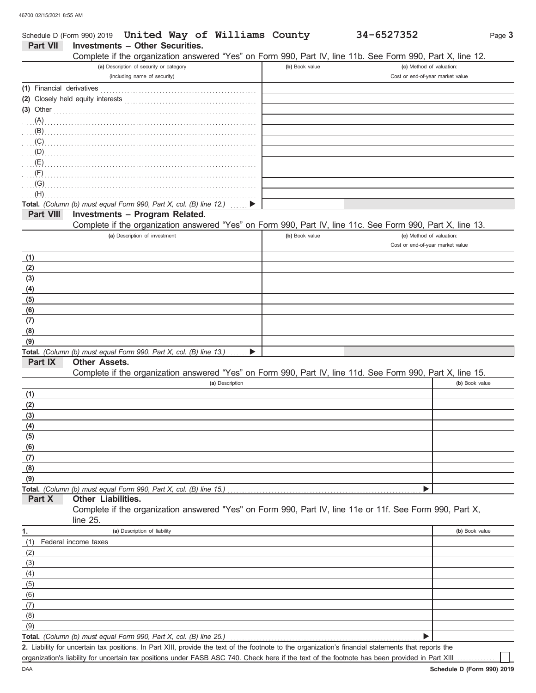|                           | Schedule D (Form 990) 2019 United Way of Williams County                                                   |                | 34-6527352                       | Page 3         |
|---------------------------|------------------------------------------------------------------------------------------------------------|----------------|----------------------------------|----------------|
| <b>Part VII</b>           | <b>Investments - Other Securities.</b>                                                                     |                |                                  |                |
|                           | Complete if the organization answered "Yes" on Form 990, Part IV, line 11b. See Form 990, Part X, line 12. |                |                                  |                |
|                           | (a) Description of security or category                                                                    | (b) Book value | (c) Method of valuation:         |                |
|                           | (including name of security)                                                                               |                | Cost or end-of-year market value |                |
| (1) Financial derivatives |                                                                                                            |                |                                  |                |
|                           |                                                                                                            |                |                                  |                |
| $(3)$ Other               |                                                                                                            |                |                                  |                |
| (A)                       |                                                                                                            |                |                                  |                |
|                           |                                                                                                            |                |                                  |                |
|                           | $\overline{c}$ (C)                                                                                         |                |                                  |                |
|                           | (D)                                                                                                        |                |                                  |                |
|                           |                                                                                                            |                |                                  |                |
| (F)                       |                                                                                                            |                |                                  |                |
| (G)                       |                                                                                                            |                |                                  |                |
| (H)                       |                                                                                                            |                |                                  |                |
|                           | Total. (Column (b) must equal Form 990, Part X, col. (B) line 12.)                                         |                |                                  |                |
| Part VIII                 | <b>Investments - Program Related.</b>                                                                      |                |                                  |                |
|                           | Complete if the organization answered "Yes" on Form 990, Part IV, line 11c. See Form 990, Part X, line 13. |                |                                  |                |
|                           | (a) Description of investment                                                                              | (b) Book value | (c) Method of valuation:         |                |
|                           |                                                                                                            |                | Cost or end-of-year market value |                |
| (1)                       |                                                                                                            |                |                                  |                |
| (2)                       |                                                                                                            |                |                                  |                |
| (3)                       |                                                                                                            |                |                                  |                |
| (4)                       |                                                                                                            |                |                                  |                |
| (5)                       |                                                                                                            |                |                                  |                |
| (6)                       |                                                                                                            |                |                                  |                |
| (7)                       |                                                                                                            |                |                                  |                |
| (8)                       |                                                                                                            |                |                                  |                |
| (9)                       |                                                                                                            |                |                                  |                |
|                           | Total. (Column (b) must equal Form 990, Part X, col. (B) line 13.)<br>▶                                    |                |                                  |                |
| Part IX                   | Other Assets.                                                                                              |                |                                  |                |
|                           | Complete if the organization answered "Yes" on Form 990, Part IV, line 11d. See Form 990, Part X, line 15. |                |                                  |                |
|                           | (a) Description                                                                                            |                |                                  | (b) Book value |
| (1)                       |                                                                                                            |                |                                  |                |
| (2)                       |                                                                                                            |                |                                  |                |
| (3)                       |                                                                                                            |                |                                  |                |
| (4)                       |                                                                                                            |                |                                  |                |
| (5)                       |                                                                                                            |                |                                  |                |
| (6)                       |                                                                                                            |                |                                  |                |
| (7)                       |                                                                                                            |                |                                  |                |
| (8)                       |                                                                                                            |                |                                  |                |
| (9)                       |                                                                                                            |                |                                  |                |
|                           | Total. (Column (b) must equal Form 990, Part X, col. (B) line 15.)                                         |                |                                  |                |
| Part X                    | Other Liabilities.                                                                                         |                |                                  |                |
|                           | Complete if the organization answered "Yes" on Form 990, Part IV, line 11e or 11f. See Form 990, Part X,   |                |                                  |                |
|                           | line 25.                                                                                                   |                |                                  |                |
| 1.                        | (a) Description of liability                                                                               |                |                                  | (b) Book value |
| (1)                       | Federal income taxes                                                                                       |                |                                  |                |
| (2)                       |                                                                                                            |                |                                  |                |
| (3)                       |                                                                                                            |                |                                  |                |
| (4)                       |                                                                                                            |                |                                  |                |
| (5)                       |                                                                                                            |                |                                  |                |
| (6)                       |                                                                                                            |                |                                  |                |
| (7)                       |                                                                                                            |                |                                  |                |
| (8)                       |                                                                                                            |                |                                  |                |
| (9)                       |                                                                                                            |                |                                  |                |
|                           | Total. (Column (b) must equal Form 990, Part X, col. (B) line 25.)                                         |                | ▶                                |                |

Liability for uncertain tax positions. In Part XIII, provide the text of the footnote to the organization's financial statements that reports the **2.** organization's liability for uncertain tax positions under FASB ASC 740. Check here if the text of the footnote has been provided in Part XIII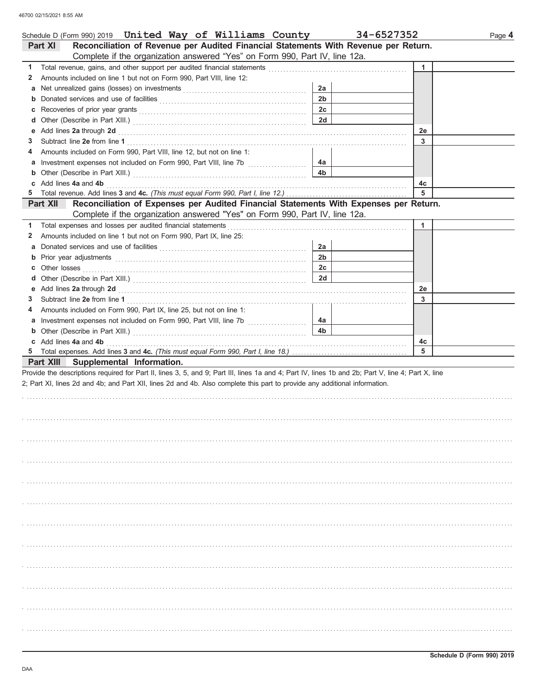| Schedule D (Form 990) 2019 United Way of Williams County                                                                                                                                                                                  | 34-6527352     |              | Page 4 |
|-------------------------------------------------------------------------------------------------------------------------------------------------------------------------------------------------------------------------------------------|----------------|--------------|--------|
| Reconciliation of Revenue per Audited Financial Statements With Revenue per Return.<br>Part XI                                                                                                                                            |                |              |        |
| Complete if the organization answered "Yes" on Form 990, Part IV, line 12a.                                                                                                                                                               |                |              |        |
| 1.                                                                                                                                                                                                                                        |                | $\mathbf{1}$ |        |
| Amounts included on line 1 but not on Form 990, Part VIII, line 12:<br>2                                                                                                                                                                  |                |              |        |
| а                                                                                                                                                                                                                                         | 2a             |              |        |
| b                                                                                                                                                                                                                                         | 2 <sub>b</sub> |              |        |
| С                                                                                                                                                                                                                                         | 2c             |              |        |
| d                                                                                                                                                                                                                                         | 2d             |              |        |
| Add lines 2a through 2d [11] Additional Additional Additional Additional Additional Additional Additional Additional Additional Additional Additional Additional Additional Additional Additional Additional Additional Additi<br>е       |                | 2e           |        |
| 3                                                                                                                                                                                                                                         |                | 3            |        |
| Amounts included on Form 990, Part VIII, line 12, but not on line 1:<br>4                                                                                                                                                                 |                |              |        |
| а                                                                                                                                                                                                                                         | 4a             |              |        |
| b                                                                                                                                                                                                                                         | 4 <sub>b</sub> |              |        |
| c Add lines 4a and 4b (a) and the contract of the set of the set of the set of the set of the set of the set of the set of the set of the set of the set of the set of the set of the set of the set of the set of the set of             |                | 4c           |        |
|                                                                                                                                                                                                                                           |                | 5            |        |
| Reconciliation of Expenses per Audited Financial Statements With Expenses per Return.<br>Part XII l                                                                                                                                       |                |              |        |
| Complete if the organization answered "Yes" on Form 990, Part IV, line 12a.                                                                                                                                                               |                |              |        |
|                                                                                                                                                                                                                                           |                | $\mathbf{1}$ |        |
| Amounts included on line 1 but not on Form 990, Part IX, line 25:<br>2                                                                                                                                                                    |                |              |        |
| a                                                                                                                                                                                                                                         | 2a             |              |        |
| Prior year adjustments with the contract of the contract of the contract of the contract of the contract of the contract of the contract of the contract of the contract of the contract of the contract of the contract of th<br>b       | 2 <sub>b</sub> |              |        |
| c                                                                                                                                                                                                                                         | 2c             |              |        |
| Other losses <b>contract the contract of the contract of the contract of the contract of the contract of the contract of the contract of the contract of the contract of the contract of the contract of the contract of the con</b><br>d | 2d             |              |        |
|                                                                                                                                                                                                                                           |                | 2e           |        |
| 3                                                                                                                                                                                                                                         |                | 3            |        |
| Amounts included on Form 990, Part IX, line 25, but not on line 1:<br>4                                                                                                                                                                   |                |              |        |
|                                                                                                                                                                                                                                           | 4a             |              |        |
| Investment expenses not included on Form 990, Part VIII, line 7b [<br>a                                                                                                                                                                   | 4 <sub>b</sub> |              |        |
|                                                                                                                                                                                                                                           |                |              |        |
| c Add lines 4a and 4b                                                                                                                                                                                                                     |                | 4c<br>5      |        |
|                                                                                                                                                                                                                                           |                |              |        |
| Part XIII Supplemental Information.<br>Provide the descriptions required for Part II, lines 3, 5, and 9; Part III, lines 1a and 4; Part IV, lines 1b and 2b; Part V, line 4; Part X, line                                                 |                |              |        |
| 2; Part XI, lines 2d and 4b; and Part XII, lines 2d and 4b. Also complete this part to provide any additional information.                                                                                                                |                |              |        |
|                                                                                                                                                                                                                                           |                |              |        |
|                                                                                                                                                                                                                                           |                |              |        |
|                                                                                                                                                                                                                                           |                |              |        |
|                                                                                                                                                                                                                                           |                |              |        |
|                                                                                                                                                                                                                                           |                |              |        |
|                                                                                                                                                                                                                                           |                |              |        |
|                                                                                                                                                                                                                                           |                |              |        |
|                                                                                                                                                                                                                                           |                |              |        |
|                                                                                                                                                                                                                                           |                |              |        |
|                                                                                                                                                                                                                                           |                |              |        |
|                                                                                                                                                                                                                                           |                |              |        |
|                                                                                                                                                                                                                                           |                |              |        |
|                                                                                                                                                                                                                                           |                |              |        |
|                                                                                                                                                                                                                                           |                |              |        |
|                                                                                                                                                                                                                                           |                |              |        |
|                                                                                                                                                                                                                                           |                |              |        |
|                                                                                                                                                                                                                                           |                |              |        |
|                                                                                                                                                                                                                                           |                |              |        |
|                                                                                                                                                                                                                                           |                |              |        |
|                                                                                                                                                                                                                                           |                |              |        |
|                                                                                                                                                                                                                                           |                |              |        |
|                                                                                                                                                                                                                                           |                |              |        |
|                                                                                                                                                                                                                                           |                |              |        |
|                                                                                                                                                                                                                                           |                |              |        |
|                                                                                                                                                                                                                                           |                |              |        |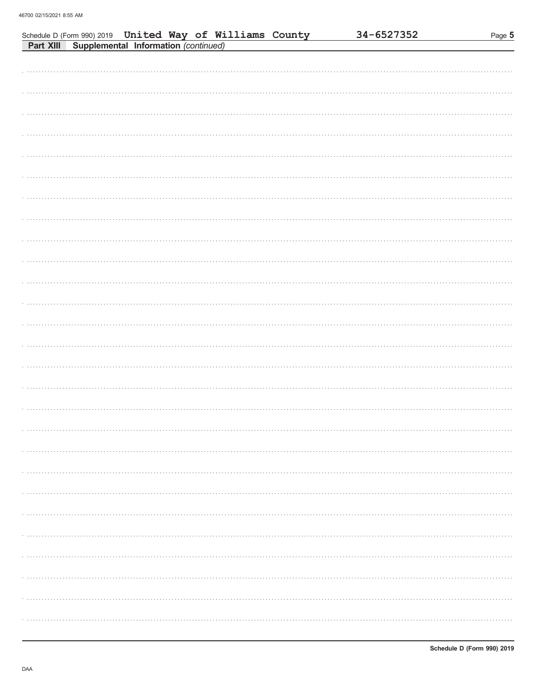| Schedule D (Form 990) 2019 United Way of Williams County<br>Part XIII Supplemental Information (continued)<br>. |  |  |  | 34-6527352 | Page 5 |
|-----------------------------------------------------------------------------------------------------------------|--|--|--|------------|--------|
|                                                                                                                 |  |  |  |            |        |
|                                                                                                                 |  |  |  |            |        |
|                                                                                                                 |  |  |  |            |        |
|                                                                                                                 |  |  |  |            |        |
|                                                                                                                 |  |  |  |            |        |
|                                                                                                                 |  |  |  |            |        |
|                                                                                                                 |  |  |  |            |        |
|                                                                                                                 |  |  |  |            |        |
|                                                                                                                 |  |  |  |            |        |
|                                                                                                                 |  |  |  |            |        |
|                                                                                                                 |  |  |  |            |        |
|                                                                                                                 |  |  |  |            |        |
|                                                                                                                 |  |  |  |            |        |
|                                                                                                                 |  |  |  |            |        |
|                                                                                                                 |  |  |  |            |        |
|                                                                                                                 |  |  |  |            |        |
|                                                                                                                 |  |  |  |            |        |
|                                                                                                                 |  |  |  |            |        |
|                                                                                                                 |  |  |  |            |        |
|                                                                                                                 |  |  |  |            |        |
|                                                                                                                 |  |  |  |            |        |
|                                                                                                                 |  |  |  |            |        |
|                                                                                                                 |  |  |  |            |        |
|                                                                                                                 |  |  |  |            |        |
|                                                                                                                 |  |  |  |            |        |
|                                                                                                                 |  |  |  |            |        |
|                                                                                                                 |  |  |  |            |        |
|                                                                                                                 |  |  |  |            |        |
|                                                                                                                 |  |  |  |            |        |
|                                                                                                                 |  |  |  |            |        |
|                                                                                                                 |  |  |  |            |        |
|                                                                                                                 |  |  |  |            |        |
|                                                                                                                 |  |  |  |            |        |
|                                                                                                                 |  |  |  |            |        |
|                                                                                                                 |  |  |  |            |        |
|                                                                                                                 |  |  |  |            |        |
|                                                                                                                 |  |  |  |            |        |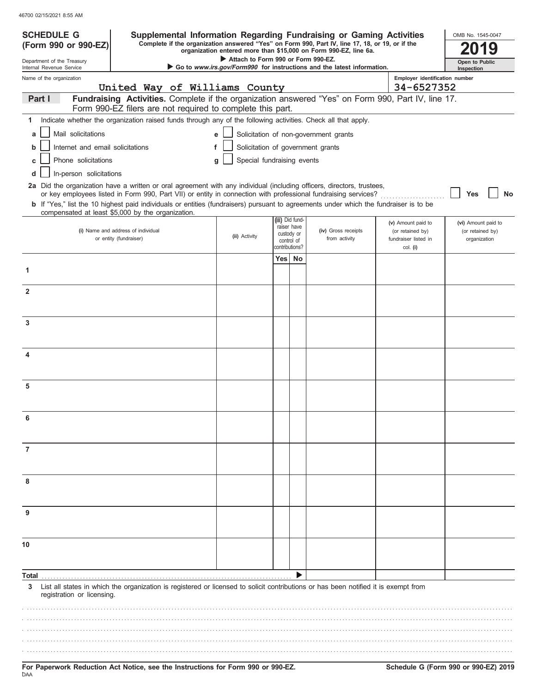| <b>SCHEDULE G</b>                                 |                            |                                                            |  |  |               |                                   |                                            |                                                                                                              | Supplemental Information Regarding Fundraising or Gaming Activities                                                                                                                                                                                             |                                        | OMB No. 1545-0047                       |  |  |  |  |  |
|---------------------------------------------------|----------------------------|------------------------------------------------------------|--|--|---------------|-----------------------------------|--------------------------------------------|--------------------------------------------------------------------------------------------------------------|-----------------------------------------------------------------------------------------------------------------------------------------------------------------------------------------------------------------------------------------------------------------|----------------------------------------|-----------------------------------------|--|--|--|--|--|
| (Form 990 or 990-EZ)                              |                            |                                                            |  |  |               |                                   |                                            |                                                                                                              | Complete if the organization answered "Yes" on Form 990, Part IV, line 17, 18, or 19, or if the<br>organization entered more than \$15,000 on Form 990-EZ, line 6a.                                                                                             |                                        |                                         |  |  |  |  |  |
| Internal Revenue Service                          | Department of the Treasury |                                                            |  |  |               |                                   |                                            | Attach to Form 990 or Form 990-EZ.<br>Go to www.irs.gov/Form990 for instructions and the latest information. |                                                                                                                                                                                                                                                                 |                                        |                                         |  |  |  |  |  |
| Name of the organization                          |                            |                                                            |  |  |               |                                   |                                            |                                                                                                              |                                                                                                                                                                                                                                                                 | Employer identification number         | Inspection                              |  |  |  |  |  |
| Part I                                            |                            | United Way of Williams County                              |  |  |               |                                   |                                            |                                                                                                              | Fundraising Activities. Complete if the organization answered "Yes" on Form 990, Part IV, line 17.                                                                                                                                                              | 34-6527352                             |                                         |  |  |  |  |  |
|                                                   |                            | Form 990-EZ filers are not required to complete this part. |  |  |               |                                   |                                            |                                                                                                              |                                                                                                                                                                                                                                                                 |                                        |                                         |  |  |  |  |  |
|                                                   |                            |                                                            |  |  |               |                                   |                                            |                                                                                                              | Indicate whether the organization raised funds through any of the following activities. Check all that apply.                                                                                                                                                   |                                        |                                         |  |  |  |  |  |
| Mail solicitations<br>a                           |                            |                                                            |  |  | e             |                                   |                                            |                                                                                                              | Solicitation of non-government grants                                                                                                                                                                                                                           |                                        |                                         |  |  |  |  |  |
| b                                                 |                            | Internet and email solicitations                           |  |  |               | Solicitation of government grants |                                            |                                                                                                              |                                                                                                                                                                                                                                                                 |                                        |                                         |  |  |  |  |  |
| Phone solicitations                               |                            |                                                            |  |  |               | Special fundraising events        |                                            |                                                                                                              |                                                                                                                                                                                                                                                                 |                                        |                                         |  |  |  |  |  |
| In-person solicitations                           |                            |                                                            |  |  |               |                                   |                                            |                                                                                                              |                                                                                                                                                                                                                                                                 |                                        |                                         |  |  |  |  |  |
|                                                   |                            |                                                            |  |  |               |                                   |                                            |                                                                                                              | 2a Did the organization have a written or oral agreement with any individual (including officers, directors, trustees,<br>b If "Yes," list the 10 highest paid individuals or entities (fundraisers) pursuant to agreements under which the fundraiser is to be |                                        | <b>No</b><br>Yes                        |  |  |  |  |  |
| compensated at least \$5,000 by the organization. |                            |                                                            |  |  |               |                                   |                                            | (iii) Did fund-                                                                                              |                                                                                                                                                                                                                                                                 |                                        |                                         |  |  |  |  |  |
|                                                   |                            | (i) Name and address of individual                         |  |  |               |                                   |                                            | raiser have                                                                                                  | (iv) Gross receipts                                                                                                                                                                                                                                             | (v) Amount paid to<br>(or retained by) | (vi) Amount paid to<br>(or retained by) |  |  |  |  |  |
|                                                   |                            | or entity (fundraiser)                                     |  |  | (ii) Activity |                                   | custody or<br>control of<br>contributions? |                                                                                                              | from activity                                                                                                                                                                                                                                                   | fundraiser listed in<br>col. (i)       | organization                            |  |  |  |  |  |
|                                                   |                            |                                                            |  |  |               |                                   | Yesl                                       | No                                                                                                           |                                                                                                                                                                                                                                                                 |                                        |                                         |  |  |  |  |  |
| 1                                                 |                            |                                                            |  |  |               |                                   |                                            |                                                                                                              |                                                                                                                                                                                                                                                                 |                                        |                                         |  |  |  |  |  |
|                                                   |                            |                                                            |  |  |               |                                   |                                            |                                                                                                              |                                                                                                                                                                                                                                                                 |                                        |                                         |  |  |  |  |  |
| $\overline{2}$                                    |                            |                                                            |  |  |               |                                   |                                            |                                                                                                              |                                                                                                                                                                                                                                                                 |                                        |                                         |  |  |  |  |  |
|                                                   |                            |                                                            |  |  |               |                                   |                                            |                                                                                                              |                                                                                                                                                                                                                                                                 |                                        |                                         |  |  |  |  |  |
| 3                                                 |                            |                                                            |  |  |               |                                   |                                            |                                                                                                              |                                                                                                                                                                                                                                                                 |                                        |                                         |  |  |  |  |  |
|                                                   |                            |                                                            |  |  |               |                                   |                                            |                                                                                                              |                                                                                                                                                                                                                                                                 |                                        |                                         |  |  |  |  |  |
| 4                                                 |                            |                                                            |  |  |               |                                   |                                            |                                                                                                              |                                                                                                                                                                                                                                                                 |                                        |                                         |  |  |  |  |  |
|                                                   |                            |                                                            |  |  |               |                                   |                                            |                                                                                                              |                                                                                                                                                                                                                                                                 |                                        |                                         |  |  |  |  |  |
| 5                                                 |                            |                                                            |  |  |               |                                   |                                            |                                                                                                              |                                                                                                                                                                                                                                                                 |                                        |                                         |  |  |  |  |  |
|                                                   |                            |                                                            |  |  |               |                                   |                                            |                                                                                                              |                                                                                                                                                                                                                                                                 |                                        |                                         |  |  |  |  |  |
|                                                   |                            |                                                            |  |  |               |                                   |                                            |                                                                                                              |                                                                                                                                                                                                                                                                 |                                        |                                         |  |  |  |  |  |
|                                                   |                            |                                                            |  |  |               |                                   |                                            |                                                                                                              |                                                                                                                                                                                                                                                                 |                                        |                                         |  |  |  |  |  |
|                                                   |                            |                                                            |  |  |               |                                   |                                            |                                                                                                              |                                                                                                                                                                                                                                                                 |                                        |                                         |  |  |  |  |  |
| 7                                                 |                            |                                                            |  |  |               |                                   |                                            |                                                                                                              |                                                                                                                                                                                                                                                                 |                                        |                                         |  |  |  |  |  |
|                                                   |                            |                                                            |  |  |               |                                   |                                            |                                                                                                              |                                                                                                                                                                                                                                                                 |                                        |                                         |  |  |  |  |  |
| 8                                                 |                            |                                                            |  |  |               |                                   |                                            |                                                                                                              |                                                                                                                                                                                                                                                                 |                                        |                                         |  |  |  |  |  |
|                                                   |                            |                                                            |  |  |               |                                   |                                            |                                                                                                              |                                                                                                                                                                                                                                                                 |                                        |                                         |  |  |  |  |  |
|                                                   |                            |                                                            |  |  |               |                                   |                                            |                                                                                                              |                                                                                                                                                                                                                                                                 |                                        |                                         |  |  |  |  |  |
|                                                   |                            |                                                            |  |  |               |                                   |                                            |                                                                                                              |                                                                                                                                                                                                                                                                 |                                        |                                         |  |  |  |  |  |
|                                                   |                            |                                                            |  |  |               |                                   |                                            |                                                                                                              |                                                                                                                                                                                                                                                                 |                                        |                                         |  |  |  |  |  |
| 10                                                |                            |                                                            |  |  |               |                                   |                                            |                                                                                                              |                                                                                                                                                                                                                                                                 |                                        |                                         |  |  |  |  |  |
|                                                   |                            |                                                            |  |  |               |                                   |                                            |                                                                                                              |                                                                                                                                                                                                                                                                 |                                        |                                         |  |  |  |  |  |
| Total                                             |                            |                                                            |  |  |               |                                   |                                            |                                                                                                              |                                                                                                                                                                                                                                                                 |                                        |                                         |  |  |  |  |  |
| 3<br>registration or licensing.                   |                            |                                                            |  |  |               |                                   |                                            |                                                                                                              | List all states in which the organization is registered or licensed to solicit contributions or has been notified it is exempt from                                                                                                                             |                                        |                                         |  |  |  |  |  |
|                                                   |                            |                                                            |  |  |               |                                   |                                            |                                                                                                              |                                                                                                                                                                                                                                                                 |                                        |                                         |  |  |  |  |  |
|                                                   |                            |                                                            |  |  |               |                                   |                                            |                                                                                                              |                                                                                                                                                                                                                                                                 |                                        |                                         |  |  |  |  |  |
|                                                   |                            |                                                            |  |  |               |                                   |                                            |                                                                                                              |                                                                                                                                                                                                                                                                 |                                        |                                         |  |  |  |  |  |
|                                                   |                            |                                                            |  |  |               |                                   |                                            |                                                                                                              |                                                                                                                                                                                                                                                                 |                                        |                                         |  |  |  |  |  |

.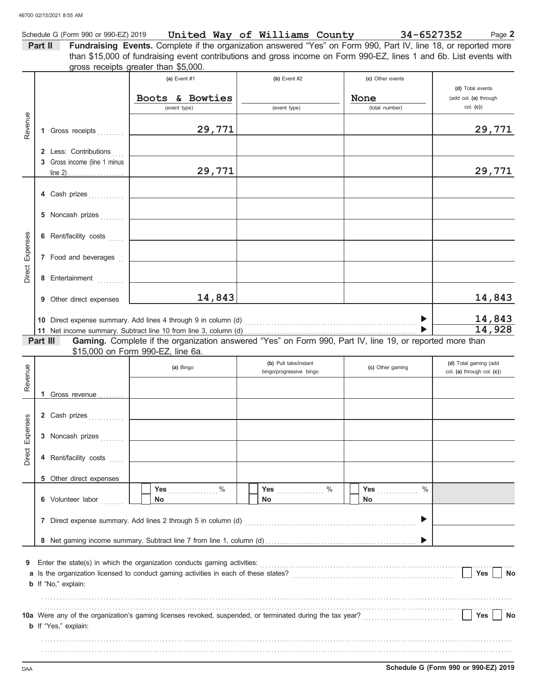|                 |         | Schedule G (Form 990 or 990-EZ) 2019                  |                                                                                                                                               | United Way of Williams County                    |                          | 34-6527352<br>Page 2                                                                                               |
|-----------------|---------|-------------------------------------------------------|-----------------------------------------------------------------------------------------------------------------------------------------------|--------------------------------------------------|--------------------------|--------------------------------------------------------------------------------------------------------------------|
|                 | Part II |                                                       |                                                                                                                                               |                                                  |                          | Fundraising Events. Complete if the organization answered "Yes" on Form 990, Part IV, line 18, or reported more    |
|                 |         |                                                       | gross receipts greater than \$5,000.                                                                                                          |                                                  |                          | than \$15,000 of fundraising event contributions and gross income on Form 990-EZ, lines 1 and 6b. List events with |
|                 |         |                                                       | (a) Event $#1$<br>Boots & Bowties                                                                                                             | (b) Event $#2$                                   | (c) Other events<br>None | (d) Total events<br>(add col. (a) through                                                                          |
|                 |         |                                                       | (event type)                                                                                                                                  | (event type)                                     | (total number)           | col. (c)                                                                                                           |
| Revenue         |         | 1 Gross receipts                                      | 29,771                                                                                                                                        |                                                  |                          | 29,771                                                                                                             |
|                 |         | 2 Less: Contributions<br>3 Gross income (line 1 minus | 29,771                                                                                                                                        |                                                  |                          | 29,771                                                                                                             |
|                 |         |                                                       |                                                                                                                                               |                                                  |                          |                                                                                                                    |
|                 |         |                                                       |                                                                                                                                               |                                                  |                          |                                                                                                                    |
|                 |         |                                                       |                                                                                                                                               |                                                  |                          |                                                                                                                    |
| Direct Expenses |         | 7 Food and beverages [1]                              |                                                                                                                                               |                                                  |                          |                                                                                                                    |
|                 |         | 8 Entertainment                                       | <u> 1980 - Johann Barbara, martxa al</u>                                                                                                      |                                                  |                          |                                                                                                                    |
|                 |         | 9 Other direct expenses                               | 14,843                                                                                                                                        |                                                  |                          | 14,843                                                                                                             |
|                 |         |                                                       |                                                                                                                                               |                                                  |                          | 14,843<br>14,928                                                                                                   |
|                 |         |                                                       |                                                                                                                                               |                                                  |                          |                                                                                                                    |
|                 |         | Part III                                              | Gaming. Complete if the organization answered "Yes" on Form 990, Part IV, line 19, or reported more than<br>\$15,000 on Form 990-EZ, line 6a. |                                                  |                          |                                                                                                                    |
| Revenue         |         |                                                       | (a) Bingo                                                                                                                                     | (b) Pull tabs/instant<br>bingo/progressive bingo | (c) Other gaming         | (d) Total gaming (add<br>col. (a) through col. (c))                                                                |
|                 |         | 1 Gross revenue                                       |                                                                                                                                               |                                                  |                          |                                                                                                                    |
|                 |         |                                                       |                                                                                                                                               |                                                  |                          |                                                                                                                    |
| Expenses        |         | 3 Noncash prizes                                      |                                                                                                                                               |                                                  |                          |                                                                                                                    |
| Direct          |         | 4 Rent/facility costs                                 |                                                                                                                                               |                                                  |                          |                                                                                                                    |
|                 |         | 5 Other direct expenses                               |                                                                                                                                               |                                                  |                          |                                                                                                                    |
|                 |         | 6 Volunteer labor                                     | Yes $%$<br>No                                                                                                                                 | No.                                              | Yes $\frac{1}{2}$<br>No. | $\%$                                                                                                               |
|                 |         |                                                       |                                                                                                                                               |                                                  |                          |                                                                                                                    |
|                 |         |                                                       |                                                                                                                                               |                                                  |                          |                                                                                                                    |
| 9               |         |                                                       |                                                                                                                                               |                                                  |                          |                                                                                                                    |
|                 |         | <b>b</b> If "No," explain:                            |                                                                                                                                               |                                                  |                          | Yes<br>No                                                                                                          |
|                 |         | <b>b</b> If "Yes," explain:                           |                                                                                                                                               |                                                  |                          | Yes<br>No                                                                                                          |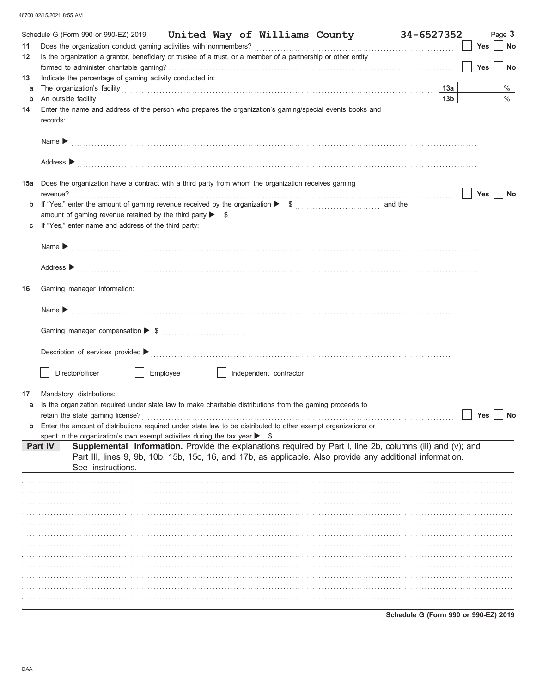|         | United Way of Williams County 34-6527352<br>Schedule G (Form 990 or 990-EZ) 2019                                                                                                                                                                                                                                                                 |                        |            | Page 3    |
|---------|--------------------------------------------------------------------------------------------------------------------------------------------------------------------------------------------------------------------------------------------------------------------------------------------------------------------------------------------------|------------------------|------------|-----------|
| 11      |                                                                                                                                                                                                                                                                                                                                                  |                        | Yes        | <b>No</b> |
| 12      | Is the organization a grantor, beneficiary or trustee of a trust, or a member of a partnership or other entity                                                                                                                                                                                                                                   |                        |            |           |
|         |                                                                                                                                                                                                                                                                                                                                                  |                        | <b>Yes</b> | No        |
| 13      | Indicate the percentage of gaming activity conducted in:                                                                                                                                                                                                                                                                                         |                        |            |           |
| a       |                                                                                                                                                                                                                                                                                                                                                  | 13a<br>13 <sub>b</sub> |            | %<br>%    |
| b<br>14 | An outside facility <b>contract and the contract of the contract of the contract of the contract of the contract of the contract of the contract of the contract of the contract of the contract of the contract of the contract</b><br>Enter the name and address of the person who prepares the organization's gaming/special events books and |                        |            |           |
|         | records:                                                                                                                                                                                                                                                                                                                                         |                        |            |           |
|         | Name $\blacktriangleright$                                                                                                                                                                                                                                                                                                                       |                        |            |           |
|         | Address > continuous contract of the contract of the contract of the contract of the contract of the contract of the contract of the contract of the contract of the contract of the contract of the contract of the contract                                                                                                                    |                        |            |           |
|         | 15a Does the organization have a contract with a third party from whom the organization receives gaming<br>revenue?                                                                                                                                                                                                                              |                        | Yes        | <b>No</b> |
| b       |                                                                                                                                                                                                                                                                                                                                                  |                        |            |           |
|         |                                                                                                                                                                                                                                                                                                                                                  |                        |            |           |
| c       | If "Yes," enter name and address of the third party:                                                                                                                                                                                                                                                                                             |                        |            |           |
|         |                                                                                                                                                                                                                                                                                                                                                  |                        |            |           |
|         | Name $\blacktriangleright$                                                                                                                                                                                                                                                                                                                       |                        |            |           |
|         |                                                                                                                                                                                                                                                                                                                                                  |                        |            |           |
|         | Address $\blacktriangleright$                                                                                                                                                                                                                                                                                                                    |                        |            |           |
| 16      | Gaming manager information:                                                                                                                                                                                                                                                                                                                      |                        |            |           |
|         | Name $\blacktriangleright$                                                                                                                                                                                                                                                                                                                       |                        |            |           |
|         |                                                                                                                                                                                                                                                                                                                                                  |                        |            |           |
|         |                                                                                                                                                                                                                                                                                                                                                  |                        |            |           |
|         | Director/officer<br>Employee<br>Independent contractor                                                                                                                                                                                                                                                                                           |                        |            |           |
|         |                                                                                                                                                                                                                                                                                                                                                  |                        |            |           |
| 17      | Mandatory distributions:                                                                                                                                                                                                                                                                                                                         |                        |            |           |
|         | Is the organization required under state law to make charitable distributions from the gaming proceeds to<br>retain the state gaming license?                                                                                                                                                                                                    |                        |            |           |
|         | Enter the amount of distributions required under state law to be distributed to other exempt organizations or                                                                                                                                                                                                                                    |                        | Yes        | No        |
|         | spent in the organization's own exempt activities during the tax year $\triangleright$ \$                                                                                                                                                                                                                                                        |                        |            |           |
|         | Supplemental Information. Provide the explanations required by Part I, line 2b, columns (iii) and (v); and<br>Part IV                                                                                                                                                                                                                            |                        |            |           |
|         | Part III, lines 9, 9b, 10b, 15b, 15c, 16, and 17b, as applicable. Also provide any additional information.                                                                                                                                                                                                                                       |                        |            |           |
|         | See instructions.                                                                                                                                                                                                                                                                                                                                |                        |            |           |
|         |                                                                                                                                                                                                                                                                                                                                                  |                        |            |           |
|         |                                                                                                                                                                                                                                                                                                                                                  |                        |            |           |
|         |                                                                                                                                                                                                                                                                                                                                                  |                        |            |           |
|         |                                                                                                                                                                                                                                                                                                                                                  |                        |            |           |
|         |                                                                                                                                                                                                                                                                                                                                                  |                        |            |           |
|         |                                                                                                                                                                                                                                                                                                                                                  |                        |            |           |
|         |                                                                                                                                                                                                                                                                                                                                                  |                        |            |           |
|         |                                                                                                                                                                                                                                                                                                                                                  |                        |            |           |
|         |                                                                                                                                                                                                                                                                                                                                                  |                        |            |           |
|         |                                                                                                                                                                                                                                                                                                                                                  |                        |            |           |
|         |                                                                                                                                                                                                                                                                                                                                                  |                        |            |           |
|         |                                                                                                                                                                                                                                                                                                                                                  |                        |            |           |

Schedule G (Form 990 or 990-EZ) 2019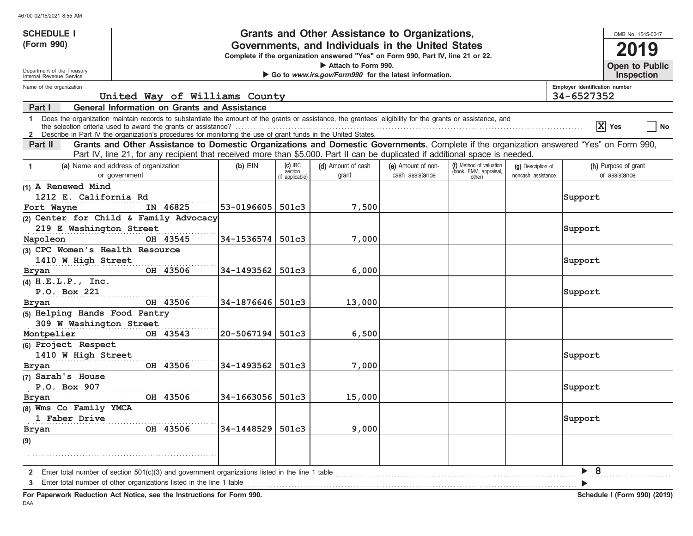| <b>SCHEDULE I</b>                                    |                                                                                                                                                                                                                                                                                                                                                 | Grants and Other Assistance to Organizations, |                    | OMB No. 1545-0047                                                            |                    |                                                             |                    |                                |                                            |  |
|------------------------------------------------------|-------------------------------------------------------------------------------------------------------------------------------------------------------------------------------------------------------------------------------------------------------------------------------------------------------------------------------------------------|-----------------------------------------------|--------------------|------------------------------------------------------------------------------|--------------------|-------------------------------------------------------------|--------------------|--------------------------------|--------------------------------------------|--|
| (Form 990)                                           | Governments, and Individuals in the United States<br>Complete if the organization answered "Yes" on Form 990, Part IV, line 21 or 22.                                                                                                                                                                                                           |                                               | g                  |                                                                              |                    |                                                             |                    |                                |                                            |  |
| Department of the Treasury                           |                                                                                                                                                                                                                                                                                                                                                 |                                               |                    | Attach to Form 990.<br>Go to www.irs.gov/Form990 for the latest information. |                    |                                                             |                    |                                | <b>Open to Public</b><br><b>Inspection</b> |  |
| Internal Revenue Service<br>Name of the organization |                                                                                                                                                                                                                                                                                                                                                 |                                               |                    |                                                                              |                    |                                                             |                    | Employer identification number |                                            |  |
|                                                      | United Way of Williams County                                                                                                                                                                                                                                                                                                                   |                                               |                    |                                                                              |                    |                                                             |                    | 34-6527352                     |                                            |  |
| Part I                                               | <b>General Information on Grants and Assistance</b>                                                                                                                                                                                                                                                                                             |                                               |                    |                                                                              |                    |                                                             |                    |                                |                                            |  |
| 1.                                                   | Does the organization maintain records to substantiate the amount of the grants or assistance, the grantees' eligibility for the grants or assistance, and<br>the selection criteria used to award the grants or assistance?<br>2 Describe in Part IV the organization's procedures for monitoring the use of grant funds in the United States. |                                               |                    |                                                                              |                    |                                                             |                    |                                | $ X $ Yes<br><b>No</b>                     |  |
| Part II                                              | Grants and Other Assistance to Domestic Organizations and Domestic Governments. Complete if the organization answered "Yes" on Form 990,<br>Part IV, line 21, for any recipient that received more than \$5,000. Part II can be duplicated if additional space is needed.                                                                       |                                               |                    |                                                                              |                    |                                                             |                    |                                |                                            |  |
|                                                      | (a) Name and address of organization                                                                                                                                                                                                                                                                                                            | $(b)$ EIN                                     | (c) IRC<br>section | (d) Amount of cash                                                           | (e) Amount of non- |                                                             | (g) Description of |                                | (h) Purpose of grant                       |  |
|                                                      | or government                                                                                                                                                                                                                                                                                                                                   |                                               | (if applicable)    | grant                                                                        | cash assistance    | (f) Method of valuation<br>(book, FMV, appraisal,<br>other) | noncash assistance |                                | or assistance                              |  |
| (1) A Renewed Mind                                   |                                                                                                                                                                                                                                                                                                                                                 |                                               |                    |                                                                              |                    |                                                             |                    |                                |                                            |  |
| 1212 E. California Rd                                |                                                                                                                                                                                                                                                                                                                                                 |                                               |                    |                                                                              |                    |                                                             |                    | Support                        |                                            |  |
| Fort Wayne                                           | IN 46825                                                                                                                                                                                                                                                                                                                                        | 53-0196605                                    | 501c3              | 7,500                                                                        |                    |                                                             |                    |                                |                                            |  |
|                                                      | (2) Center for Child & Family Advocacy                                                                                                                                                                                                                                                                                                          |                                               |                    |                                                                              |                    |                                                             |                    |                                |                                            |  |
| 219 E Washington Street                              |                                                                                                                                                                                                                                                                                                                                                 |                                               |                    |                                                                              |                    |                                                             |                    | Support                        |                                            |  |
| Napoleon                                             | OH 43545                                                                                                                                                                                                                                                                                                                                        | $34 - 1536574$ 501c3                          |                    | 7,000                                                                        |                    |                                                             |                    |                                |                                            |  |
| (3) CPC Women's Health Resource                      |                                                                                                                                                                                                                                                                                                                                                 |                                               |                    |                                                                              |                    |                                                             |                    |                                |                                            |  |
| 1410 W High Street                                   |                                                                                                                                                                                                                                                                                                                                                 |                                               |                    |                                                                              |                    |                                                             |                    | Support                        |                                            |  |
| Bryan                                                | OH 43506                                                                                                                                                                                                                                                                                                                                        | 34-1493562                                    | 501c3              | 6,000                                                                        |                    |                                                             |                    |                                |                                            |  |
| $(4)$ H.E.L.P., Inc.                                 |                                                                                                                                                                                                                                                                                                                                                 |                                               |                    |                                                                              |                    |                                                             |                    |                                |                                            |  |
| P.O. Box 221                                         |                                                                                                                                                                                                                                                                                                                                                 |                                               |                    |                                                                              |                    |                                                             |                    | Support                        |                                            |  |
| Bryan                                                | OH 43506                                                                                                                                                                                                                                                                                                                                        | 34-1876646   501c3                            |                    | 13,000                                                                       |                    |                                                             |                    |                                |                                            |  |
| (5) Helping Hands Food Pantry                        |                                                                                                                                                                                                                                                                                                                                                 |                                               |                    |                                                                              |                    |                                                             |                    |                                |                                            |  |
| 309 W Washington Street                              |                                                                                                                                                                                                                                                                                                                                                 |                                               |                    |                                                                              |                    |                                                             |                    |                                |                                            |  |
| Montpelier                                           | OH 43543                                                                                                                                                                                                                                                                                                                                        | 20-5067194                                    | 501c3              | 6,500                                                                        |                    |                                                             |                    |                                |                                            |  |
| (6) Project Respect                                  |                                                                                                                                                                                                                                                                                                                                                 |                                               |                    |                                                                              |                    |                                                             |                    |                                |                                            |  |
| 1410 W High Street                                   |                                                                                                                                                                                                                                                                                                                                                 |                                               |                    |                                                                              |                    |                                                             |                    | Support                        |                                            |  |
| Bryan                                                | OH 43506                                                                                                                                                                                                                                                                                                                                        | 34-1493562                                    | 501c3              | 7,000                                                                        |                    |                                                             |                    |                                |                                            |  |
| (7) Sarah's House                                    |                                                                                                                                                                                                                                                                                                                                                 |                                               |                    |                                                                              |                    |                                                             |                    |                                |                                            |  |
| P.O. Box 907                                         |                                                                                                                                                                                                                                                                                                                                                 |                                               |                    |                                                                              |                    |                                                             |                    | Support                        |                                            |  |
| Bryan                                                | OH 43506                                                                                                                                                                                                                                                                                                                                        | 34-1663056 501c3                              |                    | 15,000                                                                       |                    |                                                             |                    |                                |                                            |  |
| (8) Wms Co Family YMCA                               |                                                                                                                                                                                                                                                                                                                                                 |                                               |                    |                                                                              |                    |                                                             |                    |                                |                                            |  |
| 1 Faber Drive                                        |                                                                                                                                                                                                                                                                                                                                                 |                                               |                    |                                                                              |                    |                                                             |                    | Support                        |                                            |  |
| Bryan                                                | OH 43506                                                                                                                                                                                                                                                                                                                                        | $34 - 1448529$ 501c3                          |                    | 9,000                                                                        |                    |                                                             |                    |                                |                                            |  |
| (9)                                                  |                                                                                                                                                                                                                                                                                                                                                 |                                               |                    |                                                                              |                    |                                                             |                    |                                |                                            |  |
|                                                      |                                                                                                                                                                                                                                                                                                                                                 |                                               |                    |                                                                              |                    |                                                             |                    |                                |                                            |  |
| $\mathbf{2}$                                         | Enter total number of section 501(c)(3) and government organizations listed in the line 1 table                                                                                                                                                                                                                                                 |                                               |                    |                                                                              |                    |                                                             |                    | $\blacktriangleright$ 8        |                                            |  |
| 3                                                    |                                                                                                                                                                                                                                                                                                                                                 |                                               |                    |                                                                              |                    |                                                             |                    |                                |                                            |  |

**For Paperwork Reduction Act Notice, see the Instructions for Form 990. Schedule I (Form 990) (2019)**

DAA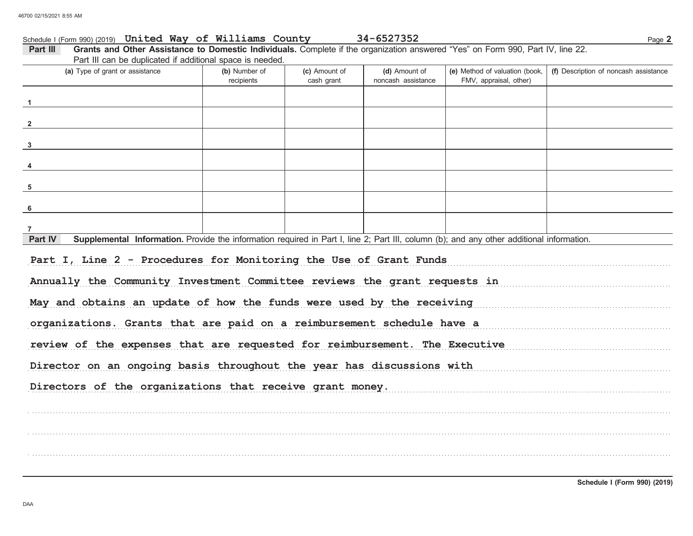| Schedule I (Form 990) (2019) United Way of Williams County                                                                                           |                             |                             | 34-6527352                          |                                                          | Page 2                                |
|------------------------------------------------------------------------------------------------------------------------------------------------------|-----------------------------|-----------------------------|-------------------------------------|----------------------------------------------------------|---------------------------------------|
| Grants and Other Assistance to Domestic Individuals. Complete if the organization answered "Yes" on Form 990, Part IV, line 22.<br>Part III          |                             |                             |                                     |                                                          |                                       |
| Part III can be duplicated if additional space is needed.                                                                                            |                             |                             |                                     |                                                          |                                       |
| (a) Type of grant or assistance                                                                                                                      | (b) Number of<br>recipients | (c) Amount of<br>cash grant | (d) Amount of<br>noncash assistance | (e) Method of valuation (book,<br>FMV, appraisal, other) | (f) Description of noncash assistance |
|                                                                                                                                                      |                             |                             |                                     |                                                          |                                       |
| $\overline{2}$                                                                                                                                       |                             |                             |                                     |                                                          |                                       |
| $\mathbf{3}$                                                                                                                                         |                             |                             |                                     |                                                          |                                       |
|                                                                                                                                                      |                             |                             |                                     |                                                          |                                       |
| 5                                                                                                                                                    |                             |                             |                                     |                                                          |                                       |
| 6                                                                                                                                                    |                             |                             |                                     |                                                          |                                       |
|                                                                                                                                                      |                             |                             |                                     |                                                          |                                       |
| Supplemental Information. Provide the information required in Part I, line 2; Part III, column (b); and any other additional information.<br>Part IV |                             |                             |                                     |                                                          |                                       |
| Part I, Line 2 - Procedures for Monitoring the Use of Grant Funds                                                                                    |                             |                             |                                     |                                                          |                                       |
| Annually the Community Investment Committee reviews the grant requests in                                                                            |                             |                             |                                     |                                                          |                                       |
| May and obtains an update of how the funds were used by the receiving                                                                                |                             |                             |                                     |                                                          |                                       |
| organizations. Grants that are paid on a reimbursement schedule have a                                                                               |                             |                             |                                     |                                                          |                                       |
| review of the expenses that are requested for reimbursement. The Executive                                                                           |                             |                             |                                     |                                                          |                                       |
| Director on an ongoing basis throughout the year has discussions with                                                                                |                             |                             |                                     |                                                          |                                       |
| Directors of the organizations that receive grant money.                                                                                             |                             |                             |                                     |                                                          |                                       |
|                                                                                                                                                      |                             |                             |                                     |                                                          |                                       |
|                                                                                                                                                      |                             |                             |                                     |                                                          |                                       |
|                                                                                                                                                      |                             |                             |                                     |                                                          |                                       |
|                                                                                                                                                      |                             |                             |                                     |                                                          |                                       |

Schedule I (Form 990) (2019)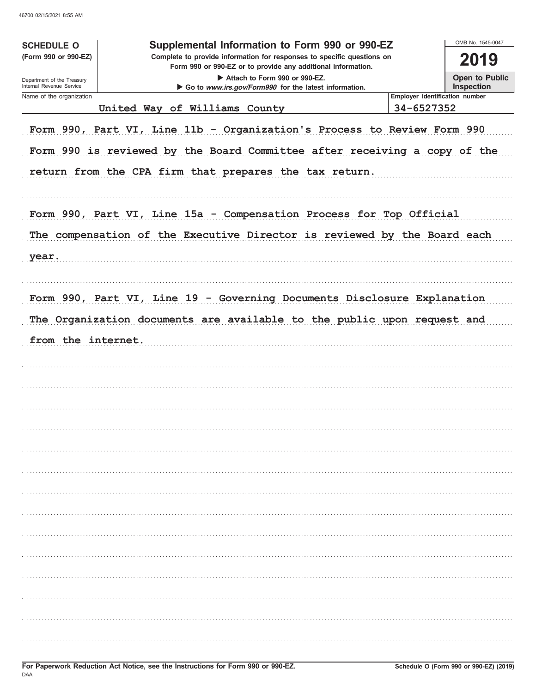| <b>SCHEDULE O</b>          | Supplemental Information to Form 990 or 990-EZ                                                                                         |                                              | OMB No. 1545-0047     |
|----------------------------|----------------------------------------------------------------------------------------------------------------------------------------|----------------------------------------------|-----------------------|
| (Form 990 or 990-EZ)       | Complete to provide information for responses to specific questions on<br>Form 990 or 990-EZ or to provide any additional information. |                                              | 2019                  |
| Department of the Treasury | Attach to Form 990 or 990-EZ.                                                                                                          |                                              | <b>Open to Public</b> |
| Internal Revenue Service   | Go to www.irs.gov/Form990 for the latest information.                                                                                  |                                              | Inspection            |
| Name of the organization   | United Way of Williams County                                                                                                          | Employer identification number<br>34-6527352 |                       |
|                            |                                                                                                                                        |                                              |                       |
|                            | Form 990, Part VI, Line 11b - Organization's Process to Review Form 990                                                                |                                              |                       |
|                            | Form 990 is reviewed by the Board Committee after receiving a copy of the                                                              |                                              |                       |
|                            | return from the CPA firm that prepares the tax return.                                                                                 |                                              |                       |
|                            |                                                                                                                                        |                                              |                       |
|                            | Form 990, Part VI, Line 15a - Compensation Process for Top Official                                                                    |                                              |                       |
|                            | The compensation of the Executive Director is reviewed by the Board each                                                               |                                              |                       |
| year.                      |                                                                                                                                        |                                              |                       |
|                            | Form 990, Part VI, Line 19 - Governing Documents Disclosure Explanation                                                                |                                              |                       |
|                            | The Organization documents are available to the public upon request and                                                                |                                              |                       |
|                            |                                                                                                                                        |                                              |                       |
| from the internet.         |                                                                                                                                        |                                              |                       |
|                            |                                                                                                                                        |                                              |                       |
|                            |                                                                                                                                        |                                              |                       |
|                            |                                                                                                                                        |                                              |                       |
|                            |                                                                                                                                        |                                              |                       |
|                            |                                                                                                                                        |                                              |                       |
|                            |                                                                                                                                        |                                              |                       |
|                            |                                                                                                                                        |                                              |                       |
|                            |                                                                                                                                        |                                              |                       |
|                            |                                                                                                                                        |                                              |                       |
|                            |                                                                                                                                        |                                              |                       |
|                            |                                                                                                                                        |                                              |                       |
|                            |                                                                                                                                        |                                              |                       |
|                            |                                                                                                                                        |                                              |                       |
|                            |                                                                                                                                        |                                              |                       |
|                            |                                                                                                                                        |                                              |                       |
|                            |                                                                                                                                        |                                              |                       |
|                            |                                                                                                                                        |                                              |                       |
|                            |                                                                                                                                        |                                              |                       |
|                            |                                                                                                                                        |                                              |                       |
|                            |                                                                                                                                        |                                              |                       |
|                            |                                                                                                                                        |                                              |                       |